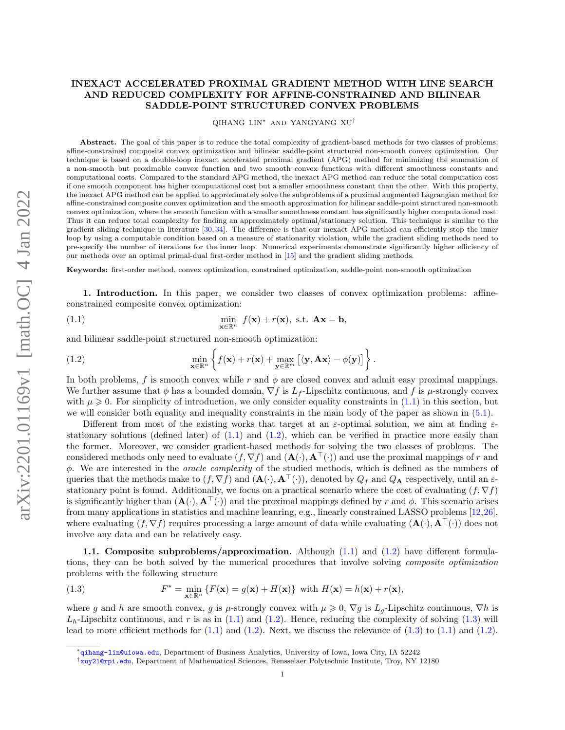## INEXACT ACCELERATED PROXIMAL GRADIENT METHOD WITH LINE SEARCH AND REDUCED COMPLEXITY FOR AFFINE-CONSTRAINED AND BILINEAR SADDLE-POINT STRUCTURED CONVEX PROBLEMS

QIHANG LIN<sup>∗</sup> AND YANGYANG XU†

Abstract. The goal of this paper is to reduce the total complexity of gradient-based methods for two classes of problems: affine-constrained composite convex optimization and bilinear saddle-point structured non-smooth convex optimization. Our technique is based on a double-loop inexact accelerated proximal gradient (APG) method for minimizing the summation of a non-smooth but proximable convex function and two smooth convex functions with different smoothness constants and computational costs. Compared to the standard APG method, the inexact APG method can reduce the total computation cost if one smooth component has higher computational cost but a smaller smoothness constant than the other. With this property, the inexact APG method can be applied to approximately solve the subproblems of a proximal augmented Lagrangian method for affine-constrained composite convex optimization and the smooth approximation for bilinear saddle-point structured non-smooth convex optimization, where the smooth function with a smaller smoothness constant has significantly higher computational cost. Thus it can reduce total complexity for finding an approximately optimal/stationary solution. This technique is similar to the gradient sliding technique in literature [\[30,](#page-26-0) [34\]](#page-26-1). The difference is that our inexact APG method can efficiently stop the inner loop by using a computable condition based on a measure of stationarity violation, while the gradient sliding methods need to pre-specify the number of iterations for the inner loop. Numerical experiments demonstrate significantly higher efficiency of our methods over an optimal primal-dual first-order method in [\[15\]](#page-26-2) and the gradient sliding methods.

Keywords: first-order method, convex optimization, constrained optimization, saddle-point non-smooth optimization

1. Introduction. In this paper, we consider two classes of convex optimization problems: affineconstrained composite convex optimization:

<span id="page-0-0"></span>(1.1) 
$$
\min_{\mathbf{x} \in \mathbb{R}^n} f(\mathbf{x}) + r(\mathbf{x}), \text{ s.t. } \mathbf{A}\mathbf{x} = \mathbf{b},
$$

and bilinear saddle-point structured non-smooth optimization:

<span id="page-0-1"></span>(1.2) 
$$
\min_{\mathbf{x} \in \mathbb{R}^n} \left\{ f(\mathbf{x}) + r(\mathbf{x}) + \max_{\mathbf{y} \in \mathbb{R}^m} \left[ \langle \mathbf{y}, \mathbf{A} \mathbf{x} \rangle - \phi(\mathbf{y}) \right] \right\}.
$$

In both problems, f is smooth convex while r and  $\phi$  are closed convex and admit easy proximal mappings. We further assume that  $\phi$  has a bounded domain,  $\nabla f$  is  $L_f$ -Lipschitz continuous, and f is  $\mu$ -strongly convex with  $\mu \geq 0$ . For simplicity of introduction, we only consider equality constraints in  $(1.1)$  in this section, but we will consider both equality and inequality constraints in the main body of the paper as shown in [\(5.1\)](#page-13-0).

Different from most of the existing works that target at an  $\varepsilon$ -optimal solution, we aim at finding  $\varepsilon$ stationary solutions (defined later) of  $(1.1)$  and  $(1.2)$ , which can be verified in practice more easily than the former. Moreover, we consider gradient-based methods for solving the two classes of problems. The considered methods only need to evaluate  $(f, \nabla f)$  and  $(\mathbf{A}(\cdot), \mathbf{A}^{\top}(\cdot))$  and use the proximal mappings of r and  $\phi$ . We are interested in the *oracle complexity* of the studied methods, which is defined as the numbers of queries that the methods make to  $(f,\nabla f)$  and  $(\mathbf{A}(\cdot),\mathbf{A}^{\top}(\cdot))$ , denoted by  $Q_f$  and  $Q_{\mathbf{A}}$  respectively, until an  $\varepsilon$ stationary point is found. Additionally, we focus on a practical scenario where the cost of evaluating  $(f, \nabla f)$ is significantly higher than  $(\mathbf{A}(\cdot), \mathbf{A}^\top(\cdot))$  and the proximal mappings defined by r and  $\phi$ . This scenario arises from many applications in statistics and machine leanring, e.g., linearly constrained LASSO problems [\[12,](#page-25-0)[26\]](#page-26-3), where evaluating  $(f, \nabla f)$  requires processing a large amount of data while evaluating  $(\mathbf{A}(\cdot), \mathbf{A}^\top(\cdot))$  does not involve any data and can be relatively easy.

1.1. Composite subproblems/approximation. Although [\(1.1\)](#page-0-0) and [\(1.2\)](#page-0-1) have different formulations, they can be both solved by the numerical procedures that involve solving composite optimization problems with the following structure

<span id="page-0-2"></span>(1.3) 
$$
F^* = \min_{\mathbf{x} \in \mathbb{R}^n} \{ F(\mathbf{x}) = g(\mathbf{x}) + H(\mathbf{x}) \} \text{ with } H(\mathbf{x}) = h(\mathbf{x}) + r(\mathbf{x}),
$$

where g and h are smooth convex, g is  $\mu$ -strongly convex with  $\mu \geq 0$ ,  $\nabla g$  is  $L_g$ -Lipschitz continuous,  $\nabla h$  is  $L<sub>h</sub>$ -Lipschitz continuous, and r is as in [\(1.1\)](#page-0-0) and [\(1.2\)](#page-0-1). Hence, reducing the complexity of solving [\(1.3\)](#page-0-2) will lead to more efficient methods for  $(1.1)$  and  $(1.2)$ . Next, we discuss the relevance of  $(1.3)$  to  $(1.1)$  and  $(1.2)$ .

<sup>∗</sup><qihang-lin@uiowa.edu>, Department of Business Analytics, University of Iowa, Iowa City, IA 52242

<sup>†</sup><xuy21@rpi.edu>, Department of Mathematical Sciences, Rensselaer Polytechnic Institute, Troy, NY 12180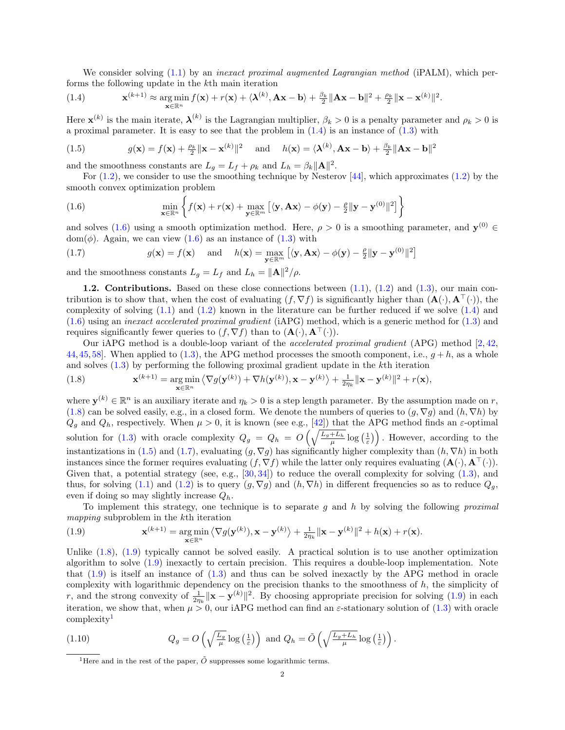We consider solving [\(1.1\)](#page-0-0) by an *inexact proximal augmented Lagrangian method* (iPALM), which performs the following update in the kth main iteration

<span id="page-1-0"></span>(1.4) 
$$
\mathbf{x}^{(k+1)} \approx \underset{\mathbf{x} \in \mathbb{R}^n}{\arg \min} f(\mathbf{x}) + r(\mathbf{x}) + \langle \mathbf{\lambda}^{(k)}, \mathbf{A}\mathbf{x} - \mathbf{b} \rangle + \frac{\beta_k}{2} ||\mathbf{A}\mathbf{x} - \mathbf{b}||^2 + \frac{\rho_k}{2} ||\mathbf{x} - \mathbf{x}^{(k)}||^2.
$$

Here  $\mathbf{x}^{(k)}$  is the main iterate,  $\mathbf{\lambda}^{(k)}$  is the Lagrangian multiplier,  $\beta_k > 0$  is a penalty parameter and  $\rho_k > 0$  is a proximal parameter. It is easy to see that the problem in  $(1.4)$  is an instance of  $(1.3)$  with

<span id="page-1-3"></span>(1.5) 
$$
g(\mathbf{x}) = f(\mathbf{x}) + \frac{\rho_k}{2} ||\mathbf{x} - \mathbf{x}^{(k)}||^2 \quad \text{and} \quad h(\mathbf{x}) = \langle \mathbf{\lambda}^{(k)}, \mathbf{A}\mathbf{x} - \mathbf{b} \rangle + \frac{\beta_k}{2} ||\mathbf{A}\mathbf{x} - \mathbf{b}||^2
$$

and the smoothness constants are  $L_g = L_f + \rho_k$  and  $L_h = \beta_k ||\mathbf{A}||^2$ .

For  $(1.2)$ , we consider to use the smoothing technique by Nesterov  $[44]$ , which approximates  $(1.2)$  by the smooth convex optimization problem

<span id="page-1-1"></span>(1.6) 
$$
\min_{\mathbf{x} \in \mathbb{R}^n} \left\{ f(\mathbf{x}) + r(\mathbf{x}) + \max_{\mathbf{y} \in \mathbb{R}^m} \left[ \langle \mathbf{y}, \mathbf{A} \mathbf{x} \rangle - \phi(\mathbf{y}) - \frac{\rho}{2} ||\mathbf{y} - \mathbf{y}^{(0)}||^2 \right] \right\}
$$

and solves [\(1.6\)](#page-1-1) using a smooth optimization method. Here,  $\rho > 0$  is a smoothing parameter, and  $\mathbf{y}^{(0)} \in$  $dom(\phi)$ . Again, we can view  $(1.6)$  as an instance of  $(1.3)$  with

<span id="page-1-4"></span>(1.7) 
$$
g(\mathbf{x}) = f(\mathbf{x}) \quad \text{and} \quad h(\mathbf{x}) = \max_{\mathbf{y} \in \mathbb{R}^m} \left[ \langle \mathbf{y}, \mathbf{A} \mathbf{x} \rangle - \phi(\mathbf{y}) - \frac{\rho}{2} ||\mathbf{y} - \mathbf{y}^{(0)}||^2 \right]
$$

and the smoothness constants  $L_g = L_f$  and  $L_h = ||\mathbf{A}||^2/\rho$ .

1.2. Contributions. Based on these close connections between  $(1.1)$ ,  $(1.2)$  and  $(1.3)$ , our main contribution is to show that, when the cost of evaluating  $(f, \nabla f)$  is significantly higher than  $(\mathbf{A}(\cdot), \mathbf{A}^{\top}(\cdot))$ , the complexity of solving  $(1.1)$  and  $(1.2)$  known in the literature can be further reduced if we solve  $(1.4)$  and [\(1.6\)](#page-1-1) using an inexact accelerated proximal gradient (iAPG) method, which is a generic method for [\(1.3\)](#page-0-2) and requires significantly fewer queries to  $(f, \nabla f)$  than to  $(\mathbf{A}(\cdot), \mathbf{A}^{\top}(\cdot)).$ 

Our iAPG method is a double-loop variant of the accelerated proximal gradient (APG) method [\[2,](#page-25-1) [42,](#page-26-5) [44,](#page-26-4)[45,](#page-26-6)[58\]](#page-27-0). When applied to [\(1.3\)](#page-0-2), the APG method processes the smooth component, i.e.,  $g + h$ , as a whole and solves [\(1.3\)](#page-0-2) by performing the following proximal gradient update in the kth iteration

<span id="page-1-2"></span>(1.8) 
$$
\mathbf{x}^{(k+1)} = \argmin_{\mathbf{x} \in \mathbb{R}^n} \left\langle \nabla g(\mathbf{y}^{(k)}) + \nabla h(\mathbf{y}^{(k)}), \mathbf{x} - \mathbf{y}^{(k)} \right\rangle + \frac{1}{2\eta_k} ||\mathbf{x} - \mathbf{y}^{(k)}||^2 + r(\mathbf{x}),
$$

where  $\mathbf{y}^{(k)} \in \mathbb{R}^n$  is an auxiliary iterate and  $\eta_k > 0$  is a step length parameter. By the assumption made on r, [\(1.8\)](#page-1-2) can be solved easily, e.g., in a closed form. We denote the numbers of queries to  $(g, \nabla g)$  and  $(h, \nabla h)$  by  $Q_g$  and  $Q_h$ , respectively. When  $\mu > 0$ , it is known (see e.g., [\[42\]](#page-26-5)) that the APG method finds an  $\varepsilon$ -optimal solution for [\(1.3\)](#page-0-2) with oracle complexity  $Q_g = Q_h = O\left(\sqrt{\frac{L_g + L_h}{\mu}} \log\left(\frac{1}{\varepsilon}\right)\right)$ . However, according to the instantizations in [\(1.5\)](#page-1-3) and [\(1.7\)](#page-1-4), evaluating  $(g, \nabla g)$  has significantly higher complexity than  $(h, \nabla h)$  in both instances since the former requires evaluating  $(f, \nabla f)$  while the latter only requires evaluating  $(\mathbf{A}(\cdot), \mathbf{A}^{\top}(\cdot))$ . Given that, a potential strategy (see, e.g., [\[30,](#page-26-0) [34\]](#page-26-1)) to reduce the overall complexity for solving [\(1.3\)](#page-0-2), and thus, for solving [\(1.1\)](#page-0-0) and [\(1.2\)](#page-0-1) is to query  $(g, \nabla g)$  and  $(h, \nabla h)$  in different frequencies so as to reduce  $Q_g$ , even if doing so may slightly increase  $Q_h$ .

To implement this strategy, one technique is to separate  $g$  and  $h$  by solving the following proximal mapping subproblem in the kth iteration

<span id="page-1-5"></span>(1.9) 
$$
\mathbf{x}^{(k+1)} = \argmin_{\mathbf{x} \in \mathbb{R}^n} \left\langle \nabla g(\mathbf{y}^{(k)}), \mathbf{x} - \mathbf{y}^{(k)} \right\rangle + \frac{1}{2\eta_k} ||\mathbf{x} - \mathbf{y}^{(k)}||^2 + h(\mathbf{x}) + r(\mathbf{x}).
$$

Unlike  $(1.8)$ ,  $(1.9)$  typically cannot be solved easily. A practical solution is to use another optimization algorithm to solve [\(1.9\)](#page-1-5) inexactly to certain precision. This requires a double-loop implementation. Note that  $(1.9)$  is itself an instance of  $(1.3)$  and thus can be solved inexactly by the APG method in oracle complexity with logarithmic dependency on the precision thanks to the smoothness of  $h$ , the simplicity of r, and the strong convexity of  $\frac{1}{2\eta_k} ||\mathbf{x} - \mathbf{y}^{(k)}||^2$ . By choosing appropriate precision for solving [\(1.9\)](#page-1-5) in each iteration, we show that, when  $\mu > 0$ , our iAPG method can find an  $\varepsilon$ -stationary solution of [\(1.3\)](#page-0-2) with oracle complexity<sup>[1](#page-1-6)</sup>

(1.10) 
$$
Q_g = O\left(\sqrt{\frac{L_g}{\mu}} \log\left(\frac{1}{\varepsilon}\right)\right) \text{ and } Q_h = \tilde{O}\left(\sqrt{\frac{L_g + L_h}{\mu}} \log\left(\frac{1}{\varepsilon}\right)\right).
$$

<span id="page-1-7"></span><span id="page-1-6"></span><sup>&</sup>lt;sup>1</sup>Here and in the rest of the paper,  $\tilde{O}$  suppresses some logarithmic terms.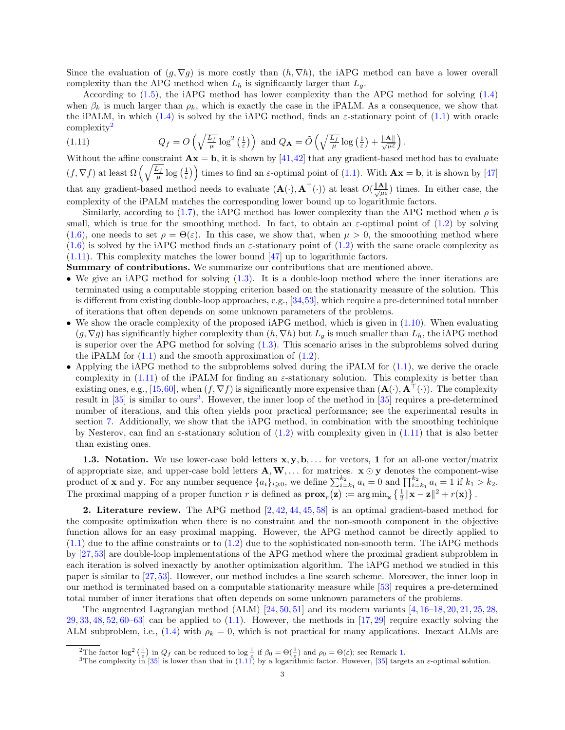Since the evaluation of  $(g, \nabla g)$  is more costly than  $(h, \nabla h)$ , the iAPG method can have a lower overall complexity than the APG method when  $L_h$  is significantly larger than  $L_g$ .

According to [\(1.5\)](#page-1-3), the iAPG method has lower complexity than the APG method for solving [\(1.4\)](#page-1-0) when  $\beta_k$  is much larger than  $\rho_k$ , which is exactly the case in the iPALM. As a consequence, we show that the iPALM, in which [\(1.4\)](#page-1-0) is solved by the iAPG method, finds an  $\varepsilon$ -stationary point of [\(1.1\)](#page-0-0) with oracle  $complexity<sup>2</sup>$  $complexity<sup>2</sup>$  $complexity<sup>2</sup>$ 

.

<span id="page-2-1"></span>(1.11) 
$$
Q_f = O\left(\sqrt{\frac{L_f}{\mu}} \log^2\left(\frac{1}{\varepsilon}\right)\right) \text{ and } Q_{\mathbf{A}} = \tilde{O}\left(\sqrt{\frac{L_f}{\mu}} \log\left(\frac{1}{\varepsilon}\right) + \frac{\|\mathbf{A}\|}{\sqrt{\mu \varepsilon}}\right)
$$

Without the affine constraint  $\mathbf{A}\mathbf{x} = \mathbf{b}$ , it is shown by [\[41,](#page-26-7)[42\]](#page-26-5) that any gradient-based method has to evaluate  $(f, \nabla f)$  at least  $\Omega\left(\sqrt{\frac{L_f}{\mu}}\log\left(\frac{1}{\varepsilon}\right)\right)$  times to find an  $\varepsilon$ -optimal point of [\(1.1\)](#page-0-0). With  $\mathbf{Ax} = \mathbf{b}$ , it is shown by [\[47\]](#page-26-8) that any gradient-based method needs to evaluate  $(\mathbf{A}(\cdot), \mathbf{A}^{\top}(\cdot))$  at least  $O(\frac{\|\mathbf{A}\|}{\sqrt{\mu\varepsilon}})$  times. In either case, the complexity of the iPALM matches the corresponding lower bound up to logarithmic factors.

Similarly, according to [\(1.7\)](#page-1-4), the iAPG method has lower complexity than the APG method when  $\rho$  is small, which is true for the smoothing method. In fact, to obtain an  $\varepsilon$ -optimal point of [\(1.2\)](#page-0-1) by solving [\(1.6\)](#page-1-1), one needs to set  $\rho = \Theta(\varepsilon)$ . In this case, we show that, when  $\mu > 0$ , the smooothing method where  $(1.6)$  is solved by the iAPG method finds an  $\varepsilon$ -stationary point of  $(1.2)$  with the same oracle complexity as [\(1.11\)](#page-2-1). This complexity matches the lower bound [\[47\]](#page-26-8) up to logarithmic factors.

Summary of contributions. We summarize our contributions that are mentioned above.

- We give an iAPG method for solving  $(1.3)$ . It is a double-loop method where the inner iterations are terminated using a computable stopping criterion based on the stationarity measure of the solution. This is different from existing double-loop approaches, e.g., [\[34,](#page-26-1)[53\]](#page-27-1), which require a pre-determined total number of iterations that often depends on some unknown parameters of the problems.
- We show the oracle complexity of the proposed iAPG method, which is given in  $(1.10)$ . When evaluating  $(g, \nabla g)$  has significantly higher complexity than  $(h, \nabla h)$  but  $L_g$  is much smaller than  $L_h$ , the iAPG method is superior over the APG method for solving [\(1.3\)](#page-0-2). This scenario arises in the subproblems solved during the iPALM for  $(1.1)$  and the smooth approximation of  $(1.2)$ .
- Applying the iAPG method to the subproblems solved during the iPALM for  $(1.1)$ , we derive the oracle complexity in [\(1.11\)](#page-2-1) of the iPALM for finding an  $\varepsilon$ -stationary solution. This complexity is better than existing ones, e.g., [\[15,](#page-26-2)[60\]](#page-27-2), when  $(f, \nabla f)$  is significantly more expensive than  $(\mathbf{A}(\cdot), \mathbf{A}^{\top}(\cdot))$ . The complexity result in [\[35\]](#page-26-9) is similar to ours<sup>[3](#page-2-2)</sup>. However, the inner loop of the method in [35] requires a pre-determined number of iterations, and this often yields poor practical performance; see the experimental results in section [7.](#page-22-0) Additionally, we show that the iAPG method, in combination with the smoothing techinique by Nesterov, can find an  $\varepsilon$ -stationary solution of [\(1.2\)](#page-0-1) with complexity given in [\(1.11\)](#page-2-1) that is also better than existing ones.

**1.3. Notation.** We use lower-case bold letters  $x, y, b, \ldots$  for vectors, 1 for an all-one vector/matrix of appropriate size, and upper-case bold letters  $A, W, \ldots$  for matrices.  $x \odot y$  denotes the component-wise product of **x** and **y**. For any number sequence  $\{a_i\}_{i\geqslant 0}$ , we define  $\sum_{i=k_1}^{k_2} a_i = 0$  and  $\prod_{i=k_1}^{k_2} a_i = 1$  if  $k_1 > k_2$ . The proximal mapping of a proper function r is defined as  $\mathbf{prox}_r(\mathbf{z}) := \arg \min_{\mathbf{x}} \left\{ \frac{1}{2} ||\mathbf{x} - \mathbf{z}||^2 + r(\mathbf{x}) \right\}.$ 

**2. Literature review.** The APG method  $[2, 42, 44, 45, 58]$  $[2, 42, 44, 45, 58]$  $[2, 42, 44, 45, 58]$  $[2, 42, 44, 45, 58]$  $[2, 42, 44, 45, 58]$  $[2, 42, 44, 45, 58]$  $[2, 42, 44, 45, 58]$  $[2, 42, 44, 45, 58]$  $[2, 42, 44, 45, 58]$  is an optimal gradient-based method for the composite optimization when there is no constraint and the non-smooth component in the objective function allows for an easy proximal mapping. However, the APG method cannot be directly applied to  $(1.1)$  due to the affine constraints or to  $(1.2)$  due to the sophisticated non-smooth term. The iAPG methods by [\[27,](#page-26-10)[53\]](#page-27-1) are double-loop implementations of the APG method where the proximal gradient subproblem in each iteration is solved inexactly by another optimization algorithm. The iAPG method we studied in this paper is similar to [\[27,](#page-26-10)[53\]](#page-27-1). However, our method includes a line search scheme. Moreover, the inner loop in our method is terminated based on a computable stationarity measure while [\[53\]](#page-27-1) requires a pre-determined total number of inner iterations that often depends on some unknown parameters of the problems.

The augmented Lagrangian method (ALM)  $[24, 50, 51]$  $[24, 50, 51]$  $[24, 50, 51]$  $[24, 50, 51]$  $[24, 50, 51]$  and its modern variants  $[4, 16-18, 20, 21, 25, 28,$  $[4, 16-18, 20, 21, 25, 28,$  $[4, 16-18, 20, 21, 25, 28,$  $[4, 16-18, 20, 21, 25, 28,$  $[4, 16-18, 20, 21, 25, 28,$  $[4, 16-18, 20, 21, 25, 28,$  $[4, 16-18, 20, 21, 25, 28,$  $[4, 16-18, 20, 21, 25, 28,$  $[4, 16-18, 20, 21, 25, 28,$  $[4, 16-18, 20, 21, 25, 28,$  $[4, 16-18, 20, 21, 25, 28,$  $29, 33, 48, 52, 60–63$  $29, 33, 48, 52, 60–63$  $29, 33, 48, 52, 60–63$  $29, 33, 48, 52, 60–63$  $29, 33, 48, 52, 60–63$  $29, 33, 48, 52, 60–63$  $29, 33, 48, 52, 60–63$  $29, 33, 48, 52, 60–63$  $29, 33, 48, 52, 60–63$  $29, 33, 48, 52, 60–63$  can be applied to  $(1.1)$ . However, the methods in  $[17, 29]$  $[17, 29]$  $[17, 29]$  require exactly solving the ALM subproblem, i.e., [\(1.4\)](#page-1-0) with  $\rho_k = 0$ , which is not practical for many applications. Inexact ALMs are

<span id="page-2-0"></span><sup>&</sup>lt;sup>2</sup>The factor log<sup>2</sup>  $(\frac{1}{\varepsilon})$  in  $Q_f$  can be reduced to log  $\frac{1}{\varepsilon}$  if  $\beta_0 = \Theta(\frac{1}{\varepsilon})$  and  $\rho_0 = \Theta(\varepsilon)$ ; see Remark [1.](#page-19-0)

<span id="page-2-2"></span><sup>&</sup>lt;sup>3</sup>The complexity in [\[35\]](#page-26-9) is lower than that in [\(1.11\)](#page-2-1) by a logarithmic factor. However, [35] targets an  $\varepsilon$ -optimal solution.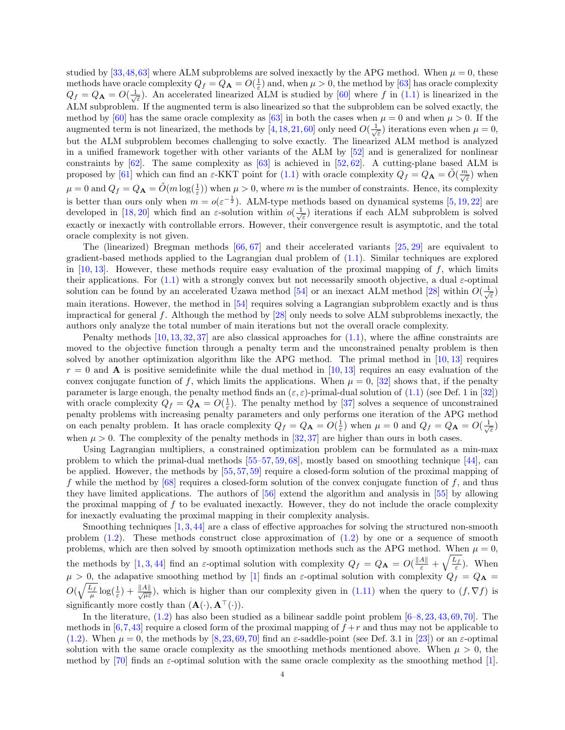studied by  $[33,48,63]$  $[33,48,63]$  $[33,48,63]$  where ALM subproblems are solved inexactly by the APG method. When  $\mu = 0$ , these methods have oracle complexity  $Q_f = Q_{\bf A} = O(\frac{1}{\varepsilon})$  and, when  $\mu > 0$ , the method by [\[63\]](#page-27-6) has oracle complexity  $Q_f = Q_A = O(\frac{1}{\sqrt{\varepsilon}})$ . An accelerated linearized ALM is studied by [\[60\]](#page-27-2) where f in [\(1.1\)](#page-0-0) is linearized in the ALM subproblem. If the augmented term is also linearized so that the subproblem can be solved exactly, the method by [\[60\]](#page-27-2) has the same oracle complexity as [\[63\]](#page-27-6) in both the cases when  $\mu = 0$  and when  $\mu > 0$ . If the augmented term is not linearized, the methods by [\[4,](#page-25-2)[18,](#page-26-13)[21,](#page-26-15)[60\]](#page-27-2) only need  $O(\frac{1}{\sqrt{\varepsilon}})$  iterations even when  $\mu = 0$ , but the ALM subproblem becomes challenging to solve exactly. The linearized ALM method is analyzed in a unified framework together with other variants of the ALM by [\[52\]](#page-27-5) and is generalized for nonlinear constraints by  $[62]$ . The same complexity as  $[63]$  is achieved in  $[52, 62]$  $[52, 62]$  $[52, 62]$ . A cutting-plane based ALM is proposed by [\[61\]](#page-27-8) which can find an  $\varepsilon$ -KKT point for [\(1.1\)](#page-0-0) with oracle complexity  $Q_f = Q_{\mathbf{A}} = \tilde{O}(\frac{m}{\sqrt{\varepsilon}})$  when  $\mu = 0$  and  $Q_f = Q_A = \tilde{O}(m \log(\frac{1}{\varepsilon}))$  when  $\mu > 0$ , where m is the number of constraints. Hence, its complexity is better than ours only when  $m = o(\varepsilon^{-\frac{1}{2}})$ . ALM-type methods based on dynamical systems [\[5,](#page-25-3) [19,](#page-26-22) [22\]](#page-26-23) are developed in [\[18,](#page-26-13) [20\]](#page-26-14) which find an  $\varepsilon$ -solution within  $o(\frac{1}{\sqrt{\varepsilon}})$  iterations if each ALM subproblem is solved exactly or inexactly with controllable errors. However, their convergence result is asymptotic, and the total oracle complexity is not given.

The (linearized) Bregman methods [\[66,](#page-27-9) [67\]](#page-27-10) and their accelerated variants [\[25,](#page-26-16) [29\]](#page-26-18) are equivalent to gradient-based methods applied to the Lagrangian dual problem of [\(1.1\)](#page-0-0). Similar techniques are explored in  $[10, 13]$  $[10, 13]$  $[10, 13]$ . However, these methods require easy evaluation of the proximal mapping of  $f$ , which limits their applications. For  $(1.1)$  with a strongly convex but not necessarily smooth objective, a dual  $\varepsilon$ -optimal solution can be found by an accelerated Uzawa method [\[54\]](#page-27-11) or an inexact ALM method [\[28\]](#page-26-17) within  $O(\frac{1}{\sqrt{\varepsilon}})$ main iterations. However, the method in [\[54\]](#page-27-11) requires solving a Lagrangian subproblem exactly and is thus impractical for general f. Although the method by  $[28]$  only needs to solve ALM subproblems inexactly, the authors only analyze the total number of main iterations but not the overall oracle complexity.

Penalty methods  $[10, 13, 32, 37]$  $[10, 13, 32, 37]$  $[10, 13, 32, 37]$  $[10, 13, 32, 37]$  $[10, 13, 32, 37]$  $[10, 13, 32, 37]$  $[10, 13, 32, 37]$  are also classical approaches for  $(1.1)$ , where the affine constraints are moved to the objective function through a penalty term and the unconstrained penalty problem is then solved by another optimization algorithm like the APG method. The primal method in  $[10, 13]$  $[10, 13]$  $[10, 13]$  requires  $r = 0$  and **A** is positive semidefinite while the dual method in [\[10,](#page-25-4) [13\]](#page-25-5) requires an easy evaluation of the convex conjugate function of f, which limits the applications. When  $\mu = 0$ , [\[32\]](#page-26-24) shows that, if the penalty parameter is large enough, the penalty method finds an  $(\varepsilon, \varepsilon)$ -primal-dual solution of  $(1.1)$  (see Def. 1 in [\[32\]](#page-26-24)) with oracle complexity  $Q_f = Q_{\bf A} = O(\frac{1}{\varepsilon})$ . The penalty method by [\[37\]](#page-26-25) solves a sequence of unconstrained penalty problems with increasing penalty parameters and only performs one iteration of the APG method on each penalty problem. It has oracle complexity  $Q_f = Q_{\mathbf{A}} = O(\frac{1}{\varepsilon})$  when  $\mu = 0$  and  $Q_f = Q_{\mathbf{A}} = O(\frac{1}{\sqrt{\varepsilon}})$ when  $\mu > 0$ . The complexity of the penalty methods in [\[32,](#page-26-24)[37\]](#page-26-25) are higher than ours in both cases.

Using Lagrangian multipliers, a constrained optimization problem can be formulated as a min-max problem to which the primal-dual methods  $[55–57, 59, 68]$  $[55–57, 59, 68]$  $[55–57, 59, 68]$  $[55–57, 59, 68]$  $[55–57, 59, 68]$  $[55–57, 59, 68]$ , mostly based on smoothing technique  $[44]$ , can be applied. However, the methods by [\[55,](#page-27-12) [57,](#page-27-13) [59\]](#page-27-14) require a closed-form solution of the proximal mapping of f while the method by  $[68]$  requires a closed-form solution of the convex conjugate function of f, and thus they have limited applications. The authors of [\[56\]](#page-27-16) extend the algorithm and analysis in [\[55\]](#page-27-12) by allowing the proximal mapping of  $f$  to be evaluated inexactly. However, they do not include the oracle complexity for inexactly evaluating the proximal mapping in their complexity analysis.

Smoothing techniques  $[1,3,44]$  $[1,3,44]$  $[1,3,44]$  are a class of effective approaches for solving the structured non-smooth problem  $(1.2)$ . These methods construct close approximation of  $(1.2)$  by one or a sequence of smooth problems, which are then solved by smooth optimization methods such as the APG method. When  $\mu = 0$ , the methods by [\[1,](#page-25-6) [3,](#page-25-7) [44\]](#page-26-4) find an  $\varepsilon$ -optimal solution with complexity  $Q_f = Q_{\mathbf{A}} = O(\frac{||A||}{\varepsilon} + \sqrt{\frac{L_f}{\varepsilon}})$ . When  $\mu > 0$ , the adapative smoothing method by [\[1\]](#page-25-6) finds an  $\varepsilon$ -optimal solution with complexity  $Q_f = Q_{\bf A}$  $O(\sqrt{\frac{L_f}{\mu}}\log(\frac{1}{\varepsilon})+\frac{\|A\|}{\sqrt{\mu\varepsilon}})$ , which is higher than our complexity given in [\(1.11\)](#page-2-1) when the query to  $(f, \nabla f)$  is significantly more costly than  $(\mathbf{A}(\cdot), \mathbf{A}^{\top}(\cdot)).$ 

In the literature,  $(1.2)$  has also been studied as a bilinear saddle point problem  $[6–8, 23, 43, 69, 70]$  $[6–8, 23, 43, 69, 70]$  $[6–8, 23, 43, 69, 70]$  $[6–8, 23, 43, 69, 70]$  $[6–8, 23, 43, 69, 70]$  $[6–8, 23, 43, 69, 70]$  $[6–8, 23, 43, 69, 70]$  $[6–8, 23, 43, 69, 70]$  $[6–8, 23, 43, 69, 70]$  $[6–8, 23, 43, 69, 70]$ . The methods in  $[6,7,43]$  $[6,7,43]$  $[6,7,43]$  require a closed form of the proximal mapping of  $f + r$  and thus may not be applicable to [\(1.2\)](#page-0-1). When  $\mu = 0$ , the methods by [\[8,](#page-25-9)[23,](#page-26-26)[69,](#page-27-17)[70\]](#page-27-18) find an  $\varepsilon$ -saddle-point (see Def. 3.1 in [\[23\]](#page-26-26)) or an  $\varepsilon$ -optimal solution with the same oracle complexity as the smoothing methods mentioned above. When  $\mu > 0$ , the method by [\[70\]](#page-27-18) finds an  $\varepsilon$ -optimal solution with the same oracle complexity as the smoothing method [\[1\]](#page-25-6).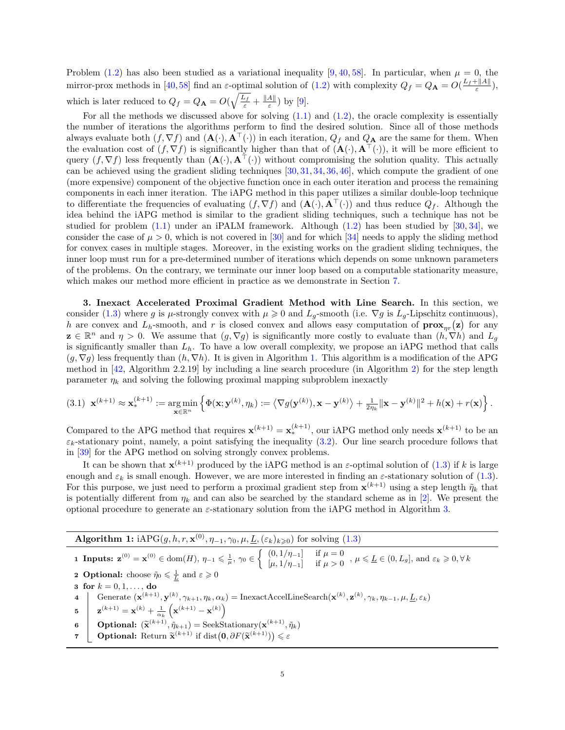Problem [\(1.2\)](#page-0-1) has also been studied as a variational inequality [\[9,](#page-25-11) [40,](#page-26-28) [58\]](#page-27-0). In particular, when  $\mu = 0$ , the mirror-prox methods in [\[40,](#page-26-28)[58\]](#page-27-0) find an  $\varepsilon$ -optimal solution of [\(1.2\)](#page-0-1) with complexity  $Q_f = Q_{\mathbf{A}} = O(\frac{L_f + ||A||}{\varepsilon}),$ which is later reduced to  $Q_f = Q_{\mathbf{A}} = O(\sqrt{\frac{L_f}{\varepsilon}} + \frac{||A||}{\varepsilon})$  $\frac{A_{\parallel}}{\varepsilon}$ ) by [\[9\]](#page-25-11).

For all the methods we discussed above for solving  $(1.1)$  and  $(1.2)$ , the oracle complexity is essentially the number of iterations the algorithms perform to find the desired solution. Since all of those methods always evaluate both  $(f, \nabla f)$  and  $(\mathbf{A}(\cdot), \mathbf{A}^{\top}(\cdot))$  in each iteration,  $Q_f$  and  $Q_{\mathbf{A}}$  are the same for them. When the evaluation cost of  $(f, \nabla f)$  is significantly higher than that of  $(\mathbf{A}(\cdot), \mathbf{A}^{\top}(\cdot))$ , it will be more efficient to query  $(f, \nabla f)$  less frequently than  $(\mathbf{A}(\cdot), \mathbf{A}^{\top}(\cdot))$  without compromising the solution quality. This actually can be achieved using the gradient sliding techniques [\[30,](#page-26-0) [31,](#page-26-29) [34,](#page-26-1) [36,](#page-26-30) [46\]](#page-26-31), which compute the gradient of one (more expensive) component of the objective function once in each outer iteration and process the remaining components in each inner iteration. The iAPG method in this paper utilizes a similar double-loop technique to differentiate the frequencies of evaluating  $(f, \nabla f)$  and  $(\mathbf{A}(\cdot), \mathbf{A}^{\top}(\cdot))$  and thus reduce  $Q_f$ . Although the idea behind the iAPG method is similar to the gradient sliding techniques, such a technique has not be studied for problem  $(1.1)$  under an iPALM framework. Although  $(1.2)$  has been studied by [\[30,](#page-26-0) [34\]](#page-26-1), we consider the case of  $\mu > 0$ , which is not covered in [\[30\]](#page-26-0) and for which [\[34\]](#page-26-1) needs to apply the sliding method for convex cases in multiple stages. Moreover, in the existing works on the gradient sliding techniques, the inner loop must run for a pre-determined number of iterations which depends on some unknown parameters of the problems. On the contrary, we terminate our inner loop based on a computable stationarity measure, which makes our method more efficient in practice as we demonstrate in Section [7.](#page-22-0)

3. Inexact Accelerated Proximal Gradient Method with Line Search. In this section, we consider [\(1.3\)](#page-0-2) where g is  $\mu$ -strongly convex with  $\mu \geq 0$  and  $L_g$ -smooth (i.e.  $\nabla g$  is  $L_g$ -Lipschitz continuous), h are convex and  $L_h$ -smooth, and r is closed convex and allows easy computation of  $\mathbf{prox}_{\eta r}(\mathbf{z})$  for any  $\mathbf{z} \in \mathbb{R}^n$  and  $\eta > 0$ . We assume that  $(g, \nabla g)$  is significantly more costly to evaluate than  $(h, \nabla h)$  and  $L_g$ is significantly smaller than  $L<sub>h</sub>$ . To have a low overall complexity, we propose an iAPG method that calls  $(g, \nabla g)$  less frequently than  $(h, \nabla h)$ . It is given in Algorithm [1.](#page-4-0) This algorithm is a modification of the APG method in [\[42,](#page-26-5) Algorithm 2.2.19] by including a line search procedure (in Algorithm [2\)](#page-5-0) for the step length parameter  $\eta_k$  and solving the following proximal mapping subproblem inexactly

<span id="page-4-1"></span>
$$
(3.1) \ \mathbf{x}^{(k+1)} \approx \mathbf{x}_*^{(k+1)} := \underset{\mathbf{x} \in \mathbb{R}^n}{\arg \min} \left\{ \Phi(\mathbf{x}; \mathbf{y}^{(k)}, \eta_k) := \left\langle \nabla g(\mathbf{y}^{(k)}), \mathbf{x} - \mathbf{y}^{(k)} \right\rangle + \frac{1}{2\eta_k} ||\mathbf{x} - \mathbf{y}^{(k)}||^2 + h(\mathbf{x}) + r(\mathbf{x}) \right\}.
$$

Compared to the APG method that requires  $\mathbf{x}^{(k+1)} = \mathbf{x}_*^{(k+1)}$ , our iAPG method only needs  $\mathbf{x}^{(k+1)}$  to be an  $\varepsilon_k$ -stationary point, namely, a point satisfying the inequality [\(3.2\)](#page-5-1). Our line search procedure follows that in [\[39\]](#page-26-32) for the APG method on solving strongly convex problems.

It can be shown that  $\mathbf{x}^{(k+1)}$  produced by the iAPG method is an  $\varepsilon$ -optimal solution of [\(1.3\)](#page-0-2) if k is large enough and  $\varepsilon_k$  is small enough. However, we are more interested in finding an  $\varepsilon$ -stationary solution of [\(1.3\)](#page-0-2). For this purpose, we just need to perform a proximal gradient step from  $\mathbf{x}^{(k+1)}$  using a step length  $\tilde{\eta}_k$  that is potentially different from  $\eta_k$  and can also be searched by the standard scheme as in [\[2\]](#page-25-1). We present the optional procedure to generate an  $\varepsilon$ -stationary solution from the iAPG method in Algorithm [3.](#page-5-2)

<span id="page-4-0"></span>**Algorithm 1:** iAPG $(g, h, r, \mathbf{x}^{(0)}, \eta_{-1}, \gamma_0, \mu, \underline{L}, (\varepsilon_k)_{k \geq 0})$  for solving [\(1.3\)](#page-0-2) 1 Inputs:  $\mathbf{z}^{(0)} = \mathbf{x}^{(0)} \in \text{dom}(H), \, \eta_{-1} \leq \frac{1}{\mu}, \, \gamma_0 \in \left\{ \begin{array}{cc} (0, 1/\eta_{-1}] & \text{if } \mu = 0 \\ [ \mu_1 + \eta_{-1}] & \text{if } \mu > 0 \end{array} \right.$  $\begin{array}{ll} (0, 1/\eta_{-1}] & \text{if } \mu = 0 \\ [\mu, 1/\eta_{-1}] & \text{if } \mu > 0 \end{array}$ ,  $\mu \leqslant \underline{L} \in (0, L_g]$ , and  $\varepsilon_k \geqslant 0, \forall k$ **2 Optional:** choose  $\tilde{\eta}_0 \leq \frac{1}{L}$  and  $\varepsilon \geq 0$ **2** Optional. choose  $\eta_0 \ll \underline{L}$ <br>**3** for  $k = 0, 1, \dots$ , do 4 Generate  $(\mathbf{x}^{(k+1)}, \mathbf{y}^{(k)}, \gamma_{k+1}, \eta_k, \alpha_k) = \text{InexactAccelLineSearch}(\mathbf{x}^{(k)}, \mathbf{z}^{(k)}, \gamma_k, \eta_{k-1}, \mu, \underline{L}, \varepsilon_k)$  $\mathbf{z}^{(k+1)} = \mathbf{x}^{(k)} + \frac{1}{\alpha_k} \left( \mathbf{x}^{(k+1)} - \mathbf{x}^{(k)} \right)$ 6 **Optional:**  $(\widetilde{\mathbf{x}}^{(k+1)}, \widetilde{\eta}_{k+1}) = \text{SeekStationary}(\mathbf{x}^{(k+1)}, \widetilde{\eta}_{k})$  $(k+1)$   $\tilde{n}$ ,  $\qquad$   $\qquad$   $\qquad$   $\qquad$   $\qquad$   $\qquad$   $\qquad$   $\qquad$   $\qquad$   $\qquad$   $\qquad$   $\qquad$   $\qquad$   $\qquad$   $\qquad$   $\qquad$   $\qquad$   $\qquad$   $\qquad$   $\qquad$   $\qquad$   $\qquad$   $\qquad$   $\qquad$   $\qquad$   $\qquad$   $\qquad$   $\qquad$   $\qquad$   $\qquad$   $\qquad$   $\qquad$   $\qquad$   $\qquad$  **7**  $\bigcup$  **Optional:** Return  $\widetilde{\mathbf{x}}^{(k+1)}$  if  $dist(\mathbf{0}, \partial F(\widetilde{\mathbf{x}}^{(k+1)})) \leq \varepsilon$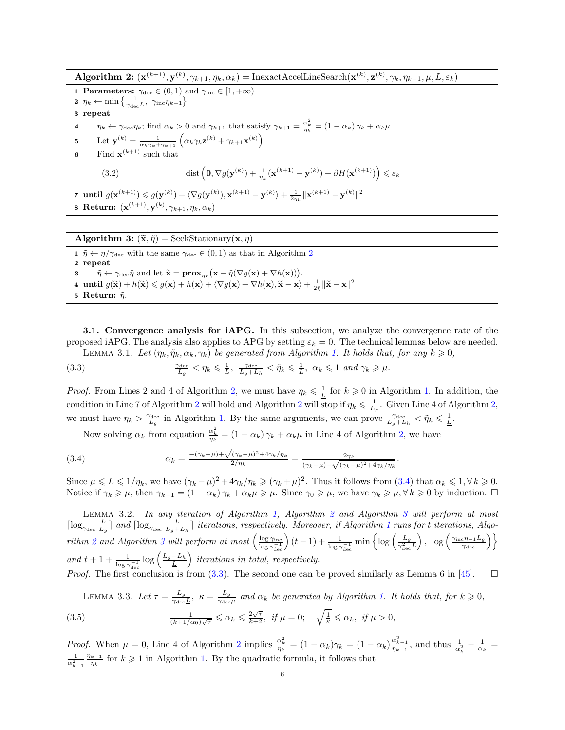$\textbf{Algorithm 2: } (\mathbf{x}^{(k+1)}, \mathbf{y}^{(k)}, \gamma_{k+1}, \eta_k, \alpha_k) = \text{InexactAccellineSearch}(\mathbf{x}^{(k)}, \mathbf{z}^{(k)}, \gamma_k, \eta_{k-1}, \mu, \underline{L}, \varepsilon_k)$ 

<span id="page-5-0"></span>1 Parameters:  $\gamma_{\text{dec}} \in (0,1)$  and  $\gamma_{\text{inc}} \in [1,+\infty)$ 2  $\eta_k \leftarrow \min\left\{\frac{1}{\gamma_{\text{dec}}L}, \gamma_{\text{inc}}\eta_{k-1}\right\}$ 3 repeat 4  $\eta_k \leftarrow \gamma_{\text{dec}} \eta_k$ ; find  $\alpha_k > 0$  and  $\gamma_{k+1}$  that satisfy  $\gamma_{k+1} = \frac{\alpha_k^2}{\eta_k} = (1 - \alpha_k) \gamma_k + \alpha_k \mu_k$  $\mathbf{5} \quad \begin{array}{c} \end{array} \begin{array}{c} \text{Let } \mathbf{y}^{(k)} = \frac{1}{\alpha_k \gamma_k + \gamma_{k+1}} \left( \alpha_k \gamma_k \mathbf{z}^{(k)} + \gamma_{k+1} \mathbf{x}^{(k)} \right) \end{array}$ 6 Find  $\mathbf{x}^{(k+1)}$  such that (3.2)  $\qquad \qquad \text{dist}\left(\mathbf{0}, \nabla g(\mathbf{y}^{(k)}) + \frac{1}{\eta_k}(\mathbf{x}^{(k+1)} - \mathbf{y}^{(k)}) + \partial H(\mathbf{x}^{(k+1)})\right) \leqslant \varepsilon_k$ 7 until  $g(\mathbf{x}^{(k+1)}) \leqslant g(\mathbf{y}^{(k)}) + \langle \nabla g(\mathbf{y}^{(k)}), \mathbf{x}^{(k+1)} - \mathbf{y}^{(k)} \rangle + \frac{1}{2\eta_k} ||\mathbf{x}^{(k+1)} - \mathbf{y}^{(k)}||^2$ 8 Return:  $(\mathbf{x}^{(k+1)}, \mathbf{y}^{(k)}, \gamma_{k+1}, \eta_k, \alpha_k)$ 

<span id="page-5-1"></span>Algorithm 3:  $(\tilde{\mathbf{x}}, \tilde{\eta}) = \text{SeekStationary}(\mathbf{x}, \eta)$ 

<span id="page-5-2"></span>1  $\tilde{\eta} \leftarrow \eta/\gamma_{\text{dec}}$  with the same  $\gamma_{\text{dec}} \in (0,1)$  as that in Algorithm [2](#page-5-0) 2 repeat  $3 \mid \tilde{\eta} \leftarrow \gamma_{\text{dec}} \tilde{\eta} \text{ and let } \tilde{\mathbf{x}} = \mathbf{prox}_{\tilde{\eta}r} (\mathbf{x} - \tilde{\eta}(\nabla g(\mathbf{x}) + \nabla h(\mathbf{x})))$ . 4 until  $g(\widetilde{\mathbf{x}}) + h(\widetilde{\mathbf{x}}) \leq g(\mathbf{x}) + h(\mathbf{x}) + \langle \nabla g(\mathbf{x}) + \nabla h(\mathbf{x}), \widetilde{\mathbf{x}} - \mathbf{x} \rangle + \frac{1}{2\overline{\eta}} ||\widetilde{\mathbf{x}} - \mathbf{x}||^2$ 5 Return:  $\tilde{\eta}$ .

3.1. Convergence analysis for iAPG. In this subsection, we analyze the convergence rate of the proposed iAPG. The analysis also applies to APG by setting  $\varepsilon_k = 0$ . The technical lemmas below are needed. LEMMA 3.[1.](#page-4-0) Let  $(\eta_k, \tilde{\eta}_k, \alpha_k, \gamma_k)$  be generated from Algorithm 1. It holds that, for any  $k \geq 0$ ,

<span id="page-5-5"></span><span id="page-5-4"></span>(3.3) 
$$
\frac{\gamma_{\text{dec}}}{L_g} < \eta_k \leq \frac{1}{\underline{L}}, \ \frac{\gamma_{\text{dec}}}{L_g + L_h} < \tilde{\eta}_k \leq \frac{1}{\underline{L}}, \ \alpha_k \leq 1 \ \text{and} \ \gamma_k \geq \mu.
$$

*Proof.* From Lines 2 and 4 of Algorithm [2,](#page-5-0) we must have  $\eta_k \leq \frac{1}{L}$  for  $k \geq 0$  in Algorithm [1.](#page-4-0) In addition, the condition in Line 7 of Algorithm [2](#page-5-0) will hold and Algorithm 2 will stop if  $\eta_k \leq \frac{1}{L_g}$ . Given Line 4 of Algorithm [2,](#page-5-0) we must have  $\eta_k > \frac{\gamma_{\text{dec}}}{L_g}$  in Algorithm [1.](#page-4-0) By the same arguments, we can prove  $\frac{\gamma_{\text{dec}}}{L_g + L_h} < \tilde{\eta}_k \leq \frac{1}{L}$ .

<span id="page-5-3"></span>Now solving  $\alpha_k$  from equation  $\frac{\alpha_k^2}{\eta_k} = (1 - \alpha_k)\gamma_k + \alpha_k\mu$  in Line 4 of Algorithm [2,](#page-5-0) we have

(3.4) 
$$
\alpha_k = \frac{-(\gamma_k - \mu) + \sqrt{(\gamma_k - \mu)^2 + 4\gamma_k/\eta_k}}{2/\eta_k} = \frac{2\gamma_k}{(\gamma_k - \mu) + \sqrt{(\gamma_k - \mu)^2 + 4\gamma_k/\eta_k}}.
$$

Since  $\mu \leq L \leq 1/\eta_k$ , we have  $(\gamma_k - \mu)^2 + 4\gamma_k/\eta_k \geq (\gamma_k + \mu)^2$ . Thus it follows from  $(3.4)$  that  $\alpha_k \leq 1, \forall k \geq 0$ . Notice if  $\gamma_k \geq \mu$ , then  $\gamma_{k+1} = (1 - \alpha_k) \gamma_k + \alpha_k \mu \geq \mu$ . Since  $\gamma_0 \geq \mu$ , we have  $\gamma_k \geq \mu, \forall k \geq 0$  by induction.  $\Box$ 

<span id="page-5-8"></span>LEMMA 3.2. In any iteration of Algorithm [1,](#page-4-0) Algorithm [2](#page-5-0) and Algorithm [3](#page-5-2) will perform at most  $\lceil \log_{\gamma_{\text{dec}}}\frac{L}{L} \rceil$  $\frac{L}{L_g}$  and  $\lceil \log_{\gamma_{\text{dec}}}\frac{L}{L_g+1}\rceil$  $\frac{L}{L_g+L_h}$  iterations, respectively. Moreover, if Algorithm [1](#page-4-0) runs for t iterations, Algo-rithm [2](#page-5-0) and Algorithm [3](#page-5-2) will perform at most  $\left(\frac{\log \gamma_{\text{inc}}}{\log \gamma_{\text{inc}}-1}\right)$  $\frac{\log \gamma_{\rm inc} }{\log \gamma_{\rm dec}^{-1}}\Big)(t-1) + \frac{1}{\log \gamma_{\rm dec}^{-1}} \min\Big\{ \log \Big( \frac{L_g}{\gamma_{\rm dec}^2} \Big)$ and  $t + 1 + \frac{1}{\log \gamma_{\text{dec}}^{-1}} \log \left( \frac{L_g + L_h}{\underline{L}} \right)$  iterations in total, respectively.  $\gamma_{\rm dec}^2L$  $\left.\frac{}{\gamma_\mathrm{inc}\eta_{-1}L_g}{\gamma_\mathrm{dec}}\right\}$ *Proof.* The first conclusion is from  $(3.3)$ . The second one can be proved similarly as Lemma 6 in [\[45\]](#page-26-6).  $\Box$ 

<span id="page-5-7"></span><span id="page-5-6"></span>LEMMA 3.3. Let  $\tau = \frac{L_g}{\gamma_1}$  $\frac{L_g}{\gamma_\text{dec}\underline{L}},\ \kappa=\frac{L_g}{\gamma_\text{dec}}$  $\frac{L_g}{\gamma_{\text{dec}}\mu}$  and  $\alpha_k$  be generated by Algorithm [1.](#page-4-0) It holds that, for  $k \geqslant 0$ , (3.5)  $\frac{1}{(k+1/\alpha_0)\sqrt{\tau}} \leq \alpha_k \leq \frac{2\sqrt{\tau}}{k+2}, \text{ if } \mu = 0; \quad \sqrt{\frac{1}{\kappa}} \leq \alpha_k, \text{ if } \mu > 0,$ 

*Proof.* When  $\mu = 0$ , Line 4 of Algorithm [2](#page-5-0) implies  $\frac{\alpha_k^2}{\eta_k} = (1 - \alpha_k)\gamma_k = (1 - \alpha_k)\frac{\alpha_{k-1}^2}{\eta_{k-1}},$  and thus  $\frac{1}{\alpha_k^2} - \frac{1}{\alpha_k} =$  $\frac{1}{\alpha_{k-1}^2}$  $\eta_{k-1}$  $\frac{k-1}{\eta_k}$  for  $k \geq 1$  in Algorithm [1.](#page-4-0) By the quadratic formula, it follows that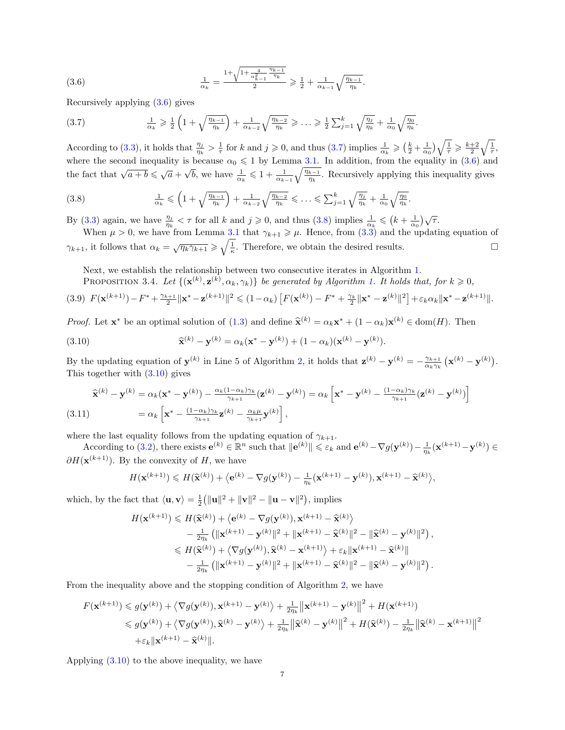<span id="page-6-0"></span>
$$
(3.6) \qquad \frac{1}{\alpha_k} = \frac{1 + \sqrt{1 + \frac{4}{\alpha_{k-1}^2} \frac{\eta_{k-1}}{\eta_k}}}{2} \ge \frac{1}{2} + \frac{1}{\alpha_{k-1}} \sqrt{\frac{\eta_{k-1}}{\eta_k}}
$$

Recursively applying [\(3.6\)](#page-6-0) gives

<span id="page-6-1"></span>
$$
(3.7) \qquad \frac{1}{\alpha_k} \geq \frac{1}{2} \left( 1 + \sqrt{\frac{\eta_{k-1}}{\eta_k}} \right) + \frac{1}{\alpha_{k-2}} \sqrt{\frac{\eta_{k-2}}{\eta_k}} \geq \ldots \geq \frac{1}{2} \sum_{j=1}^k \sqrt{\frac{\eta_j}{\eta_k}} + \frac{1}{\alpha_0} \sqrt{\frac{\eta_0}{\eta_k}}.
$$

According to [\(3.3\)](#page-5-4), it holds that  $\frac{\eta_j}{\eta_k} > \frac{1}{\tau}$  for k and  $j \geqslant 0$ , and thus [\(3.7\)](#page-6-1) implies  $\frac{1}{\alpha_k} \geqslant \left(\frac{k}{2} + \frac{1}{\alpha_0}\right)\sqrt{\frac{1}{\tau}} \geqslant \frac{k+2}{2}\sqrt{\frac{1}{\tau}}$ , where the second inequality is because  $\alpha_0 \leq 1$  by Lemma [3.1.](#page-5-5) In addition, from the equality in [\(3.6\)](#page-6-0) and the fact that  $\sqrt{a+b} \leq \sqrt{a} +$  $\sqrt{b}$ , we have  $\frac{1}{\alpha_k} \leq 1 + \frac{1}{\alpha_{k-1}} \sqrt{\frac{\eta_{k-1}}{\eta_k}}$ . Recursively applying this inequality gives

.

,

<span id="page-6-2"></span>
$$
(3.8) \qquad \frac{1}{\alpha_k} \leqslant \left(1 + \sqrt{\frac{\eta_{k-1}}{\eta_k}}\right) + \frac{1}{\alpha_{k-2}}\sqrt{\frac{\eta_{k-2}}{\eta_k}} \leqslant \ldots \leqslant \sum_{j=1}^k \sqrt{\frac{\eta_j}{\eta_k}} + \frac{1}{\alpha_0} \sqrt{\frac{\eta_0}{\eta_k}}.
$$

By [\(3.3\)](#page-5-4) again, we have  $\frac{\eta_j}{\eta_k} < \tau$  for all k and  $j \geqslant 0$ , and thus [\(3.8\)](#page-6-2) implies  $\frac{1}{\alpha_k} \leqslant (k + \frac{1}{\alpha_0})\sqrt{\tau}$ .

When  $\mu > 0$ , we have from Lemma [3.1](#page-5-5) that  $\gamma_{k+1} \geq \mu$ . Hence, from  $(3.3)$  and the updating equation of  $\gamma_{k+1}$ , it follows that  $\alpha_k = \sqrt{\eta_k \gamma_{k+1}} \geqslant \sqrt{\frac{1}{\kappa}}$ . Therefore, we obtain the desired results.

Next, we establish the relationship between two consecutive iterates in Algorithm [1.](#page-4-0)

<span id="page-6-5"></span>**PROPOSITION** 3.4. Let  $\{(\mathbf{x}^{(k)}, \mathbf{z}^{(k)}, \alpha_k, \gamma_k)\}$  be generated by Algorithm [1.](#page-4-0) It holds that, for  $k \geq 0$ ,

$$
(3.9) \ \ F(\mathbf{x}^{(k+1)}) - F^* + \frac{\gamma_{k+1}}{2} \|\mathbf{x}^* - \mathbf{z}^{(k+1)}\|^2 \leq (1 - \alpha_k) \left[ F(\mathbf{x}^{(k)}) - F^* + \frac{\gamma_k}{2} \|\mathbf{x}^* - \mathbf{z}^{(k)}\|^2 \right] + \varepsilon_k \alpha_k \|\mathbf{x}^* - \mathbf{z}^{(k+1)}\|.
$$

*Proof.* Let  $\mathbf{x}^*$  be an optimal solution of [\(1.3\)](#page-0-2) and define  $\hat{\mathbf{x}}^{(k)} = \alpha_k \mathbf{x}^* + (1 - \alpha_k) \mathbf{x}^{(k)} \in \text{dom}(H)$ . Then

<span id="page-6-3"></span>(3.10) 
$$
\widehat{\mathbf{x}}^{(k)} - \mathbf{y}^{(k)} = \alpha_k (\mathbf{x}^* - \mathbf{y}^{(k)}) + (1 - \alpha_k) (\mathbf{x}^{(k)} - \mathbf{y}^{(k)}).
$$

By the updating equation of  $\mathbf{y}^{(k)}$  in Line 5 of Algorithm [2,](#page-5-0) it holds that  $\mathbf{z}^{(k)} - \mathbf{y}^{(k)} = -\frac{\gamma_{k+1}}{\gamma_{k+1}}$  $\frac{\gamma_{k+1}}{\alpha_k \gamma_k} \left(\mathbf{x}^{(k)}-\mathbf{y}^{(k)}\right)$ . This together with  $(3.10)$  gives

<span id="page-6-4"></span>
$$
\widehat{\mathbf{x}}^{(k)} - \mathbf{y}^{(k)} = \alpha_k (\mathbf{x}^* - \mathbf{y}^{(k)}) - \frac{\alpha_k (1 - \alpha_k) \gamma_k}{\gamma_{k+1}} (\mathbf{z}^{(k)} - \mathbf{y}^{(k)}) = \alpha_k \left[ \mathbf{x}^* - \mathbf{y}^{(k)} - \frac{(1 - \alpha_k) \gamma_k}{\gamma_{k+1}} (\mathbf{z}^{(k)} - \mathbf{y}^{(k)}) \right]
$$
\n
$$
(3.11) \qquad \qquad = \alpha_k \left[ \mathbf{x}^* - \frac{(1 - \alpha_k) \gamma_k}{\gamma_{k+1}} \mathbf{z}^{(k)} - \frac{\alpha_k \mu}{\gamma_{k+1}} \mathbf{y}^{(k)} \right],
$$

where the last equality follows from the updating equation of  $\gamma_{k+1}$ .

According to [\(3.2\)](#page-5-1), there exists  $e^{(k)} \in \mathbb{R}^n$  such that  $||e^{(k)}|| \leq \varepsilon_k$  and  $e^{(k)} - \nabla g(\mathbf{y}^{(k)}) - \frac{1}{\eta_k}(\mathbf{x}^{(k+1)} - \mathbf{y}^{(k)}) \in$  $\partial H(\mathbf{x}^{(k+1)})$ . By the convexity of H, we have

$$
H(\mathbf{x}^{(k+1)}) \leq H(\widehat{\mathbf{x}}^{(k)}) + \left\langle \mathbf{e}^{(k)} - \nabla g(\mathbf{y}^{(k)}) - \frac{1}{\eta_k}(\mathbf{x}^{(k+1)} - \mathbf{y}^{(k)}), \mathbf{x}^{(k+1)} - \widehat{\mathbf{x}}^{(k)} \right\rangle
$$

which, by the fact that  $\langle \mathbf{u}, \mathbf{v} \rangle = \frac{1}{2} (||\mathbf{u}||^2 + ||\mathbf{v}||^2 - ||\mathbf{u} - \mathbf{v}||^2)$ , implies

$$
H(\mathbf{x}^{(k+1)}) \leq H(\widehat{\mathbf{x}}^{(k)}) + \left\langle \mathbf{e}^{(k)} - \nabla g(\mathbf{y}^{(k)}), \mathbf{x}^{(k+1)} - \widehat{\mathbf{x}}^{(k)} \right\rangle
$$
  
\n
$$
- \frac{1}{2\eta_k} \left( \|\mathbf{x}^{(k+1)} - \mathbf{y}^{(k)}\|^2 + \|\mathbf{x}^{(k+1)} - \widehat{\mathbf{x}}^{(k)}\|^2 - \|\widehat{\mathbf{x}}^{(k)} - \mathbf{y}^{(k)}\|^2 \right),
$$
  
\n
$$
\leq H(\widehat{\mathbf{x}}^{(k)}) + \left\langle \nabla g(\mathbf{y}^{(k)}), \widehat{\mathbf{x}}^{(k)} - \mathbf{x}^{(k+1)} \right\rangle + \varepsilon_k \|\mathbf{x}^{(k+1)} - \widehat{\mathbf{x}}^{(k)}\|
$$
  
\n
$$
- \frac{1}{2\eta_k} \left( \|\mathbf{x}^{(k+1)} - \mathbf{y}^{(k)}\|^2 + \|\mathbf{x}^{(k+1)} - \widehat{\mathbf{x}}^{(k)}\|^2 - \|\widehat{\mathbf{x}}^{(k)} - \mathbf{y}^{(k)}\|^2 \right).
$$

From the inequality above and the stopping condition of Algorithm [2,](#page-5-0) we have

$$
F(\mathbf{x}^{(k+1)}) \leq g(\mathbf{y}^{(k)}) + \langle \nabla g(\mathbf{y}^{(k)}), \mathbf{x}^{(k+1)} - \mathbf{y}^{(k)} \rangle + \frac{1}{2\eta_k} ||\mathbf{x}^{(k+1)} - \mathbf{y}^{(k)}||^2 + H(\mathbf{x}^{(k+1)})
$$
  
\n
$$
\leq g(\mathbf{y}^{(k)}) + \langle \nabla g(\mathbf{y}^{(k)}), \hat{\mathbf{x}}^{(k)} - \mathbf{y}^{(k)} \rangle + \frac{1}{2\eta_k} ||\hat{\mathbf{x}}^{(k)} - \mathbf{y}^{(k)}||^2 + H(\hat{\mathbf{x}}^{(k)}) - \frac{1}{2\eta_k} ||\hat{\mathbf{x}}^{(k)} - \mathbf{x}^{(k+1)}||^2
$$
  
\n
$$
+ \varepsilon_k ||\mathbf{x}^{(k+1)} - \hat{\mathbf{x}}^{(k)}||.
$$

Applying [\(3.10\)](#page-6-3) to the above inequality, we have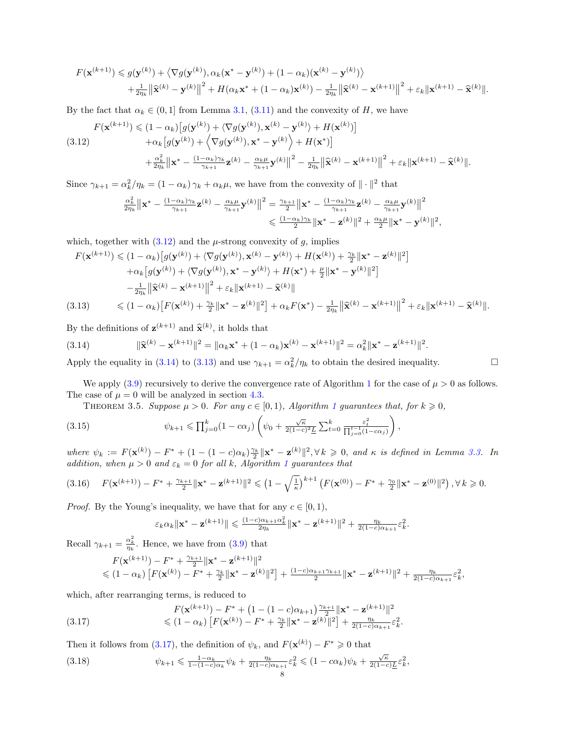$$
F(\mathbf{x}^{(k+1)}) \leq g(\mathbf{y}^{(k)}) + \left\langle \nabla g(\mathbf{y}^{(k)}), \alpha_k(\mathbf{x}^* - \mathbf{y}^{(k)}) + (1 - \alpha_k)(\mathbf{x}^{(k)} - \mathbf{y}^{(k)}) \right\rangle + \frac{1}{2\eta_k} \left\| \widehat{\mathbf{x}}^{(k)} - \mathbf{y}^{(k)} \right\|^2 + H(\alpha_k \mathbf{x}^* + (1 - \alpha_k)\mathbf{x}^{(k)}) - \frac{1}{2\eta_k} \left\| \widehat{\mathbf{x}}^{(k)} - \mathbf{x}^{(k+1)} \right\|^2 + \varepsilon_k \|\mathbf{x}^{(k+1)} - \widehat{\mathbf{x}}^{(k)}\|.
$$

By the fact that  $\alpha_k \in (0,1]$  from Lemma [3.1,](#page-5-5)  $(3.11)$  and the convexity of H, we have

<span id="page-7-0"></span>
$$
F(\mathbf{x}^{(k+1)}) \leq (1 - \alpha_k) \left[ g(\mathbf{y}^{(k)}) + \langle \nabla g(\mathbf{y}^{(k)}), \mathbf{x}^{(k)} - \mathbf{y}^{(k)} \rangle + H(\mathbf{x}^{(k)}) \right] + \alpha_k \left[ g(\mathbf{y}^{(k)}) + \langle \nabla g(\mathbf{y}^{(k)}), \mathbf{x}^* - \mathbf{y}^{(k)} \rangle + H(\mathbf{x}^*) \right] + \frac{\alpha_k^2}{2\eta_k} \left\| \mathbf{x}^* - \frac{(1 - \alpha_k)\gamma_k}{\gamma_{k+1}} \mathbf{z}^{(k)} - \frac{\alpha_k \mu}{\gamma_{k+1}} \mathbf{y}^{(k)} \right\|^2 - \frac{1}{2\eta_k} \left\| \widehat{\mathbf{x}}^{(k)} - \mathbf{x}^{(k+1)} \right\|^2 + \varepsilon_k \left\| \mathbf{x}^{(k+1)} - \widehat{\mathbf{x}}^{(k)} \right\|.
$$

Since  $\gamma_{k+1} = \alpha_k^2/\eta_k = (1 - \alpha_k)\gamma_k + \alpha_k\mu$ , we have from the convexity of  $\|\cdot\|^2$  that

$$
\frac{\alpha_k^2}{2\eta_k} \left\| \mathbf{x}^* - \frac{(1-\alpha_k)\gamma_k}{\gamma_{k+1}} \mathbf{z}^{(k)} - \frac{\alpha_k\mu}{\gamma_{k+1}} \mathbf{y}^{(k)} \right\|^2 = \frac{\gamma_{k+1}}{2} \left\| \mathbf{x}^* - \frac{(1-\alpha_k)\gamma_k}{\gamma_{k+1}} \mathbf{z}^{(k)} - \frac{\alpha_k\mu}{\gamma_{k+1}} \mathbf{y}^{(k)} \right\|^2
$$
  

$$
\leq \frac{(1-\alpha_k)\gamma_k}{2} \left\| \mathbf{x}^* - \mathbf{z}^{(k)} \right\|^2 + \frac{\alpha_k\mu}{2} \left\| \mathbf{x}^* - \mathbf{y}^{(k)} \right\|^2,
$$

which, together with  $(3.12)$  and the  $\mu$ -strong convexity of g, implies

<span id="page-7-2"></span>
$$
F(\mathbf{x}^{(k+1)}) \leq (1 - \alpha_k) \left[ g(\mathbf{y}^{(k)}) + \langle \nabla g(\mathbf{y}^{(k)}), \mathbf{x}^{(k)} - \mathbf{y}^{(k)} \rangle + H(\mathbf{x}^{(k)}) + \frac{\gamma_k}{2} \|\mathbf{x}^* - \mathbf{z}^{(k)}\|^2 \right] + \alpha_k \left[ g(\mathbf{y}^{(k)}) + \langle \nabla g(\mathbf{y}^{(k)}), \mathbf{x}^* - \mathbf{y}^{(k)} \rangle + H(\mathbf{x}^*) + \frac{\mu}{2} \|\mathbf{x}^* - \mathbf{y}^{(k)}\|^2 \right] - \frac{1}{2\eta_k} \|\widehat{\mathbf{x}}^{(k)} - \mathbf{x}^{(k+1)}\|^2 + \varepsilon_k \|\mathbf{x}^{(k+1)} - \widehat{\mathbf{x}}^{(k)}\| (3.13) \leq (1 - \alpha_k) \left[ F(\mathbf{x}^{(k)}) + \frac{\gamma_k}{2} \|\mathbf{x}^* - \mathbf{z}^{(k)}\|^2 \right] + \alpha_k F(\mathbf{x}^*) - \frac{1}{2\eta_k} \|\widehat{\mathbf{x}}^{(k)} - \mathbf{x}^{(k+1)}\|^2 + \varepsilon_k \|\mathbf{x}^{(k+1)} - \widehat{\mathbf{x}}^{(k)}\|.
$$

By the definitions of  $\mathbf{z}^{(k+1)}$  and  $\hat{\mathbf{x}}^{(k)}$ , it holds that

<span id="page-7-1"></span>(3.14) 
$$
\|\widehat{\mathbf{x}}^{(k)} - \mathbf{x}^{(k+1)}\|^2 = \|\alpha_k \mathbf{x}^* + (1 - \alpha_k) \mathbf{x}^{(k)} - \mathbf{x}^{(k+1)}\|^2 = \alpha_k^2 \|\mathbf{x}^* - \mathbf{z}^{(k+1)}\|^2.
$$

Apply the equality in [\(3.14\)](#page-7-1) to [\(3.13\)](#page-7-2) and use  $\gamma_{k+1} = \alpha_k^2/\eta_k$  to obtain the desired inequality.

We apply [\(3.9\)](#page-6-5) recursively to derive the convergence rate of Algorithm [1](#page-4-0) for the case of  $\mu > 0$  as follows. The case of  $\mu = 0$  will be analyzed in section [4.3.](#page-12-0)

<span id="page-7-5"></span>THEOREM 3.5. Suppose  $\mu > 0$ . For any  $c \in [0,1)$  $c \in [0,1)$  $c \in [0,1)$ , Algorithm 1 guarantees that, for  $k \geq 0$ ,

(3.15) 
$$
\psi_{k+1} \leq \prod_{j=0}^{k} (1 - c\alpha_j) \left( \psi_0 + \frac{\sqrt{\kappa}}{2(1-c)^2 \underline{L}} \sum_{t=0}^{k} \frac{\varepsilon_t^2}{\prod_{j=0}^{t-1} (1 - c\alpha_j)} \right),
$$

where  $\psi_k := F(\mathbf{x}^{(k)}) - F^* + (1 - (1 - c)\alpha_k) \frac{\gamma_k}{2} ||\mathbf{x}^* - \mathbf{z}^{(k)}||^2, \forall k \geq 0$ , and  $\kappa$  is defined in Lemma [3.3.](#page-5-6) In addition, when  $\mu > 0$  and  $\varepsilon_k = 0$  for all k, Algorithm [1](#page-4-0) guarantees that

<span id="page-7-6"></span>
$$
(3.16) \quad F(\mathbf{x}^{(k+1)}) - F^* + \frac{\gamma_{k+1}}{2} \|\mathbf{x}^* - \mathbf{z}^{(k+1)}\|^2 \leq (1 - \sqrt{\frac{1}{\kappa}})^{k+1} \left(F(\mathbf{x}^{(0)}) - F^* + \frac{\gamma_0}{2} \|\mathbf{x}^* - \mathbf{z}^{(0)}\|^2\right), \forall k \geq 0.
$$

*Proof.* By the Young's inequality, we have that for any  $c \in [0, 1)$ ,

<span id="page-7-7"></span>
$$
\varepsilon_k \alpha_k \|\mathbf{x}^* - \mathbf{z}^{(k+1)}\| \leq \frac{(1-c)\alpha_{k+1}\alpha_k^2}{2\eta_k} \|\mathbf{x}^* - \mathbf{z}^{(k+1)}\|^2 + \frac{\eta_k}{2(1-c)\alpha_{k+1}} \varepsilon_k^2.
$$

Recall  $\gamma_{k+1} = \frac{\alpha_k^2}{\eta_k}$ . Hence, we have from [\(3.9\)](#page-6-5) that

<span id="page-7-3"></span>
$$
F(\mathbf{x}^{(k+1)}) - F^* + \frac{\gamma_{k+1}}{2} \|\mathbf{x}^* - \mathbf{z}^{(k+1)}\|^2
$$
  
\$\leq (1 - \alpha\_k) [F(\mathbf{x}^{(k)}) - F^\* + \frac{\gamma\_k}{2} \|\mathbf{x}^\* - \mathbf{z}^{(k)}\|^2] + \frac{(1 - c)\alpha\_{k+1}\gamma\_{k+1}}{2} \|\mathbf{x}^\* - \mathbf{z}^{(k+1)}\|^2 + \frac{\eta\_k}{2(1 - c)\alpha\_{k+1}} \varepsilon\_k^2,

which, after rearranging terms, is reduced to

$$
F(\mathbf{x}^{(k+1)}) - F^* + (1 - (1 - c)\alpha_{k+1})\frac{\gamma_{k+1}}{2} \|\mathbf{x}^* - \mathbf{z}^{(k+1)}\|^2
$$
  
\n
$$
\leq (1 - \alpha_k) \left[ F(\mathbf{x}^{(k)}) - F^* + \frac{\gamma_k}{2} \|\mathbf{x}^* - \mathbf{z}^{(k)}\|^2 \right] + \frac{\eta_k}{2(1 - c)\alpha_{k+1}} \varepsilon_k^2.
$$

Then it follows from [\(3.17\)](#page-7-3), the definition of  $\psi_k$ , and  $F(\mathbf{x}^{(k)}) - F^* \geq 0$  that

<span id="page-7-4"></span>
$$
(3.18)\qquad\qquad\psi_{k+1}\leqslant\frac{1-\alpha_k}{1-(1-c)\alpha_k}\psi_k+\frac{\eta_k}{2(1-c)\alpha_{k+1}}\varepsilon_k^2\leqslant(1-c\alpha_k)\psi_k+\frac{\sqrt{\kappa}}{2(1-c)\underline{L}}\varepsilon_k^2,
$$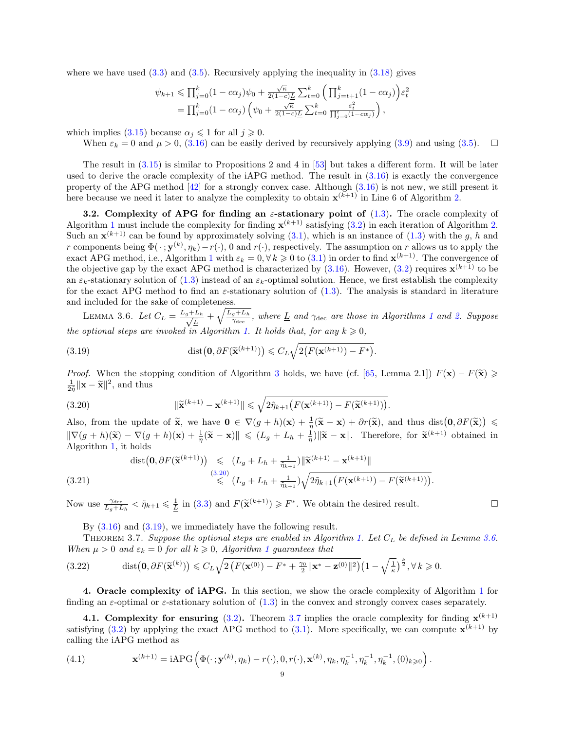where we have used  $(3.3)$  and  $(3.5)$ . Recursively applying the inequality in  $(3.18)$  gives

$$
\psi_{k+1} \leq \prod_{j=0}^k (1 - c\alpha_j)\psi_0 + \frac{\sqrt{\kappa}}{2(1-c)\underline{L}} \sum_{t=0}^k \left(\prod_{j=t+1}^k (1 - c\alpha_j)\right) \varepsilon_t^2
$$
  
=  $\prod_{j=0}^k (1 - c\alpha_j) \left(\psi_0 + \frac{\sqrt{\kappa}}{2(1-c)\underline{L}} \sum_{t=0}^k \frac{\varepsilon_t^2}{\prod_{j=0}^t (1 - c\alpha_j)}\right),$ 

which implies [\(3.15\)](#page-7-5) because  $\alpha_i \leq 1$  for all  $j \geq 0$ .

When  $\varepsilon_k = 0$  and  $\mu > 0$ , [\(3.16\)](#page-7-6) can be easily derived by recursively applying [\(3.9\)](#page-6-5) and using [\(3.5\)](#page-5-7).  $\Box$ 

The result in [\(3.15\)](#page-7-5) is similar to Propositions 2 and 4 in [\[53\]](#page-27-1) but takes a different form. It will be later used to derive the oracle complexity of the iAPG method. The result in [\(3.16\)](#page-7-6) is exactly the convergence property of the APG method  $[42]$  for a strongly convex case. Although  $(3.16)$  is not new, we still present it here because we need it later to analyze the complexity to obtain  $\mathbf{x}^{(k+1)}$  in Line 6 of Algorithm [2.](#page-5-0)

3.2. Complexity of APG for finding an  $\varepsilon$ -stationary point of [\(1.3\)](#page-0-2). The oracle complexity of Algorithm [1](#page-4-0) must include the complexity for finding  $\mathbf{x}^{(k+1)}$  satisfying [\(3.2\)](#page-5-1) in each iteration of Algorithm [2.](#page-5-0) Such an  $\mathbf{x}^{(k+1)}$  can be found by approximately solving  $(3.1)$ , which is an instance of  $(1.3)$  with the g, h and r components being  $\Phi(\cdot; \mathbf{y}^{(k)}, \eta_k) - r(\cdot)$ , 0 and  $r(\cdot)$ , respectively. The assumption on r allows us to apply the exact APG method, i.e., Algorithm [1](#page-4-0) with  $\varepsilon_k = 0, \forall k \geq 0$  to  $(3.1)$  in order to find  $\mathbf{x}^{(k+1)}$ . The convergence of the objective gap by the exact APG method is characterized by  $(3.16)$ . However,  $(3.2)$  requires  $\mathbf{x}^{(k+1)}$  to be an  $\varepsilon_k$ -stationary solution of [\(1.3\)](#page-0-2) instead of an  $\varepsilon_k$ -optimal solution. Hence, we first establish the complexity for the exact APG method to find an  $\varepsilon$ -stationary solution of [\(1.3\)](#page-0-2). The analysis is standard in literature and included for the sake of completeness.

<span id="page-8-2"></span>LEMMA 3.6. Let  $C_L = \frac{L_g + L_h}{\sqrt{L}}$  $\frac{L_h}{L} + \sqrt{\frac{L_g + L_h}{\gamma_{\text{dec}}}}$ , where  $\underline{L}$  and  $\gamma_{\text{dec}}$  are those in Algorithms [1](#page-4-0) and [2.](#page-5-0) Suppose the optional steps are invoked in Algorithm [1.](#page-4-0) It holds that, for any  $k \geqslant 0$ ,

<span id="page-8-1"></span>(3.19) 
$$
\text{dist}\big(\mathbf{0}, \partial F(\widetilde{\mathbf{x}}^{(k+1)})\big) \leqslant C_L \sqrt{2\big(F(\mathbf{x}^{(k+1)}) - F^*\big)}.
$$

*Proof.* When the stopping condition of Algorithm [3](#page-5-2) holds, we have (cf. [\[65,](#page-27-19) Lemma 2.1])  $F(\mathbf{x}) - F(\widetilde{\mathbf{x}}) \geqslant$  $\frac{1}{2\tilde{\eta}}\|\mathbf{x}-\widetilde{\mathbf{x}}\|^2$ , and thus

<span id="page-8-0"></span>(3.20) 
$$
\|\widetilde{\mathbf{x}}^{(k+1)} - \mathbf{x}^{(k+1)}\| \leq \sqrt{2\widetilde{\eta}_{k+1}\big(F(\mathbf{x}^{(k+1)}) - F(\widetilde{\mathbf{x}}^{(k+1)})\big)}.
$$

Also, from the update of  $\tilde{\mathbf{x}}$ , we have  $\mathbf{0} \in \nabla (g+h)(\mathbf{x}) + \frac{1}{\eta}(\tilde{\mathbf{x}} - \mathbf{x}) + \partial r(\tilde{\mathbf{x}})$ , and thus dist $(\mathbf{0}, \partial F(\tilde{\mathbf{x}})) \leq$  $\|\nabla(g+h)(\tilde{\mathbf{x}}) - \nabla(g+h)(\mathbf{x}) + \frac{1}{\eta}(\tilde{\mathbf{x}} - \mathbf{x})\| \leq (L_g + L_h + \frac{1}{\eta})\|\tilde{\mathbf{x}} - \mathbf{x}\|.$  Therefore, for  $\tilde{\mathbf{x}}^{(k+1)}$  obtained in Algorithm [1,](#page-4-0) it holds

$$
\begin{array}{rcl}\n\text{dist}\big(\mathbf{0}, \partial F(\widetilde{\mathbf{x}}^{(k+1)})\big) & \leqslant & (L_g + L_h + \frac{1}{\tilde{\eta}_{k+1}}) \|\widetilde{\mathbf{x}}^{(k+1)} - \mathbf{x}^{(k+1)}\| \\
& & \leqslant & (L_g + L_h + \frac{1}{\tilde{\eta}_{k+1}}) \sqrt{2\tilde{\eta}_{k+1} \big(F(\mathbf{x}^{(k+1)}) - F(\widetilde{\mathbf{x}}^{(k+1)})\big)}.\n\end{array}
$$

Now use  $\frac{\gamma_{\text{dec}}}{L_g + L_h} < \tilde{\eta}_{k+1} \leq \frac{1}{L}$  in [\(3.3\)](#page-5-4) and  $F(\tilde{\mathbf{x}}^{(k+1)}) \geq F^*$ . We obtain the desired result.

<span id="page-8-3"></span>By  $(3.16)$  and  $(3.19)$ , we immediately have the following result.

THEOREM 3.7. Suppose the optional steps are enabled in Algorithm [1.](#page-4-0) Let  $C_L$  be defined in Lemma [3.6.](#page-8-2) When  $\mu > 0$  and  $\varepsilon_k = 0$  for all  $k \geq 0$ , Algorithm [1](#page-4-0) guarantees that

$$
(3.22) \qquad \operatorname{dist}(\mathbf{0}, \partial F(\widetilde{\mathbf{x}}^{(k)})) \leqslant C_L \sqrt{2 \left( F(\mathbf{x}^{(0)}) - F^* + \frac{\gamma_0}{2} \|\mathbf{x}^* - \mathbf{z}^{(0)}\|^2 \right)} \left( 1 - \sqrt{\frac{1}{\kappa}} \right)^{\frac{k}{2}}, \forall k \geqslant 0.
$$

4. Oracle complexity of iAPG. In this section, we show the oracle complexity of Algorithm [1](#page-4-0) for finding an  $\varepsilon$ -optimal or  $\varepsilon$ -stationary solution of [\(1.3\)](#page-0-2) in the convex and strongly convex cases separately.

4.1. Complexity for ensuring  $(3.2)$ . Theorem [3.7](#page-8-3) implies the oracle complexity for finding  $\mathbf{x}^{(k+1)}$ satisfying [\(3.2\)](#page-5-1) by applying the exact APG method to [\(3.1\)](#page-4-1). More specifically, we can compute  $\mathbf{x}^{(k+1)}$  by calling the iAPG method as

<span id="page-8-4"></span>(4.1) 
$$
\mathbf{x}^{(k+1)} = \text{iAPG}\left(\Phi(\cdot; \mathbf{y}^{(k)}, \eta_k) - r(\cdot), 0, r(\cdot), \mathbf{x}^{(k)}, \eta_k, \eta_k^{-1}, \eta_k^{-1}, \eta_k^{-1}, (0)_{k \geqslant 0}\right).
$$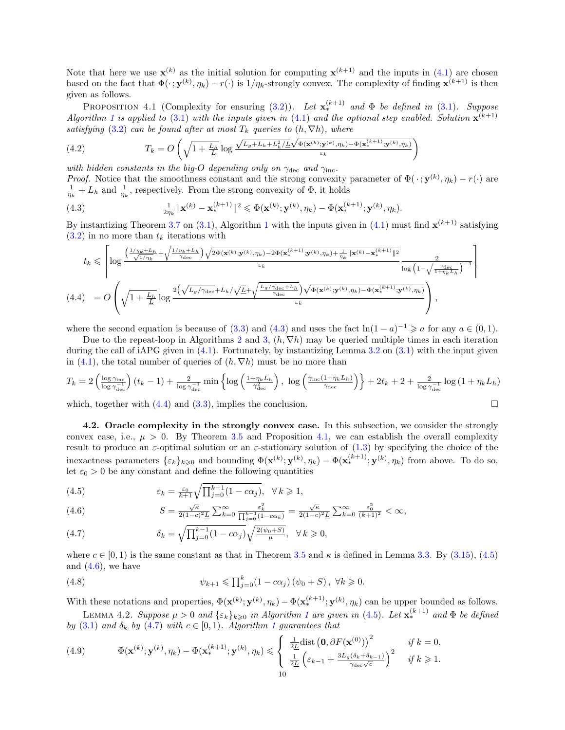Note that here we use  $\mathbf{x}^{(k)}$  as the initial solution for computing  $\mathbf{x}^{(k+1)}$  and the inputs in [\(4.1\)](#page-8-4) are chosen based on the fact that  $\Phi(\cdot; \mathbf{y}^{(k)}, \eta_k) - r(\cdot)$  is  $1/\eta_k$ -strongly convex. The complexity of finding  $\mathbf{x}^{(k+1)}$  is then given as follows.

<span id="page-9-2"></span>**PROPOSITION** 4.1 (Complexity for ensuring [\(3.2\)](#page-5-1)). Let  $\mathbf{x}_{*}^{(k+1)}$  and  $\Phi$  be defined in [\(3.1\)](#page-4-1). Suppose Algorithm [1](#page-4-0) is applied to [\(3.1\)](#page-4-1) with the inputs given in [\(4.1\)](#page-8-4) and the optional step enabled. Solution  $\mathbf{x}^{(k+1)}$ 

<span id="page-9-7"></span>satisfying (3.2) can be found after at most 
$$
T_k
$$
 queries to  $(h, \nabla h)$ , where  
\n(4.2) 
$$
T_k = O\left(\sqrt{1 + \frac{L_h}{L}} \log \frac{\sqrt{L_g + L_h + L_h^2 / \underline{L}} \sqrt{\Phi(\mathbf{x}^{(k)}; \mathbf{y}^{(k)}, \eta_k) - \Phi(\mathbf{x}_*^{(k+1)}; \mathbf{y}^{(k)}, \eta_k)}}{\varepsilon_k}\right)
$$

with hidden constants in the big-O depending only on  $\gamma_{\text{dec}}$  and  $\gamma_{\text{inc}}$ .

*Proof.* Notice that the smoothness constant and the strong convexity parameter of  $\Phi(\cdot; \mathbf{y}^{(k)}, \eta_k) - r(\cdot)$  are  $\frac{1}{\eta_k} + L_h$  and  $\frac{1}{\eta_k}$ , respectively. From the strong convexity of  $\Phi$ , it holds

<span id="page-9-0"></span>(4.3) 
$$
\frac{1}{2\eta_k} ||\mathbf{x}^{(k)} - \mathbf{x}_*^{(k+1)}||^2 \leq \Phi(\mathbf{x}^{(k)}; \mathbf{y}^{(k)}, \eta_k) - \Phi(\mathbf{x}_*^{(k+1)}; \mathbf{y}^{(k)}, \eta_k).
$$

By instantizing Theorem [3.7](#page-8-3) on [\(3.1\)](#page-4-1), Algorithm [1](#page-4-0) with the inputs given in [\(4.1\)](#page-8-4) must find  $\mathbf{x}^{(k+1)}$  satisfying  $(3.2)$  in no more than  $t_k$  iterations with

<span id="page-9-1"></span>
$$
t_k \leqslant \left\lceil \log \frac{\left(\frac{1/\eta_k + L_h}{\sqrt{1/\eta_k}} + \sqrt{\frac{1/\eta_k + L_h}{\gamma_{\text{dec}}}}\right) \sqrt{2\Phi(\mathbf{x}^{(k)}; \mathbf{y}^{(k)}, \eta_k) - 2\Phi(\mathbf{x}_*^{(k+1)}; \mathbf{y}^{(k)}, \eta_k) + \frac{1}{\eta_k} ||\mathbf{x}^{(k)} - \mathbf{x}_*^{(k+1)}||^2}}}{\epsilon_k} \frac{2}{\log \left(1 - \sqrt{\frac{\gamma_{\text{dec}}}{1 + \eta_k L_h}}\right)^{-1}} \right\rceil
$$
\n
$$
(4.4) \quad = O\left(\sqrt{1 + \frac{L_h}{\underline{L}}}\log \frac{2\left(\sqrt{L_g/\gamma_{\text{dec}} + L_h}/\sqrt{\underline{L}} + \sqrt{\frac{L_g/\gamma_{\text{dec}} + L_h}{\gamma_{\text{dec}}}}\right)\sqrt{\Phi(\mathbf{x}^{(k)}; \mathbf{y}^{(k)}, \eta_k) - \Phi(\mathbf{x}_*^{(k+1)}; \mathbf{y}^{(k)}, \eta_k)}}}{\epsilon_k}\right),
$$

where the second equation is because of [\(3.3\)](#page-5-4) and [\(4.3\)](#page-9-0) and uses the fact  $\ln(1-a)^{-1} \geq a$  for any  $a \in (0,1)$ .

Due to the repeat-loop in Algorithms [2](#page-5-0) and [3,](#page-5-2)  $(h, \nabla h)$  may be queried multiple times in each iteration during the call of iAPG given in  $(4.1)$ . Fortunately, by instantizing Lemma [3.2](#page-5-8) on  $(3.1)$  with the input given in [\(4.1\)](#page-8-4), the total number of queries of  $(h, \nabla h)$  must be no more than

$$
T_k = 2\left(\frac{\log \gamma_{\text{inc}}}{\log \gamma_{\text{dec}}^{-1}}\right)(t_k - 1) + \frac{2}{\log \gamma_{\text{dec}}^{-1}} \min\left\{\log\left(\frac{1 + \eta_k L_h}{\gamma_{\text{dec}}^2}\right), \log\left(\frac{\gamma_{\text{inc}}(1 + \eta_k L_h)}{\gamma_{\text{dec}}}\right)\right\} + 2t_k + 2 + \frac{2}{\log \gamma_{\text{dec}}^{-1}} \log\left(1 + \eta_k L_h\right)
$$

which, together with  $(4.4)$  and  $(3.3)$ , implies the conclusion.

4.2. Oracle complexity in the strongly convex case. In this subsection, we consider the strongly convex case, i.e.,  $\mu > 0$ . By Theorem [3.5](#page-7-7) and Proposition [4.1,](#page-9-2) we can establish the overall complexity result to produce an  $\varepsilon$ -optimal solution or an  $\varepsilon$ -stationary solution of [\(1.3\)](#page-0-2) by specifying the choice of the inexactness parameters  $\{\varepsilon_k\}_{k\geqslant0}$  and bounding  $\Phi(\mathbf{x}^{(k)}; \mathbf{y}^{(k)}, \eta_k) - \Phi(\mathbf{x}_*^{(k+1)}; \mathbf{y}^{(k)}, \eta_k)$  from above. To do so, let  $\varepsilon_0 > 0$  be any constant and define the following quantities

<span id="page-9-3"></span>(4.5) 
$$
\varepsilon_k = \frac{\varepsilon_0}{k+1} \sqrt{\prod_{j=0}^{k-1} (1 - c\alpha_j)}, \quad \forall \, k \geq 1,
$$

(4.6) 
$$
S = \frac{\sqrt{\kappa}}{2(1-c)^2 \underline{L}} \sum_{k=0}^{\infty} \frac{\varepsilon_k^2}{\prod_{j=0}^{k-1} (1-c\alpha_k)} = \frac{\sqrt{\kappa}}{2(1-c)^2 \underline{L}} \sum_{k=0}^{\infty} \frac{\varepsilon_0^2}{(k+1)^2} < \infty,
$$

(4.7) 
$$
\delta_k = \sqrt{\prod_{j=0}^{k-1} (1 - c\alpha_j)} \sqrt{\frac{2(\psi_0 + S)}{\mu}}, \quad \forall \, k \geq 0,
$$

where  $c \in [0, 1)$  is the same constant as that in Theorem [3.5](#page-7-7) and  $\kappa$  is defined in Lemma [3.3.](#page-5-6) By [\(3.15\)](#page-7-5), [\(4.5\)](#page-9-3) and  $(4.6)$ , we have

<span id="page-9-5"></span>(4.8) 
$$
\psi_{k+1} \leq \prod_{j=0}^{k} (1 - c\alpha_j) (\psi_0 + S), \ \forall k \geq 0.
$$

With these notations and properties,  $\Phi(\mathbf{x}^{(k)}; \mathbf{y}^{(k)}, \eta_k) - \Phi(\mathbf{x}_{*}^{(k+1)}; \mathbf{y}^{(k)}, \eta_k)$  can be upper bounded as follows.

<span id="page-9-6"></span>LEMMA 4.2. Suppose  $\mu > 0$  and  $\{\varepsilon_k\}_{k \geqslant 0}$  in Algorithm [1](#page-4-0) are given in [\(4.5\)](#page-9-3). Let  $\mathbf{x}_{*}^{(k+1)}$  and  $\Phi$  be defined by [\(3.1\)](#page-4-1) and  $\delta_k$  by [\(4.7\)](#page-9-3) with  $c \in [0,1)$  $c \in [0,1)$  $c \in [0,1)$ . Algorithm 1 guarantees that

<span id="page-9-4"></span>(4.9) 
$$
\Phi(\mathbf{x}^{(k)};\mathbf{y}^{(k)},\eta_k) - \Phi(\mathbf{x}_*^{(k+1)};\mathbf{y}^{(k)},\eta_k) \leq \begin{cases} \frac{1}{2L} \text{dist}(\mathbf{0},\partial F(\mathbf{x}^{(0)}))^2 & \text{if } k=0, \\ \frac{1}{2L} \left(\varepsilon_{k-1} + \frac{3L_g(\delta_k + \delta_{k-1})}{\gamma_{\text{dec}}\sqrt{c}}\right)^2 & \text{if } k \geq 1. \end{cases}
$$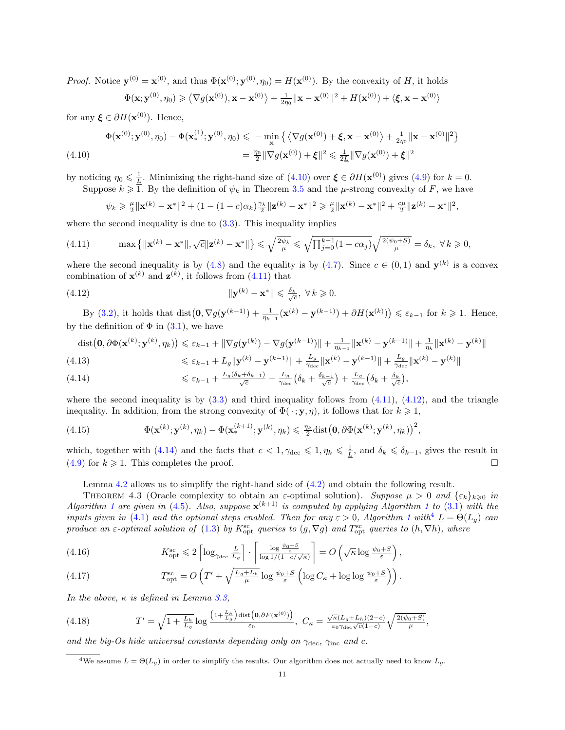*Proof.* Notice  $\mathbf{y}^{(0)} = \mathbf{x}^{(0)}$ , and thus  $\Phi(\mathbf{x}^{(0)}; \mathbf{y}^{(0)}, \eta_0) = H(\mathbf{x}^{(0)})$ . By the convexity of H, it holds

$$
\Phi(\mathbf{x}; \mathbf{y}^{(0)}, \eta_0) \geqslant \left\langle \nabla g(\mathbf{x}^{(0)}), \mathbf{x} - \mathbf{x}^{(0)} \right\rangle + \frac{1}{2\eta_0} \|\mathbf{x} - \mathbf{x}^{(0)}\|^2 + H(\mathbf{x}^{(0)}) + \left\langle \xi, \mathbf{x} - \mathbf{x}^{(0)} \right\rangle
$$

for any  $\xi \in \partial H(\mathbf{x}^{(0)})$ . Hence,

<span id="page-10-0"></span>
$$
\Phi(\mathbf{x}^{(0)};\mathbf{y}^{(0)},\eta_0) - \Phi(\mathbf{x}_*^{(1)};\mathbf{y}^{(0)},\eta_0) \leq -\min_{\mathbf{x}} \left\{ \left\langle \nabla g(\mathbf{x}^{(0)}) + \boldsymbol{\xi}, \mathbf{x} - \mathbf{x}^{(0)} \right\rangle + \frac{1}{2\eta_0} \|\mathbf{x} - \mathbf{x}^{(0)}\|^2 \right\}
$$
\n
$$
(4.10)
$$
\n
$$
= \frac{\eta_0}{2} \|\nabla g(\mathbf{x}^{(0)}) + \boldsymbol{\xi}\|^2 \leq \frac{1}{2L} \|\nabla g(\mathbf{x}^{(0)}) + \boldsymbol{\xi}\|^2
$$

by noticing  $\eta_0 \leq \frac{1}{L}$ . Minimizing the right-hand size of  $(4.10)$  over  $\boldsymbol{\xi} \in \partial H(\mathbf{x}^{(0)})$  gives  $(4.9)$  for  $k = 0$ .

Suppose  $k \geq 1$ . By the definition of  $\psi_k$  in Theorem [3.5](#page-7-7) and the  $\mu$ -strong convexity of F, we have

<span id="page-10-2"></span><span id="page-10-1"></span>
$$
\psi_k \geq \frac{\mu}{2} \|\mathbf{x}^{(k)} - \mathbf{x}^*\|^2 + (1 - (1 - c)\alpha_k) \frac{\gamma_k}{2} \|\mathbf{z}^{(k)} - \mathbf{x}^*\|^2 \geq \frac{\mu}{2} \|\mathbf{x}^{(k)} - \mathbf{x}^*\|^2 + \frac{c\mu}{2} \|\mathbf{z}^{(k)} - \mathbf{x}^*\|^2,
$$

where the second inequality is due to  $(3.3)$ . This inequality implies

$$
(4.11) \qquad \max\left\{\|\mathbf{x}^{(k)}-\mathbf{x}^*\|,\sqrt{c}\|\mathbf{z}^{(k)}-\mathbf{x}^*\|\right\}\leqslant\sqrt{\frac{2\psi_k}{\mu}}\leqslant\sqrt{\prod_{j=0}^{k-1}(1-c\alpha_j)}\sqrt{\frac{2(\psi_0+S)}{\mu}}=\delta_k,\ \forall\,k\geqslant 0,
$$

where the second inequality is by [\(4.8\)](#page-9-5) and the equality is by [\(4.7\)](#page-9-3). Since  $c \in (0,1)$  and  $\mathbf{y}^{(k)}$  is a convex combination of  $\mathbf{x}^{(k)}$  and  $\mathbf{z}^{(k)}$ , it follows from [\(4.11\)](#page-10-1) that

(4.12) 
$$
\|\mathbf{y}^{(k)} - \mathbf{x}^*\| \leq \frac{\delta_k}{\sqrt{c}}, \ \forall \, k \geq 0.
$$

By [\(3.2\)](#page-5-1), it holds that  $dist(\mathbf{0}, \nabla g(\mathbf{y}^{(k-1)}) + \frac{1}{\eta_{k-1}}(\mathbf{x}^{(k)} - \mathbf{y}^{(k-1)}) + \partial H(\mathbf{x}^{(k)}) \le \varepsilon_{k-1}$  for  $k \ge 1$ . Hence, by the definition of  $\Phi$  in [\(3.1\)](#page-4-1), we have

<span id="page-10-8"></span>
$$
\begin{split} \text{dist}\big(\mathbf{0}, \partial \Phi(\mathbf{x}^{(k)}; \mathbf{y}^{(k)}, \eta_k)\big) &\leq \varepsilon_{k-1} + \|\nabla g(\mathbf{y}^{(k)}) - \nabla g(\mathbf{y}^{(k-1)})\| + \frac{1}{\eta_{k-1}} \|\mathbf{x}^{(k)} - \mathbf{y}^{(k-1)}\| + \frac{1}{\eta_k} \|\mathbf{x}^{(k)} - \mathbf{y}^{(k)}\| \\ &\leq \varepsilon_{k-1} + L_g \|\mathbf{y}^{(k)} - \mathbf{y}^{(k-1)}\| + \frac{L_g}{\gamma_{\text{dec}}} \|\mathbf{x}^{(k)} - \mathbf{y}^{(k-1)}\| + \frac{L_g}{\gamma_{\text{dec}}} \|\mathbf{x}^{(k)} - \mathbf{y}^{(k)}\| \end{split}
$$

<span id="page-10-3"></span>(4.14) 
$$
\leq \varepsilon_{k-1} + \frac{L_g(\delta_k + \delta_{k-1})}{\sqrt{c}} + \frac{L_g}{\gamma_{\text{dec}}} \left( \delta_k + \frac{\delta_{k-1}}{\sqrt{c}} \right) + \frac{L_g}{\gamma_{\text{dec}}} \left( \delta_k + \frac{\delta_k}{\sqrt{c}} \right),
$$

where the second inequality is by  $(3.3)$  and third inequality follows from  $(4.11)$ ,  $(4.12)$ , and the triangle inequality. In addition, from the strong convexity of  $\Phi(\cdot; \mathbf{y}, \eta)$ , it follows that for  $k \geq 1$ ,

<span id="page-10-9"></span>(4.15) 
$$
\Phi(\mathbf{x}^{(k)};\mathbf{y}^{(k)},\eta_k) - \Phi(\mathbf{x}_*^{(k+1)};\mathbf{y}^{(k)},\eta_k) \leq \frac{\eta_k}{2} \text{dist}(\mathbf{0},\partial \Phi(\mathbf{x}^{(k)};\mathbf{y}^{(k)},\eta_k))^2,
$$

which, together with [\(4.14\)](#page-10-3) and the facts that  $c < 1, \gamma_{\text{dec}} \leq 1, \eta_k \leq \frac{1}{L}$ , and  $\delta_k \leq \delta_{k-1}$ , gives the result in  $(4.9)$  for  $k \ge 1$ . This completes the proof.

Lemma [4.2](#page-9-6) allows us to simplify the right-hand side of [\(4.2\)](#page-9-7) and obtain the following result.

<span id="page-10-6"></span>THEOREM 4.3 (Oracle complexity to obtain an  $\varepsilon$ -optimal solution). Suppose  $\mu > 0$  and  $\{\varepsilon_k\}_{k>0}$  in Algorithm [1](#page-4-0) are given in [\(4.5\)](#page-9-3). Also, suppose  $\mathbf{x}^{(k+1)}$  is computed by applying Algorithm 1 to [\(3.1\)](#page-4-1) with the inputs given in [\(4.1\)](#page-8-4) and the optional steps enabled. Then for any  $\varepsilon > 0$ , Algorithm [1](#page-4-0) with  $\frac{1}{L} = \Theta(L_q)$  can produce an  $\varepsilon$ -optimal solution of [\(1.3\)](#page-0-2) by  $K_{\text{opt}}^{\text{sc}}$  queries to  $(g, \nabla g)$  and  $T_{\text{opt}}^{\text{sc}}$  queries to  $(h, \nabla h)$ , where

<span id="page-10-5"></span>(4.16) 
$$
K_{\rm opt}^{\rm sc} \leq 2 \left[ \log_{\gamma_{\rm dec}} \frac{L}{L_g} \right] \cdot \left[ \frac{\log \frac{\psi_0 + S}{\varepsilon}}{\log 1/(1 - c/\sqrt{\kappa})} \right] = O\left(\sqrt{\kappa} \log \frac{\psi_0 + S}{\varepsilon}\right),
$$

(4.17) 
$$
T_{\rm opt}^{\rm sc} = O\left(T' + \sqrt{\frac{L_g + L_h}{\mu}} \log \frac{\psi_0 + S}{\varepsilon} \left( \log C_\kappa + \log \log \frac{\psi_0 + S}{\varepsilon} \right) \right).
$$

In the above,  $\kappa$  is defined in Lemma [3.3,](#page-5-6)

<span id="page-10-7"></span>(4.18) 
$$
T' = \sqrt{1 + \frac{L_h}{L_g}} \log \frac{\left(1 + \frac{L_h}{L_g}\right) \text{dist}\left(\mathbf{0}, \partial F(\mathbf{x}^{(0)})\right)}{\varepsilon_0}, \ C_\kappa = \frac{\sqrt{\kappa} (L_g + L_h)(2 - c)}{\varepsilon_0 \gamma \text{det}\sqrt{c}(1 - c)} \sqrt{\frac{2(\psi_0 + S)}{\mu}},
$$

and the big-Os hide universal constants depending only on  $\gamma_{\text{dec}}$ ,  $\gamma_{\text{inc}}$  and c.

<span id="page-10-4"></span><sup>&</sup>lt;sup>4</sup>We assume  $\underline{L} = \Theta(L_q)$  in order to simplify the results. Our algorithm does not actually need to know  $L_q$ .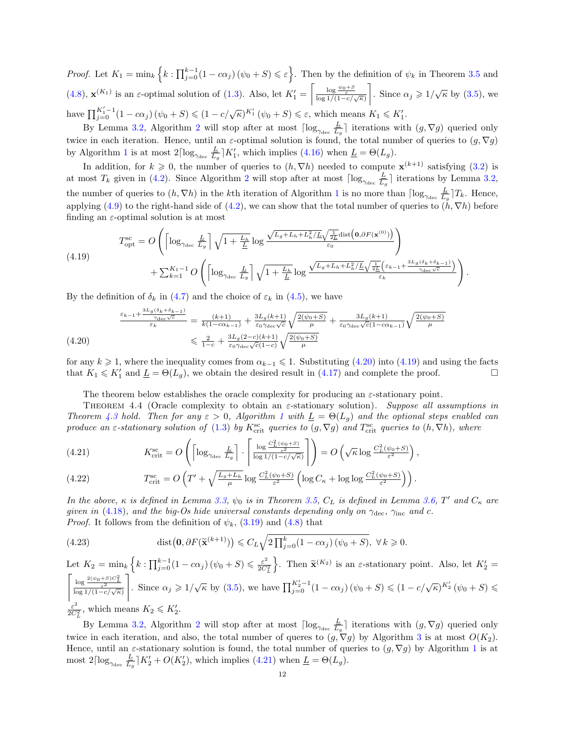Proof. Let  $K_1 = \min_k \left\{ k : \prod_{j=0}^{k-1} (1 - c\alpha_j) (\psi_0 + S) \leqslant \varepsilon \right\}$ . Then by the definition of  $\psi_k$  in Theorem [3.5](#page-7-7) and [\(4.8\)](#page-9-5),  $\mathbf{x}^{(K_1)}$  is an  $\varepsilon$ -optimal solution of [\(1.3\)](#page-0-2). Also, let  $K_1' = \begin{bmatrix} \frac{\log \psi_0 + S}{\varepsilon} \\ \frac{\log 1}{1 - c/\sqrt{\kappa}} \end{bmatrix}$ . Since  $\alpha_j \geqslant 1/\sqrt{\kappa}$  by [\(3.5\)](#page-5-7), we have  $\prod_{j=0}^{K_1'-1} (1 - c\alpha_j) (\psi_0 + S) \leq (1 - c/\sqrt{\kappa})^{K_1'} (\psi_0 + S) \leq \varepsilon$ , which means  $K_1 \leq K_1'$ .

By Lemma [3.2,](#page-5-8) Algorithm [2](#page-5-0) will stop after at most  $\lceil \log_{\gamma_{\text{dec}}} \frac{L}{L} \rceil$  $\frac{L}{L_g}$  iterations with  $(g, \nabla g)$  queried only twice in each iteration. Hence, until an  $\varepsilon$ -optimal solution is found, the total number of queries to  $(g, \nabla g)$ by Algorithm [1](#page-4-0) is at most  $2\lceil \log_{\gamma_{\text{dec}}}\frac{L}{L_d}\rceil$  $\frac{L}{L_g}$  | K'<sub>1</sub>, which implies [\(4.16\)](#page-10-5) when  $\underline{L} = \Theta(L_g)$ .

In addition, for  $k \geq 0$ , the number of queries to  $(h, \nabla h)$  needed to compute  $\mathbf{x}^{(k+1)}$  satisfying [\(3.2\)](#page-5-1) is at most  $T_k$  given in [\(4.2\)](#page-9-7). Since Algorithm [2](#page-5-0) will stop after at most  $\lceil \log_{\gamma_{\text{dec}}} \frac{L}{L_k} \rceil$  $\frac{L}{L_g}$  iterations by Lemma [3.2,](#page-5-8) the number of queries to  $(h, \nabla h)$  in the kth iteration of Algorithm [1](#page-4-0) is no more than  $\lceil \log_{\gamma_{\text{dec}}} \frac{L}{L_g} \rceil$  $\frac{L}{L_g}$ ] $T_k$ . Hence, applying [\(4.9\)](#page-9-4) to the right-hand side of [\(4.2\)](#page-9-7), we can show that the total number of queries to  $(h, \nabla h)$  before finding an  $\varepsilon$ -optimal solution is at most

<span id="page-11-1"></span>(4.19) 
$$
T_{\rm opt}^{\rm sc} = O\left(\left\lceil \log_{\gamma_{\rm dec}} \frac{L}{L_g} \right\rceil \sqrt{1 + \frac{L_h}{L}} \log \frac{\sqrt{L_g + L_h + L_h^2 / L} \sqrt{\frac{1}{2L}} \text{dist}\left(\mathbf{0}, \partial F(\mathbf{x}^{(0)})\right)}{\varepsilon_0}\right) + \sum_{k=1}^{K_1 - 1} O\left(\left\lceil \log_{\gamma_{\rm dec}} \frac{L}{L_g} \right\rceil \sqrt{1 + \frac{L_h}{L}} \log \frac{\sqrt{L_g + L_h + L_h^2 / L} \sqrt{\frac{1}{2L}} \left(\varepsilon_{k-1} + \frac{3L_g(\delta_k + \delta_{k-1})}{\gamma_{\rm dec}\sqrt{c}}\right)}{\varepsilon_k}\right).
$$

By the definition of  $\delta_k$  in [\(4.7\)](#page-9-3) and the choice of  $\varepsilon_k$  in [\(4.5\)](#page-9-3), we have

<span id="page-11-0"></span>
$$
\frac{\frac{\varepsilon_{k-1} + \frac{3L_g(\delta_k + \delta_{k-1})}{\gamma_{\text{dec}}\sqrt{c}}}{\varepsilon_k} = \frac{(k+1)}{k(1 - c\alpha_{k-1})} + \frac{3L_g(k+1)}{\varepsilon_0\gamma_{\text{dec}}\sqrt{c}}\sqrt{\frac{2(\psi_0 + S)}{\mu}} + \frac{3L_g(k+1)}{\varepsilon_0\gamma_{\text{dec}}\sqrt{c}(1 - c\alpha_{k-1})}\sqrt{\frac{2(\psi_0 + S)}{\mu}}
$$
\n
$$
\leq \frac{2}{1 - c} + \frac{3L_g(2 - c)(k+1)}{\varepsilon_0\gamma_{\text{dec}}\sqrt{c}(1 - c)}\sqrt{\frac{2(\psi_0 + S)}{\mu}}
$$

for any  $k \geq 1$ , where the inequality comes from  $\alpha_{k-1} \leq 1$ . Substituting [\(4.20\)](#page-11-0) into [\(4.19\)](#page-11-1) and using the facts that  $K_1 \leqslant K_1'$  and  $\underline{L} = \Theta(L_g)$ , we obtain the desired result in [\(4.17\)](#page-10-5) and complete the proof.

<span id="page-11-3"></span>The theorem below establishes the oracle complexity for producing an  $\varepsilon$ -stationary point.

THEOREM 4.4 (Oracle complexity to obtain an  $\varepsilon$ -stationary solution). Suppose all assumptions in Theorem [4.3](#page-10-6) hold. Then for any  $\varepsilon > 0$ , Algorithm [1](#page-4-0) with  $\underline{L} = \Theta(L_g)$  and the optional steps enabled can produce an  $\varepsilon$ -stationary solution of [\(1.3\)](#page-0-2) by  $K_{\text{crit}}^{\text{sc}}$  queries to  $(g, \nabla g)$  and  $T_{\text{crit}}^{\text{sc}}$  queries to  $(h, \nabla h)$ , where

<span id="page-11-2"></span>(4.21) 
$$
K_{\text{crit}}^{\text{sc}} = O\left(\left\lceil \log_{\gamma_{\text{dec}}}\frac{L}{L_g} \right\rceil \cdot \left\lceil \frac{\log \frac{C_L^2(\psi_0 + S)}{\varepsilon^2}}{\log 1/(1 - c/\sqrt{\kappa})} \right\rceil \right) = O\left(\sqrt{\kappa} \log \frac{C_L^2(\psi_0 + S)}{\varepsilon^2}\right),
$$

(4.22) 
$$
T_{\text{crit}}^{\text{sc}} = O\left(T' + \sqrt{\frac{L_g + L_h}{\mu}} \log \frac{C_L^2(\psi_0 + S)}{\varepsilon^2} \left(\log C_\kappa + \log \log \frac{C_L^2(\psi_0 + S)}{\varepsilon^2}\right)\right).
$$

In the above,  $\kappa$  is defined in Lemma [3.3,](#page-5-6)  $\psi_0$  is in Theorem [3.5,](#page-7-7)  $C_L$  is defined in Lemma [3.6,](#page-8-2) T' and  $C_{\kappa}$  are given in [\(4.18\)](#page-10-7), and the big-Os hide universal constants depending only on  $\gamma_{\text{dec}}$ ,  $\gamma_{\text{inc}}$  and c. *Proof.* It follows from the definition of  $\psi_k$ , [\(3.19\)](#page-8-1) and [\(4.8\)](#page-9-5) that

(4.23) 
$$
\text{dist}\big(\mathbf{0}, \partial F(\widetilde{\mathbf{x}}^{(k+1)})\big) \leqslant C_L \sqrt{2 \prod_{j=0}^k (1 - c\alpha_j) \left(\psi_0 + S\right)}, \ \forall \, k \geqslant 0.
$$

Let  $K_2 = \min_k \left\{ k : \prod_{j=0}^{k-1} (1 - c\alpha_j) (\psi_0 + S) \leqslant \frac{\varepsilon^2}{2C} \right\}$  $\overline{2C_L^2}$ }. Then  $\widetilde{\mathbf{x}}^{(K_2)}$  is an  $\varepsilon$ -stationary point. Also, let  $K_2' =$  $\left\lceil \frac{\log \frac{2(\psi_0+S)C_L^2}{\varepsilon^2}}{\log 1/(1-c/\sqrt{\kappa})} \right\rceil$ . Since  $\alpha_j \geq 1/\sqrt{\kappa}$  by [\(3.5\)](#page-5-7), we have  $\prod_{j=0}^{K_2'-1} (1-c\alpha_j) (\psi_0+S) \leq (1-c/\sqrt{\kappa})^{K_2'} (\psi_0+S) \leq$ ε 2  $\frac{\varepsilon^2}{2C_L^2}$ , which means  $K_2 \leqslant K_2'$ .

By Lemma [3.2,](#page-5-8) Algorithm [2](#page-5-0) will stop after at most  $\lceil \log_{\gamma_{\text{dec}}} \frac{L}{L} \rceil$  $\frac{L}{L_g}$  iterations with  $(g, \nabla g)$  queried only twice in each iteration, and also, the total number of queres to  $(g, \nabla g)$  by Algorithm [3](#page-5-2) is at most  $O(K_2)$ . Hence, until an  $\varepsilon$ -stationary solution is found, the total number of queries to  $(g, \nabla g)$  by Algorithm [1](#page-4-0) is at most  $2\lceil \log_{\gamma_{\text{dec}}}\frac{L}{L_{c}}\rceil$  $\frac{L}{L_g}$   $K_2' + O(K_2')$ , which implies [\(4.21\)](#page-11-2) when  $L = \Theta(L_g)$ .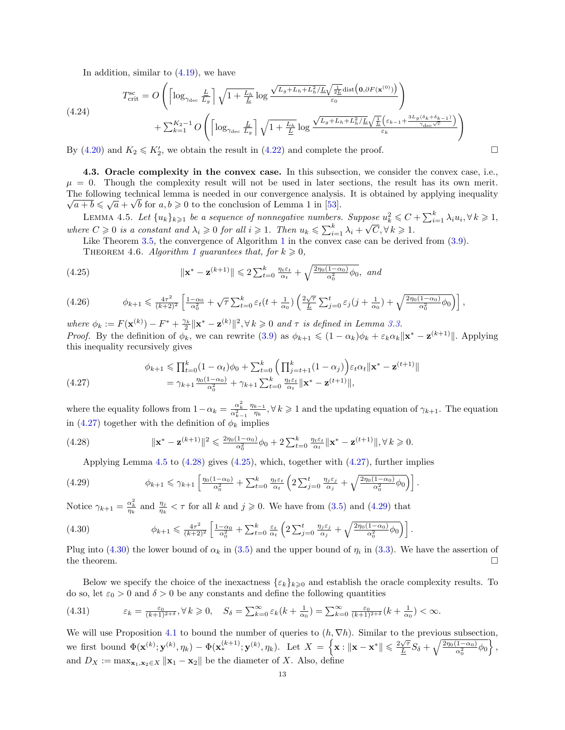In addition, similar to [\(4.19\)](#page-11-1), we have

(4.24)  
\n
$$
T_{\text{crit}}^{\text{sc}} = O\left(\left\lceil \log_{\gamma_{\text{dec}}}\frac{L}{L_g} \right\rceil \sqrt{1 + \frac{L_h}{\underline{L}}} \log \frac{\sqrt{L_g + L_h + L_h^2 / \underline{L}} \sqrt{\frac{1}{2\underline{L}}} \text{dist}\left(\mathbf{0}, \partial F(\mathbf{x}^{(0)})\right)}{\varepsilon_0}\right) + \sum_{k=1}^{K_2-1} O\left(\left\lceil \log_{\gamma_{\text{dec}}}\frac{L}{L_g} \right\rceil \sqrt{1 + \frac{L_h}{\underline{L}}} \log \frac{\sqrt{L_g + L_h + L_h^2 / \underline{L}} \sqrt{\frac{1}{\underline{L}}} \left(\varepsilon_{k-1} + \frac{3L_g(\delta_k + \delta_{k-1})}{\gamma_{\text{dec}}\sqrt{c}}\right)}{\varepsilon_k}\right)
$$

By [\(4.20\)](#page-11-0) and  $K_2 \le K_2'$ , we obtain the result in [\(4.22\)](#page-11-2) and complete the proof.

<span id="page-12-0"></span>4.3. Oracle complexity in the convex case. In this subsection, we consider the convex case, i.e.,  $\mu = 0$ . Though the complexity result will not be used in later sections, the result has its own merit. The following technical lemma is needed in our convergence analysis. It is obtained by applying inequality  $\overline{a+b} \leqslant \sqrt{a} + \sqrt{b}$  for  $a, b \geqslant 0$  to the conclusion of Lemma 1 in [\[53\]](#page-27-1).

LEMMA 4.5. Let  $\{u_k\}_{k\geqslant 1}$  be a sequence of nonnegative numbers. Suppose  $u_k^2 \leqslant C + \sum_{i=1}^k \lambda_i u_i, \forall k \geqslant 1$ , where  $C \geqslant 0$  is a constant and  $\lambda_i \geqslant 0$  for all  $i \geqslant 1$ . Then  $u_k \leqslant \sum_{i=1}^k \lambda_i +$  $\sqrt{C}$ ,  $\forall k \geq 1$ .

<span id="page-12-8"></span>Like Theorem [3.5,](#page-7-7) the convergence of Algorithm [1](#page-4-0) in the convex case can be derived from  $(3.9)$ .

<span id="page-12-4"></span>THEOREM 4.6. Algorithm [1](#page-4-0) guarantees that, for  $k \geqslant 0$ ,

(4.25) 
$$
\|\mathbf{x}^* - \mathbf{z}^{(k+1)}\| \leq 2\sum_{t=0}^k \frac{\eta_t \varepsilon_t}{\alpha_t} + \sqrt{\frac{2\eta_0(1-\alpha_0)}{\alpha_0^2}\phi_0}, \text{ and}
$$

<span id="page-12-9"></span>
$$
(4.26) \qquad \phi_{k+1} \leq \frac{4\tau^2}{(k+2)^2} \left[ \frac{1-\alpha_0}{\alpha_0^2} + \sqrt{\tau} \sum_{t=0}^k \varepsilon_t (t + \frac{1}{\alpha_0}) \left( \frac{2\sqrt{\tau}}{\underline{L}} \sum_{j=0}^t \varepsilon_j (j + \frac{1}{\alpha_0}) + \sqrt{\frac{2\eta_0 (1-\alpha_0)}{\alpha_0^2} \phi_0} \right) \right],
$$

where  $\phi_k := F(\mathbf{x}^{(k)}) - F^* + \frac{\gamma_k}{2} ||\mathbf{x}^* - \mathbf{z}^{(k)}||^2, \forall k \geq 0 \text{ and } \tau \text{ is defined in Lemma 3.3.}$  $\phi_k := F(\mathbf{x}^{(k)}) - F^* + \frac{\gamma_k}{2} ||\mathbf{x}^* - \mathbf{z}^{(k)}||^2, \forall k \geq 0 \text{ and } \tau \text{ is defined in Lemma 3.3.}$  $\phi_k := F(\mathbf{x}^{(k)}) - F^* + \frac{\gamma_k}{2} ||\mathbf{x}^* - \mathbf{z}^{(k)}||^2, \forall k \geq 0 \text{ and } \tau \text{ is defined in Lemma 3.3.}$ *Proof.* By the definition of  $\phi_k$ , we can rewrite [\(3.9\)](#page-6-5) as  $\phi_{k+1} \leq (1 - \alpha_k)\phi_k + \varepsilon_k \alpha_k ||\mathbf{x}^* - \mathbf{z}^{(k+1)}||$ . Applying this inequality recursively gives

<span id="page-12-1"></span>
$$
\phi_{k+1} \leq \prod_{t=0}^{k} (1 - \alpha_t) \phi_0 + \sum_{t=0}^{k} \left( \prod_{j=t+1}^{k} (1 - \alpha_j) \right) \varepsilon_t \alpha_t \| \mathbf{x}^* - \mathbf{z}^{(t+1)} \|
$$
  
=  $\gamma_{k+1} \frac{\eta_0 (1 - \alpha_0)}{\alpha_0^2} + \gamma_{k+1} \sum_{t=0}^{k} \frac{\eta_t \varepsilon_t}{\alpha_t} \| \mathbf{x}^* - \mathbf{z}^{(t+1)} \|,$ 

where the equality follows from  $1 - \alpha_k = \frac{\alpha_k^2}{\alpha_{k-1}^2}$  $\eta_{k-1}$  $\frac{k-1}{\eta_k}$ ,  $\forall k \geq 1$  and the updating equation of  $\gamma_{k+1}$ . The equation in [\(4.27\)](#page-12-1) together with the definition of  $\phi_k$  implies

(4.28) 
$$
\|\mathbf{x}^* - \mathbf{z}^{(k+1)}\|^2 \leq \frac{2\eta_0(1-\alpha_0)}{\alpha_0^2}\phi_0 + 2\sum_{t=0}^k \frac{\eta_t \varepsilon_t}{\alpha_t} \|\mathbf{x}^* - \mathbf{z}^{(t+1)}\|, \forall k \geq 0.
$$

<span id="page-12-5"></span><span id="page-12-3"></span>Applying Lemma  $4.5$  to  $(4.28)$  gives  $(4.25)$ , which, together with  $(4.27)$ , further implies

(4.29) 
$$
\phi_{k+1} \leq \gamma_{k+1} \left[ \frac{\eta_0(1-\alpha_0)}{\alpha_0^2} + \sum_{t=0}^k \frac{\eta_t \varepsilon_t}{\alpha_t} \left( 2 \sum_{j=0}^t \frac{\eta_j \varepsilon_j}{\alpha_j} + \sqrt{\frac{2\eta_0(1-\alpha_0)}{\alpha_0^2} \phi_0} \right) \right].
$$

Notice  $\gamma_{k+1} = \frac{\alpha_k^2}{\eta_k}$  and  $\frac{\eta_j}{\eta_k} < \tau$  for all k and  $j \geqslant 0$ . We have from [\(3.5\)](#page-5-7) and [\(4.29\)](#page-12-5) that

<span id="page-12-6"></span>(4.30) 
$$
\phi_{k+1} \leq \frac{4\tau^2}{(k+2)^2} \left[ \frac{1-\alpha_0}{\alpha_0^2} + \sum_{t=0}^k \frac{\varepsilon_t}{\alpha_t} \left( 2 \sum_{j=0}^t \frac{\eta_j \varepsilon_j}{\alpha_j} + \sqrt{\frac{2\eta_0(1-\alpha_0)}{\alpha_0^2} \phi_0} \right) \right].
$$

Plug into [\(4.30\)](#page-12-6) the lower bound of  $\alpha_k$  in [\(3.5\)](#page-5-7) and the upper bound of  $\eta_i$  in [\(3.3\)](#page-5-4). We have the assertion of the theorem.  $\Box$ 

Below we specify the choice of the inexactness  $\{\varepsilon_k\}_{k\geqslant0}$  and establish the oracle complexity results. To do so, let  $\varepsilon_0 > 0$  and  $\delta > 0$  be any constants and define the following quantities

<span id="page-12-7"></span>
$$
(4.31) \qquad \qquad \varepsilon_k = \frac{\varepsilon_0}{(k+1)^{2+\delta}}, \forall \, k \geq 0, \quad S_\delta = \sum_{k=0}^\infty \varepsilon_k (k + \frac{1}{\alpha_0}) = \sum_{k=0}^\infty \frac{\varepsilon_0}{(k+1)^{2+\delta}} (k + \frac{1}{\alpha_0}) < \infty.
$$

We will use Proposition [4.1](#page-9-2) to bound the number of queries to  $(h, \nabla h)$ . Similar to the previous subsection, we first bound  $\Phi(\mathbf{x}^{(k)}; \mathbf{y}^{(k)}, \eta_k) - \Phi(\mathbf{x}_{*}^{(k+1)}; \mathbf{y}^{(k)}, \eta_k)$ . Let  $X = \{\mathbf{x} : ||\mathbf{x} - \mathbf{x}^*|| \leq \frac{2\sqrt{\tau}}{L}\}$  $\frac{\sqrt{\tau}}{\underline{L}}S_{\delta}+\sqrt{\frac{2\eta_{0}(1-\alpha_{0})}{\alpha_{0}^{2}}}\phi_{0}\bigg\}\,,$ and  $D_X := \max_{\mathbf{x}_1, \mathbf{x}_2 \in X} ||\mathbf{x}_1 - \mathbf{x}_2||$  be the diameter of X. Also, define

<span id="page-12-2"></span>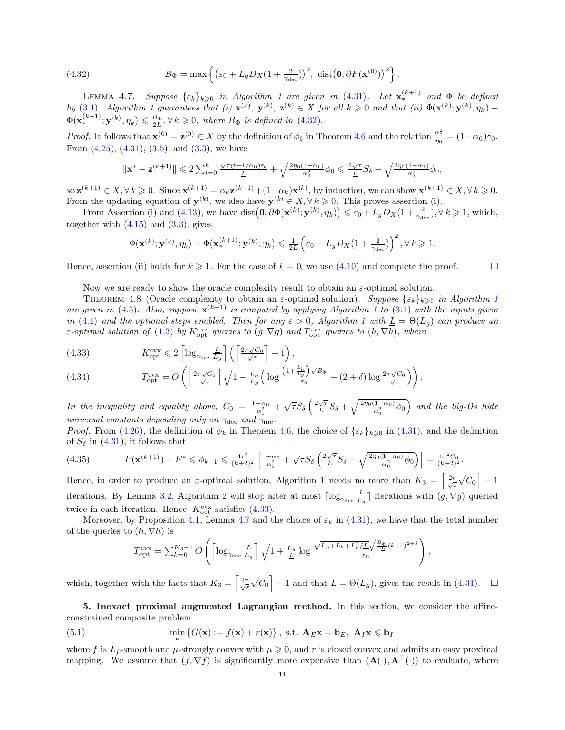<span id="page-13-1"></span>(4.32) 
$$
B_{\Phi} = \max \left\{ \left( \varepsilon_0 + L_g D_X (1 + \frac{2}{\gamma_{\text{dec}}}) \right)^2, \ \text{dist} \left( \mathbf{0}, \partial F(\mathbf{x}^{(0)}) \right)^2 \right\}.
$$

<span id="page-13-3"></span>LEMMA 4.7. Suppose  $\{\varepsilon_k\}_{k\geqslant0}$  in Algorithm [1](#page-4-0) are given in [\(4.31\)](#page-12-7). Let  $\mathbf{x}_{*}^{(k+1)}$  and  $\Phi$  be defined by [\(3.1\)](#page-4-1). Algorithm [1](#page-4-0) guarantees that (i)  $\mathbf{x}^{(k)}$ ,  $\mathbf{y}^{(k)}$ ,  $\mathbf{z}^{(k)} \in X$  for all  $k \geq 0$  and that (ii)  $\Phi(\mathbf{x}^{(k)}; \mathbf{y}^{(k)}, \eta_k)$  - $\Phi(\mathbf{x}_*^{(k+1)}; \mathbf{y}^{(k)}, \eta_k) \leq \frac{B_\Phi}{2L}, \forall k \geq 0, \text{ where } B_\Phi \text{ is defined in (4.32)}.$  $\Phi(\mathbf{x}_*^{(k+1)}; \mathbf{y}^{(k)}, \eta_k) \leq \frac{B_\Phi}{2L}, \forall k \geq 0, \text{ where } B_\Phi \text{ is defined in (4.32)}.$  $\Phi(\mathbf{x}_*^{(k+1)}; \mathbf{y}^{(k)}, \eta_k) \leq \frac{B_\Phi}{2L}, \forall k \geq 0, \text{ where } B_\Phi \text{ is defined in (4.32)}.$ 

Proof. It follows that  $\mathbf{x}^{(0)} = \mathbf{z}^{(0)} \in X$  by the definition of  $\phi_0$  in Theorem [4.6](#page-12-8) and the relation  $\frac{\alpha_0^2}{\eta_0} = (1 - \alpha_0)\gamma_0$ . From  $(4.25)$ ,  $(4.31)$ ,  $(3.5)$ , and  $(3.3)$ , we have

$$
\|\mathbf{x}^* - \mathbf{z}^{(k+1)}\| \leq 2\sum_{t=0}^k \frac{\sqrt{\tau} (t+1/\alpha_0)\varepsilon_t}{\underline{L}} + \sqrt{\frac{2\eta_0(1-\alpha_0)}{\alpha_0^2}\phi_0} \leqslant \frac{2\sqrt{\tau}}{\underline{L}}S_\delta + \sqrt{\frac{2\eta_0(1-\alpha_0)}{\alpha_0^2}\phi_0},
$$

so  $\mathbf{z}^{(k+1)} \in X, \forall k \geq 0$ . Since  $\mathbf{x}^{(k+1)} = \alpha_k \mathbf{z}^{(k+1)} + (1 - \alpha_k) \mathbf{x}^{(k)}$ , by induction, we can show  $\mathbf{x}^{(k+1)} \in X, \forall k \geq 0$ . From the updating equation of  $y^{(k)}$ , we also have  $y^{(k)} \in X, \forall k \geq 0$ . This proves assertion (i).

From Assertion (i) and [\(4.13\)](#page-10-8), we have dist  $(0, \partial \Phi(\mathbf{x}^{(k)}; \mathbf{y}^{(k)}, \eta_k)) \leq \varepsilon_0 + L_g D_X(1 + \frac{2}{\gamma_{\text{dec}}})$ ,  $\forall k \geq 1$ , which, together with  $(4.15)$  and  $(3.3)$ , gives

$$
\Phi(\mathbf{x}^{(k)};\mathbf{y}^{(k)},\eta_k) - \Phi(\mathbf{x}_*^{(k+1)};\mathbf{y}^{(k)},\eta_k) \leq \frac{1}{2L} \left(\varepsilon_0 + L_g D_X(1 + \frac{2}{\gamma_{\text{dec}}})\right)^2, \forall k \geq 1.
$$

Hence, assertion (ii) holds for  $k \ge 1$ . For the case of  $k = 0$ , we use [\(4.10\)](#page-10-0) and complete the proof.

Now we are ready to show the oracle complexity result to obtain an  $\varepsilon$ -optimal solution.

THEOREM 4.8 (Oracle complexity to obtain an  $\varepsilon$ -optimal solution). Suppose  $\{\varepsilon_k\}_{k\geq0}$  in Algorithm [1](#page-4-0) are given in [\(4.5\)](#page-9-3). Also, suppose  $\mathbf{x}^{(k+1)}$  $\mathbf{x}^{(k+1)}$  $\mathbf{x}^{(k+1)}$  is computed by applying Algorithm 1 to [\(3.1\)](#page-4-1) with the inputs given in [\(4.1\)](#page-8-4) and the optional steps enabled. Then for any  $\varepsilon > 0$ , Algorithm [1](#page-4-0) with  $\underline{L} = \Theta(L_q)$  can produce an ε-optimal solution of [\(1.3\)](#page-0-2) by  $K_{\text{opt}}^{\text{cvx}}$  queries to  $(g, \nabla g)$  and  $T_{\text{opt}}^{\text{cvx}}$  queries to  $(h, \nabla h)$ , where

<span id="page-13-2"></span>(4.33) 
$$
K_{\text{opt}}^{\text{cvx}} \leqslant 2 \left[ \log_{\gamma_{\text{dec}}} \frac{L}{L_g} \right] \left( \left\lceil \frac{2\tau\sqrt{C_0}}{\sqrt{\varepsilon}} \right\rceil - 1 \right),
$$

(4.34) 
$$
T_{\rm opt}^{\rm cvx} = O\left(\left[\frac{2\tau\sqrt{C_0}}{\sqrt{\varepsilon}}\right]\sqrt{1+\frac{L_h}{L_g}}\left(\log\frac{\left(1+\frac{L_h}{L_g}\right)\sqrt{B_{\Phi}}}{\varepsilon_0} + (2+\delta)\log\frac{2\tau\sqrt{C_0}}{\sqrt{\varepsilon}}\right)\right).
$$

In the inequality and equality above,  $C_0 = \frac{1-\alpha_0}{\alpha_0^2} + \sqrt{\tau}S_\delta\left(\frac{2\sqrt{\tau}}{\underline{L}}\right)$  $\frac{\sqrt{\tau}}{L}S_\delta + \sqrt{\frac{2\eta_0(1-\alpha_0)}{\alpha_0^2}\phi_0}$  and the big-Os hide universal constants depending only on  $\gamma_{\text{dec}}$  and  $\gamma_{\text{inc}}$ .

*Proof.* From [\(4.26\)](#page-12-9), the definition of  $\phi_k$  in Theorem [4.6,](#page-12-8) the choice of  $\{\varepsilon_k\}_{k\geqslant0}$  in [\(4.31\)](#page-12-7), and the definition of  $S_\delta$  in [\(4.31\)](#page-12-7), it follows that

$$
(4.35) \tF(\mathbf{x}^{(k+1)}) - F^* \leq \phi_{k+1} \leq \frac{4\tau^2}{(k+2)^2} \left[ \frac{1-\alpha_0}{\alpha_0^2} + \sqrt{\tau} S_\delta \left( \frac{2\sqrt{\tau}}{\underline{L}} S_\delta + \sqrt{\frac{2\eta_0(1-\alpha_0)}{\alpha_0^2} \phi_0} \right) \right] = \frac{4\tau^2 C_0}{(k+2)^2}.
$$

Hence, in order to produce an  $\varepsilon$ -optimal solution, Algorithm [1](#page-4-0) needs no more than  $K_3 = \left[\frac{2\tau}{\sqrt{\varepsilon}}\right]$  $\sqrt{C_0}$  - 1 iterations. By Lemma [3.2,](#page-5-8) Algorithm [2](#page-5-0) will stop after at most  $\lceil \log_{\gamma_{\text{dec}}} \frac{L}{L_c} \rceil$  $\frac{L}{L_g}$  iterations with  $(g, \nabla g)$  queried twice in each iteration. Hence,  $K_{\text{opt}}^{\text{cvx}}$  satisfies [\(4.33\)](#page-13-2).

Moreover, by Proposition [4.1,](#page-9-2) Lemma [4.7](#page-13-3) and the choice of  $\varepsilon_k$  in [\(4.31\)](#page-12-7), we have that the total number of the queries to  $(h, \nabla h)$  is

<span id="page-13-0"></span>
$$
T_{\rm opt}^{\rm cvx} = \sum_{k=0}^{K_3-1} O\left( \left\lceil \log_{\gamma_{\rm dec}} \frac{L}{L_g} \right\rceil \sqrt{1 + \frac{L_h}{L}} \log \frac{\sqrt{L_g + L_h + L_h^2 / L} \sqrt{\frac{B_\Phi}{2L}} (k+1)^{2+\delta}}{\varepsilon_0} \right),
$$

which, together with the facts that  $K_3 = \left[\frac{2\tau}{\sqrt{\varepsilon}}\right]$  $\sqrt{C_0}$  – 1 and that  $\underline{L} = \Theta(L_g)$ , gives the result in [\(4.34\)](#page-13-2).  $\square$ 

5. Inexact proximal augmented Lagrangian method. In this section, we consider the affineconstrained composite problem

(5.1) 
$$
\min_{\mathbf{x}} \left\{ G(\mathbf{x}) := f(\mathbf{x}) + r(\mathbf{x}) \right\}, \text{ s.t. } \mathbf{A}_E \mathbf{x} = \mathbf{b}_E, \ \mathbf{A}_I \mathbf{x} \leq \mathbf{b}_I,
$$

where f is  $L_f$ -smooth and  $\mu$ -strongly convex with  $\mu \geq 0$ , and r is closed convex and admits an easy proximal mapping. We assume that  $(f, \nabla f)$  is significantly more expensive than  $(\mathbf{A}(\cdot), \mathbf{A}^{\top}(\cdot))$  to evaluate, where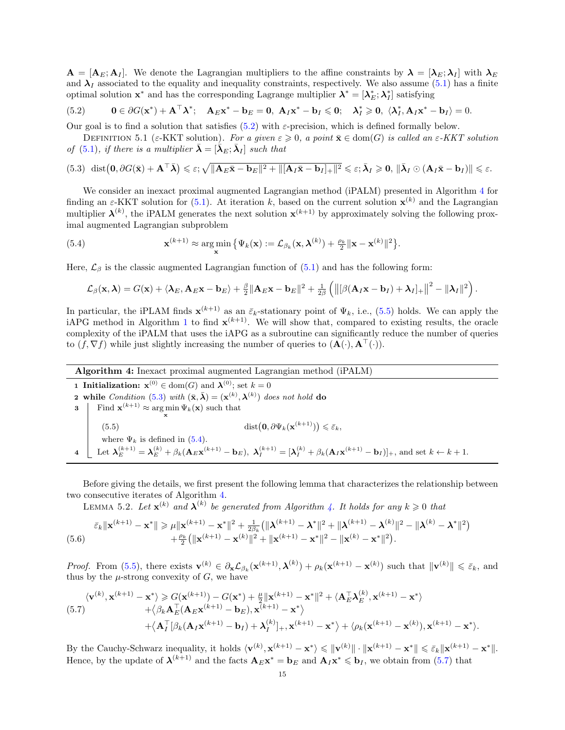$\mathbf{A} = [\mathbf{A}_E; \mathbf{A}_I]$ . We denote the Lagrangian multipliers to the affine constraints by  $\mathbf{\lambda} = [\mathbf{\lambda}_E; \mathbf{\lambda}_I]$  with  $\mathbf{\lambda}_E$ and  $\lambda_I$  associated to the equality and inequality constraints, respectively. We also assume [\(5.1\)](#page-13-0) has a finite optimal solution  $\mathbf{x}^*$  and has the corresponding Lagrange multiplier  $\boldsymbol{\lambda}^* = [\boldsymbol{\lambda}_E^*; \boldsymbol{\lambda}_I^*]$  satisfying

<span id="page-14-0"></span>(5.2) 
$$
\mathbf{0} \in \partial G(\mathbf{x}^*) + \mathbf{A}^\top \lambda^*; \quad \mathbf{A}_E \mathbf{x}^* - \mathbf{b}_E = \mathbf{0}, \ \mathbf{A}_I \mathbf{x}^* - \mathbf{b}_I \leqslant \mathbf{0}; \quad \lambda_I^* \geqslant \mathbf{0}, \ \langle \lambda_I^*, \mathbf{A}_I \mathbf{x}^* - \mathbf{b}_I \rangle = 0.
$$

Our goal is to find a solution that satisfies  $(5.2)$  with  $\varepsilon$ -precision, which is defined formally below.

DEFINITION 5.1 (ε-KKT solution). For a given  $\varepsilon \geqslant 0$ , a point  $\bar{\mathbf{x}} \in \text{dom}(G)$  is called an  $\varepsilon$ -KKT solution of [\(5.1\)](#page-13-0), if there is a multiplier  $\bar{\boldsymbol{\lambda}} = [\bar{\boldsymbol{\lambda}}_E; \bar{\boldsymbol{\lambda}}_I]$  such that

<span id="page-14-3"></span>
$$
(5.3) \ \ \mathrm{dist}\big(\mathbf{0}, \partial G(\bar{\mathbf{x}}) + \mathbf{A}^{\top}\bar{\boldsymbol{\lambda}}\big) \leqslant \varepsilon; \sqrt{\|\mathbf{A}_{E}\bar{\mathbf{x}} - \mathbf{b}_{E}\|^{2} + \|[\mathbf{A}_{I}\bar{\mathbf{x}} - \mathbf{b}_{I}]_{+}\|^{2}} \leqslant \varepsilon; \bar{\boldsymbol{\lambda}}_{I} \geqslant \mathbf{0}, \ \|\bar{\boldsymbol{\lambda}}_{I}\odot(\mathbf{A}_{I}\bar{\mathbf{x}} - \mathbf{b}_{I})\| \leqslant \varepsilon.
$$

We consider an inexact proximal augmented Lagrangian method (iPALM) presented in Algorithm [4](#page-14-1) for finding an  $\varepsilon$ -KKT solution for [\(5.1\)](#page-13-0). At iteration k, based on the current solution  $\mathbf{x}^{(k)}$  and the Lagrangian multiplier  $\lambda^{(k)}$ , the iPALM generates the next solution  $\mathbf{x}^{(k+1)}$  by approximately solving the following proximal augmented Lagrangian subproblem

(5.4) 
$$
\mathbf{x}^{(k+1)} \approx \argmin_{\mathbf{x}} \{ \Psi_k(\mathbf{x}) := \mathcal{L}_{\beta_k}(\mathbf{x}, \boldsymbol{\lambda}^{(k)}) + \frac{\rho_k}{2} ||\mathbf{x} - \mathbf{x}^{(k)}||^2 \}.
$$

Here,  $\mathcal{L}_{\beta}$  is the classic augmented Lagrangian function of [\(5.1\)](#page-13-0) and has the following form:

<span id="page-14-4"></span>
$$
\mathcal{L}_{\beta}(\mathbf{x}, \boldsymbol{\lambda}) = G(\mathbf{x}) + \langle \boldsymbol{\lambda}_{E}, \mathbf{A}_{E}\mathbf{x} - \mathbf{b}_{E} \rangle + \frac{\beta}{2} \|\mathbf{A}_{E}\mathbf{x} - \mathbf{b}_{E}\|^{2} + \frac{1}{2\beta} \left( \left\| [\beta(\mathbf{A}_{I}\mathbf{x} - \mathbf{b}_{I}) + \boldsymbol{\lambda}_{I}]_{+} \right\|^{2} - \|\boldsymbol{\lambda}_{I}\|^{2} \right).
$$

In particular, the iPLAM finds  $\mathbf{x}^{(k+1)}$  as an  $\bar{\varepsilon}_k$ -stationary point of  $\Psi_k$ , i.e., [\(5.5\)](#page-14-2) holds. We can apply the iAPG method in Algorithm [1](#page-4-0) to find  $\mathbf{x}^{(k+1)}$ . We will show that, compared to existing results, the oracle complexity of the iPALM that uses the iAPG as a subroutine can significantly reduce the number of queries to  $(f, \nabla f)$  while just slightly increasing the number of queries to  $(\mathbf{A}(\cdot), \mathbf{A}^{\top}(\cdot)).$ 

<span id="page-14-1"></span>

| <b>Algorithm 4:</b> Inexact proximal augmented Lagrangian method (iPALM)                                                                                                                                                                 |  |  |  |  |  |  |  |
|------------------------------------------------------------------------------------------------------------------------------------------------------------------------------------------------------------------------------------------|--|--|--|--|--|--|--|
| <b>1 Initialization:</b> $\mathbf{x}^{(0)} \in \text{dom}(G)$ and $\mathbf{\lambda}^{(0)}$ ; set $k = 0$                                                                                                                                 |  |  |  |  |  |  |  |
| <b>2</b> while Condition (5.3) with $(\bar{\mathbf{x}}, \bar{\boldsymbol{\lambda}}) = (\mathbf{x}^{(k)}, \boldsymbol{\lambda}^{(k)})$ does not hold do                                                                                   |  |  |  |  |  |  |  |
| Find $\mathbf{x}^{(k+1)} \approx \arg \min \Psi_k(\mathbf{x})$ such that<br>3                                                                                                                                                            |  |  |  |  |  |  |  |
|                                                                                                                                                                                                                                          |  |  |  |  |  |  |  |
| $dist(\mathbf{0}, \partial \Psi_k(\mathbf{x}^{(k+1)})) \leq \bar{\varepsilon}_k,$<br>(5.5)                                                                                                                                               |  |  |  |  |  |  |  |
| where $\Psi_k$ is defined in (5.4).                                                                                                                                                                                                      |  |  |  |  |  |  |  |
| Let $\lambda_E^{(k+1)} = \lambda_E^{(k)} + \beta_k (\mathbf{A}_E \mathbf{x}^{(k+1)} - \mathbf{b}_E), \ \lambda_I^{(k+1)} = [\lambda_I^{(k)} + \beta_k (\mathbf{A}_I \mathbf{x}^{(k+1)} - \mathbf{b}_I)]_+,$ and set $k \leftarrow k+1$ . |  |  |  |  |  |  |  |

Before giving the details, we first present the following lemma that characterizes the relationship between two consecutive iterates of Algorithm [4.](#page-14-1)

<span id="page-14-6"></span><span id="page-14-2"></span>LEMMA 5.2. Let  $\mathbf{x}^{(k)}$  and  $\boldsymbol{\lambda}^{(k)}$  be generated from Algorithm [4.](#page-14-1) It holds for any  $k \geqslant 0$  that

$$
\bar{\varepsilon}_{k} \|\mathbf{x}^{(k+1)} - \mathbf{x}^{*}\| \geq \mu \|\mathbf{x}^{(k+1)} - \mathbf{x}^{*}\|^{2} + \frac{1}{2\beta_{k}} \left(\|\boldsymbol{\lambda}^{(k+1)} - \boldsymbol{\lambda}^{*}\|^{2} + \|\boldsymbol{\lambda}^{(k+1)} - \boldsymbol{\lambda}^{(k)}\|^{2} - \|\boldsymbol{\lambda}^{(k)} - \boldsymbol{\lambda}^{*}\|^{2}\right) + \frac{\rho_{k}}{2} \left(\|\mathbf{x}^{(k+1)} - \mathbf{x}^{(k)}\|^{2} + \|\mathbf{x}^{(k+1)} - \mathbf{x}^{*}\|^{2} - \|\mathbf{x}^{(k)} - \mathbf{x}^{*}\|^{2}\right).
$$

*Proof.* From [\(5.5\)](#page-14-2), there exists  $\mathbf{v}^{(k)} \in \partial_{\mathbf{x}} \mathcal{L}_{\beta_k}(\mathbf{x}^{(k+1)}, \boldsymbol{\lambda}^{(k)}) + \rho_k(\mathbf{x}^{(k+1)} - \mathbf{x}^{(k)})$  such that  $\|\mathbf{v}^{(k)}\| \leq \bar{\varepsilon}_k$ , and thus by the  $\mu$ -strong convexity of  $G$ , we have

<span id="page-14-5"></span>
$$
\langle \mathbf{v}^{(k)}, \mathbf{x}^{(k+1)} - \mathbf{x}^* \rangle \ge G(\mathbf{x}^{(k+1)}) - G(\mathbf{x}^*) + \frac{\mu}{2} ||\mathbf{x}^{(k+1)} - \mathbf{x}^*||^2 + \langle \mathbf{A}_E^\top \mathbf{\lambda}_E^{(k)}, \mathbf{x}^{(k+1)} - \mathbf{x}^* \rangle + \langle \beta_k \mathbf{A}_E^\top (\mathbf{A}_E \mathbf{x}^{(k+1)} - \mathbf{b}_E), \mathbf{x}^{(k+1)} - \mathbf{x}^* \rangle + \langle \mathbf{A}_I^\top [\beta_k (\mathbf{A}_I \mathbf{x}^{(k+1)} - \mathbf{b}_I) + \mathbf{\lambda}_I^{(k)}]_+, \mathbf{x}^{(k+1)} - \mathbf{x}^* \rangle + \langle \rho_k (\mathbf{x}^{(k+1)} - \mathbf{x}^{(k)}), \mathbf{x}^{(k+1)} - \mathbf{x}^* \rangle.
$$

By the Cauchy-Schwarz inequality, it holds  $\langle \mathbf{v}^{(k)}, \mathbf{x}^{(k+1)} - \mathbf{x}^* \rangle \leqslant ||\mathbf{v}^{(k)}|| \cdot ||\mathbf{x}^{(k+1)} - \mathbf{x}^*|| \leqslant \bar{\varepsilon}_k ||\mathbf{x}^{(k+1)} - \mathbf{x}^*||$ . Hence, by the update of  $\mathbf{\lambda}^{(k+1)}$  and the facts  $\mathbf{A}_E \mathbf{x}^* = \mathbf{b}_E$  and  $\mathbf{A}_I \mathbf{x}^* \leq \mathbf{b}_I$ , we obtain from [\(5.7\)](#page-14-5) that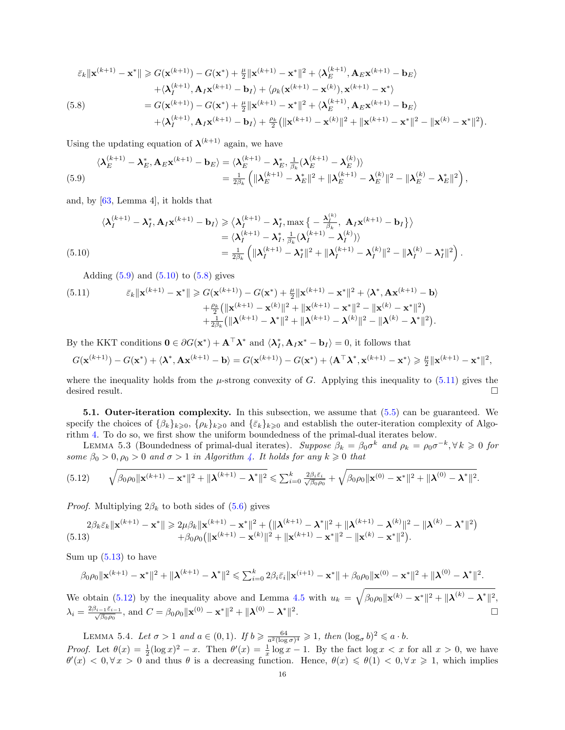<span id="page-15-2"></span>
$$
\bar{\varepsilon}_{k} \|\mathbf{x}^{(k+1)} - \mathbf{x}^{*}\| \geqslant G(\mathbf{x}^{(k+1)}) - G(\mathbf{x}^{*}) + \frac{\mu}{2} \|\mathbf{x}^{(k+1)} - \mathbf{x}^{*}\|^{2} + \langle \boldsymbol{\lambda}_{E}^{(k+1)}, \mathbf{A}_{E}\mathbf{x}^{(k+1)} - \mathbf{b}_{E} \rangle \n+ \langle \boldsymbol{\lambda}_{I}^{(k+1)}, \mathbf{A}_{I}\mathbf{x}^{(k+1)} - \mathbf{b}_{I} \rangle + \langle \rho_{k}(\mathbf{x}^{(k+1)} - \mathbf{x}^{(k)}), \mathbf{x}^{(k+1)} - \mathbf{x}^{*} \rangle \n= G(\mathbf{x}^{(k+1)}) - G(\mathbf{x}^{*}) + \frac{\mu}{2} \|\mathbf{x}^{(k+1)} - \mathbf{x}^{*}\|^{2} + \langle \boldsymbol{\lambda}_{E}^{(k+1)}, \mathbf{A}_{E}\mathbf{x}^{(k+1)} - \mathbf{b}_{E} \rangle \n+ \langle \boldsymbol{\lambda}_{I}^{(k+1)}, \mathbf{A}_{I}\mathbf{x}^{(k+1)} - \mathbf{b}_{I} \rangle + \frac{\rho_{k}}{2} (\|\mathbf{x}^{(k+1)} - \mathbf{x}^{(k)}\|^{2} + \|\mathbf{x}^{(k+1)} - \mathbf{x}^{*}\|^{2} - \|\mathbf{x}^{(k)} - \mathbf{x}^{*}\|^{2}).
$$

Using the updating equation of  $\lambda^{(k+1)}$  again, we have

<span id="page-15-0"></span>
$$
\langle \boldsymbol{\lambda}_{E}^{(k+1)} - \boldsymbol{\lambda}_{E}^{*}, \mathbf{A}_{E} \mathbf{x}^{(k+1)} - \mathbf{b}_{E} \rangle = \langle \boldsymbol{\lambda}_{E}^{(k+1)} - \boldsymbol{\lambda}_{E}^{*}, \frac{1}{\beta_{k}} (\boldsymbol{\lambda}_{E}^{(k+1)} - \boldsymbol{\lambda}_{E}^{(k)}) \rangle = \frac{1}{2\beta_{k}} \left( \|\boldsymbol{\lambda}_{E}^{(k+1)} - \boldsymbol{\lambda}_{E}^{*}\|^{2} + \|\boldsymbol{\lambda}_{E}^{(k+1)} - \boldsymbol{\lambda}_{E}^{(k)}\|^{2} - \|\boldsymbol{\lambda}_{E}^{(k)} - \boldsymbol{\lambda}_{E}^{*}\|^{2} \right),
$$

and, by [\[63,](#page-27-6) Lemma 4], it holds that

<span id="page-15-1"></span>
$$
\langle \lambda_I^{(k+1)} - \lambda_I^*, \mathbf{A}_I \mathbf{x}^{(k+1)} - \mathbf{b}_I \rangle \geq \langle \lambda_I^{(k+1)} - \lambda_I^*, \max \big\{ -\frac{\lambda_I^{(k)}}{\beta_k}, \mathbf{A}_I \mathbf{x}^{(k+1)} - \mathbf{b}_I \big\} \rangle
$$
  
=  $\langle \lambda_I^{(k+1)} - \lambda_I^*, \frac{1}{\beta_k} (\lambda_I^{(k+1)} - \lambda_I^{(k)}) \rangle$   
=  $\frac{1}{2\beta_k} \left( \|\lambda_I^{(k+1)} - \lambda_I^*\|^2 + \|\lambda_I^{(k+1)} - \lambda_I^{(k)}\|^2 - \|\lambda_I^{(k)} - \lambda_I^*\|^2 \right).$ 

<span id="page-15-3"></span>Adding  $(5.9)$  and  $(5.10)$  to  $(5.8)$  gives

(5.11) 
$$
\bar{\varepsilon}_{k} \|\mathbf{x}^{(k+1)} - \mathbf{x}^{*}\| \geq G(\mathbf{x}^{(k+1)}) - G(\mathbf{x}^{*}) + \frac{\mu}{2} \|\mathbf{x}^{(k+1)} - \mathbf{x}^{*}\|^{2} + \langle \mathbf{\lambda}^{*}, \mathbf{A}\mathbf{x}^{(k+1)} - \mathbf{b} \rangle + \frac{\rho_{k}}{2} (\|\mathbf{x}^{(k+1)} - \mathbf{x}^{(k)}\|^{2} + \|\mathbf{x}^{(k+1)} - \mathbf{x}^{*}\|^{2} - \|\mathbf{x}^{(k)} - \mathbf{x}^{*}\|^{2}) + \frac{1}{2\beta_{k}} (\|\mathbf{\lambda}^{(k+1)} - \mathbf{\lambda}^{*}\|^{2} + \|\mathbf{\lambda}^{(k+1)} - \mathbf{\lambda}^{(k)}\|^{2} - \|\mathbf{\lambda}^{(k)} - \mathbf{\lambda}^{*}\|^{2}).
$$

By the KKT conditions  $\mathbf{0} \in \partial G(\mathbf{x}^*) + \mathbf{A}^\top \boldsymbol{\lambda}^*$  and  $\langle \boldsymbol{\lambda}_I^*, \mathbf{A}_I \mathbf{x}^* - \mathbf{b}_I \rangle = 0$ , it follows that

$$
G(\mathbf{x}^{(k+1)}) - G(\mathbf{x}^*) + \langle \lambda^*, \mathbf{A}\mathbf{x}^{(k+1)} - \mathbf{b} \rangle = G(\mathbf{x}^{(k+1)}) - G(\mathbf{x}^*) + \langle \mathbf{A}^\top \lambda^*, \mathbf{x}^{(k+1)} - \mathbf{x}^* \rangle \geq \frac{\mu}{2} ||\mathbf{x}^{(k+1)} - \mathbf{x}^*||^2,
$$

where the inequality holds from the  $\mu$ -strong convexity of G. Applying this inequality to [\(5.11\)](#page-15-3) gives the desired result.  $\Box$ 

5.1. Outer-iteration complexity. In this subsection, we assume that [\(5.5\)](#page-14-2) can be guaranteed. We specify the choices of  $\{\beta_k\}_{k\geqslant0}$ ,  $\{\rho_k\}_{k\geqslant0}$  and  $\{\bar{\varepsilon}_k\}_{k\geqslant0}$  and establish the outer-iteration complexity of Algorithm [4.](#page-14-1) To do so, we first show the uniform boundedness of the primal-dual iterates below.

<span id="page-15-6"></span>LEMMA 5.3 (Boundedness of primal-dual iterates). Suppose  $\beta_k = \beta_0 \sigma^k$  and  $\rho_k = \rho_0 \sigma^{-k}, \forall k \geq 0$  for some  $\beta_0 > 0$ ,  $\rho_0 > 0$  and  $\sigma > 1$  in Algorithm [4.](#page-14-1) It holds for any  $k \geq 0$  that

<span id="page-15-5"></span>
$$
(5.12) \qquad \sqrt{\beta_0 \rho_0 \|\mathbf{x}^{(k+1)} - \mathbf{x}^*\|^2 + \|\boldsymbol{\lambda}^{(k+1)} - \boldsymbol{\lambda}^*\|^2} \leq \sum_{i=0}^k \frac{2\beta_i \bar{\varepsilon}_i}{\sqrt{\beta_0 \rho_0}} + \sqrt{\beta_0 \rho_0 \|\mathbf{x}^{(0)} - \mathbf{x}^*\|^2 + \|\boldsymbol{\lambda}^{(0)} - \boldsymbol{\lambda}^*\|^2}.
$$

*Proof.* Multiplying  $2\beta_k$  to both sides of  $(5.6)$  gives

<span id="page-15-4"></span>
$$
2\beta_k \bar{\varepsilon}_k \|\mathbf{x}^{(k+1)} - \mathbf{x}^*\| \geq 2\mu \beta_k \|\mathbf{x}^{(k+1)} - \mathbf{x}^*\|^2 + \left(\|\boldsymbol{\lambda}^{(k+1)} - \boldsymbol{\lambda}^*\|^2 + \|\boldsymbol{\lambda}^{(k+1)} - \boldsymbol{\lambda}^{(k)}\|^2 - \|\boldsymbol{\lambda}^{(k)} - \boldsymbol{\lambda}^*\|^2\right) + \beta_0 \rho_0 \left(\|\mathbf{x}^{(k+1)} - \mathbf{x}^{(k)}\|^2 + \|\mathbf{x}^{(k+1)} - \mathbf{x}^*\|^2 - \|\mathbf{x}^{(k)} - \mathbf{x}^*\|^2\right).
$$

Sum up  $(5.13)$  to have

$$
\beta_0 \rho_0 \|\mathbf{x}^{(k+1)} - \mathbf{x}^*\|^2 + \|\boldsymbol{\lambda}^{(k+1)} - \boldsymbol{\lambda}^*\|^2 \leqslant \sum_{i=0}^k 2\beta_i \bar{\varepsilon}_i \|\mathbf{x}^{(i+1)} - \mathbf{x}^*\| + \beta_0 \rho_0 \|\mathbf{x}^{(0)} - \mathbf{x}^*\|^2 + \|\boldsymbol{\lambda}^{(0)} - \boldsymbol{\lambda}^*\|^2.
$$

We obtain [\(5.12\)](#page-15-5) by the inequality above and Lemma [4.5](#page-12-2) with  $u_k = \sqrt{\beta_0 \rho_0 ||\mathbf{x}^{(k)} - \mathbf{x}^*||^2 + ||\mathbf{\lambda}^{(k)} - \mathbf{\lambda}^*||^2}$ ,  $\lambda_i = \frac{2\beta_{i-1}\bar{\varepsilon}_{i-1}}{\sqrt{\beta_0 \rho_0}}$ , and  $C = \beta_0 \rho_0 ||\mathbf{x}^{(0)} - \mathbf{x}^*||^2 + ||\mathbf{\lambda}^{(0)} - \mathbf{\lambda}^*||^2$ .

<span id="page-15-7"></span>LEMMA 5.4. Let  $\sigma > 1$  and  $a \in (0,1)$ . If  $b \geq \frac{64}{a^2(\log \sigma)^4} \geq 1$ , then  $(\log_{\sigma} b)^2 \leq a \cdot b$ .

*Proof.* Let  $\theta(x) = \frac{1}{2}(\log x)^2 - x$ . Then  $\theta'(x) = \frac{1}{x}\log x - 1$ . By the fact  $\log x < x$  for all  $x > 0$ , we have  $\theta'(x) < 0, \forall x > 0$  and thus  $\theta$  is a decreasing function. Hence,  $\theta(x) \le \theta(1) < 0, \forall x \ge 1$ , which implies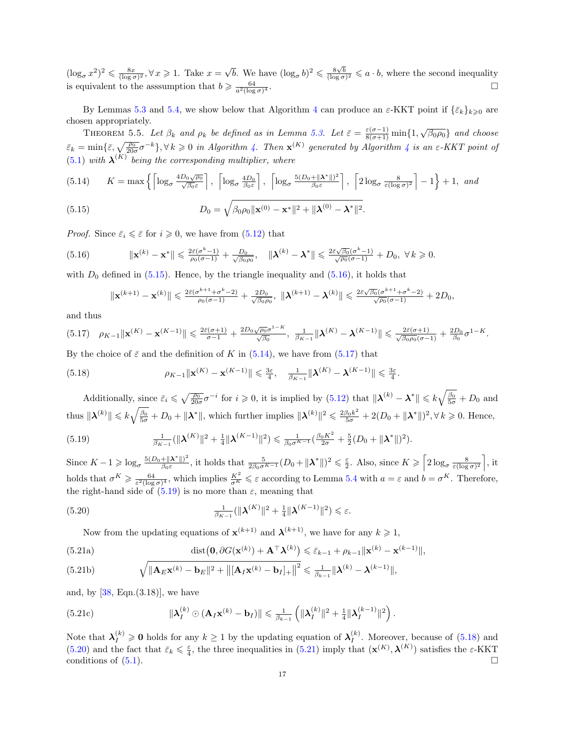$(\log_{\sigma} x^2)^2 \leq \frac{8x}{(\log \sigma)^2}, \forall x \geq 1$ . Take  $x = \sqrt{ }$  $\overline{b}$ . We have  $(\log_{\sigma} b)^2 \leq \frac{8\sqrt{b}}{(\log \sigma)^2} \leq a \cdot b$ , where the second inequality is equivalent to the assumption that  $b \geqslant \frac{64}{a^2(\log \sigma)}$  $\overline{4}$  .

By Lemmas [5.3](#page-15-6) and [5.4,](#page-15-7) we show below that Algorithm [4](#page-14-1) can produce an  $\varepsilon$ -KKT point if  $\{\bar{\varepsilon}_k\}_{k\geqslant0}$  are chosen appropriately.

<span id="page-16-8"></span>THEOREM 5.5. Let  $\beta_k$  and  $\rho_k$  be defined as in Lemma [5.3.](#page-15-6) Let  $\bar{\varepsilon} = \frac{\varepsilon(\sigma-1)}{8(\sigma+1)} \min\{1, \sqrt{\beta_0 \rho_0}\}\$  and choose  $\bar{\varepsilon}_k = \min\{\bar{\varepsilon},\sqrt{\frac{\rho_0}{20\sigma}}\sigma^{-k}\}, \forall k \geqslant 0 \text{ in Algorithm 4. Then } \mathbf{x}^{(K)}$  $\bar{\varepsilon}_k = \min\{\bar{\varepsilon},\sqrt{\frac{\rho_0}{20\sigma}}\sigma^{-k}\}, \forall k \geqslant 0 \text{ in Algorithm 4. Then } \mathbf{x}^{(K)}$  $\bar{\varepsilon}_k = \min\{\bar{\varepsilon},\sqrt{\frac{\rho_0}{20\sigma}}\sigma^{-k}\}, \forall k \geqslant 0 \text{ in Algorithm 4. Then } \mathbf{x}^{(K)}$  generated by Algorithm [4](#page-14-1) is an  $\varepsilon$ -KKT point of  $(5.1)$  with  $\boldsymbol{\lambda}^{(K)}$  being the corresponding multiplier, where

<span id="page-16-2"></span>
$$
(5.14) \qquad K = \max\left\{ \left\lceil \log_{\sigma} \frac{4D_0\sqrt{\rho_0}}{\sqrt{\beta_0 \varepsilon}} \right\rceil, \left\lceil \log_{\sigma} \frac{4D_0}{\beta_0 \varepsilon} \right\rceil, \left\lceil \log_{\sigma} \frac{5(D_0 + ||\boldsymbol{\lambda}^*||)^2}{\beta_0 \varepsilon} \right\rceil, \left\lceil 2\log_{\sigma} \frac{8}{\varepsilon (\log \sigma)^2} \right\rceil - 1 \right\} + 1, \text{ and}
$$

(5.15) 
$$
D_0 = \sqrt{\beta_0 \rho_0 ||\mathbf{x}^{(0)} - \mathbf{x}^*||^2 + ||\mathbf{\lambda}^{(0)} - \mathbf{\lambda}^*||^2}.
$$

*Proof.* Since  $\bar{\varepsilon}_i \leq \bar{\varepsilon}$  for  $i \geq 0$ , we have from [\(5.12\)](#page-15-5) that

(5.16) 
$$
\|\mathbf{x}^{(k)} - \mathbf{x}^*\| \leq \frac{2\bar{\varepsilon}(\sigma^k - 1)}{\rho_0(\sigma - 1)} + \frac{D_0}{\sqrt{\beta_0 \rho_0}}, \quad \|\boldsymbol{\lambda}^{(k)} - \boldsymbol{\lambda}^*\| \leq \frac{2\bar{\varepsilon}\sqrt{\beta_0}(\sigma^k - 1)}{\sqrt{\rho_0}(\sigma - 1)} + D_0, \ \forall k \geq 0.
$$

with  $D_0$  defined in [\(5.15\)](#page-16-0). Hence, by the triangle inequality and [\(5.16\)](#page-16-1), it holds that

<span id="page-16-5"></span><span id="page-16-1"></span><span id="page-16-0"></span>
$$
\|\mathbf{x}^{(k+1)}-\mathbf{x}^{(k)}\|\leqslant \tfrac{2\bar{\varepsilon}(\sigma^{k+1}+\sigma^k-2)}{\rho_0(\sigma-1)}+\tfrac{2D_0}{\sqrt{\beta_0\rho_0}},\ \|\boldsymbol{\lambda}^{(k+1)}-\boldsymbol{\lambda}^{(k)}\|\leqslant \tfrac{2\bar{\varepsilon}\sqrt{\beta_0}(\sigma^{k+1}+\sigma^k-2)}{\sqrt{\rho_0}(\sigma-1)}+2D_0,
$$

and thus

<span id="page-16-3"></span>
$$
(5.17) \quad \rho_{K-1} \|\mathbf{x}^{(K)} - \mathbf{x}^{(K-1)}\| \leq \frac{2\bar{\varepsilon}(\sigma+1)}{\sigma-1} + \frac{2D_0\sqrt{\rho_0}\sigma^{1-K}}{\sqrt{\beta_0}}, \quad \frac{1}{\beta_{K-1}}\|\boldsymbol{\lambda}^{(K)} - \boldsymbol{\lambda}^{(K-1)}\| \leq \frac{2\bar{\varepsilon}(\sigma+1)}{\sqrt{\beta_0\rho_0}(\sigma-1)} + \frac{2D_0}{\beta_0}\sigma^{1-K}.
$$

By the choice of  $\bar{\varepsilon}$  and the definition of K in [\(5.14\)](#page-16-2), we have from [\(5.17\)](#page-16-3) that

(5.18) 
$$
\rho_{K-1} \|\mathbf{x}^{(K)} - \mathbf{x}^{(K-1)}\| \leq \frac{3\varepsilon}{4}, \quad \frac{1}{\beta_{K-1}} \|\boldsymbol{\lambda}^{(K)} - \boldsymbol{\lambda}^{(K-1)}\| \leq \frac{3\varepsilon}{4}.
$$

Additionally, since  $\bar{\varepsilon}_i \leqslant \sqrt{\frac{\rho_0}{20\sigma}} \sigma^{-i}$  for  $i \geqslant 0$ , it is implied by  $(5.12)$  that  $\|\boldsymbol{\lambda}^{(k)} - \boldsymbol{\lambda}^*\| \leqslant k \sqrt{\frac{\beta_0}{5\sigma}} + D_0$  and thus  $\|\mathbf{\lambda}^{(k)}\| \leqslant k\sqrt{\frac{\beta_0}{5\sigma}} + D_0 + \|\mathbf{\lambda}^*\|$ , which further implies  $\|\mathbf{\lambda}^{(k)}\|^2 \leqslant \frac{2\beta_0 k^2}{5\sigma} + 2(D_0 + \|\mathbf{\lambda}^*\|)^2, \forall k \geqslant 0$ . Hence,

<span id="page-16-4"></span>(5.19) 
$$
\frac{1}{\beta_{K-1}}(\|\boldsymbol{\lambda}^{(K)}\|^2+\frac{1}{4}\|\boldsymbol{\lambda}^{(K-1)}\|^2) \leq \frac{1}{\beta_0\sigma^{K-1}}(\frac{\beta_0K^2}{2\sigma}+\frac{5}{2}(D_0+\|\boldsymbol{\lambda}^*\|)^2).
$$

Since  $K - 1 \geqslant \log_{\sigma} \frac{5(D_0 + ||\mathbf{X}^*||)^2}{\beta_0 \varepsilon}$  $\frac{(\mathbf{A} - \mathbf{A}^*)^2}{\beta_0 \varepsilon}$ , it holds that  $\frac{5}{2\beta_0 \sigma^{K-1}} (D_0 + ||\mathbf{\lambda}^*||)^2 \leq \frac{\varepsilon}{2}$ . Also, since  $K \geq \left[2 \log_{\sigma} \frac{8}{\varepsilon (\log \sigma)^2}\right]$ , it holds that  $\sigma^K \geqslant \frac{64}{\varepsilon^2(\log \sigma)^4}$ , which implies  $\frac{K^2}{\sigma^K} \leqslant \varepsilon$  according to Lemma [5.4](#page-15-7) with  $a = \varepsilon$  and  $b = \sigma^K$ . Therefore, the right-hand side of  $(5.19)$  is no more than  $\varepsilon$ , meaning that

(5.20) 
$$
\frac{1}{\beta_{K-1}}(||\boldsymbol{\lambda}^{(K)}||^2 + \frac{1}{4}||\boldsymbol{\lambda}^{(K-1)}||^2) \leq \varepsilon.
$$

<span id="page-16-7"></span><span id="page-16-6"></span>Now from the updating equations of  $\mathbf{x}^{(k+1)}$  and  $\mathbf{\lambda}^{(k+1)}$ , we have for any  $k \geq 1$ ,

<span id="page-16-9"></span>(5.21a)  

$$
\operatorname{dist}(\mathbf{0}, \partial G(\mathbf{x}^{(k)}) + \mathbf{A}^{\top} \boldsymbol{\lambda}^{(k)}) \leq \bar{\varepsilon}_{k-1} + \rho_{k-1} \|\mathbf{x}^{(k)} - \mathbf{x}^{(k-1)}\|,
$$
  
(5.21b)  

$$
\sqrt{\|\mathbf{A} - \mathbf{x}^{(k)}\|} \mathbf{b}^{-1}\|_{2}^{2} + \|\mathbf{A} - \mathbf{x}^{(k)}\|} + \frac{1}{2} \sum_{k=1}^{k-1} \|\mathbf{x}^{(k)} - \mathbf{x}^{(k-1)}\|
$$

<span id="page-16-10"></span>(5.21b) 
$$
\sqrt{\|\mathbf{A}_{E}\mathbf{x}^{(k)} - \mathbf{b}_{E}\|^{2} + \|[\mathbf{A}_{I}\mathbf{x}^{(k)} - \mathbf{b}_{I}]_{+}\|^{2}} \leq \frac{1}{\beta_{k-1}} \|\boldsymbol{\lambda}^{(k)} - \boldsymbol{\lambda}^{(k-1)}\|,
$$

and, by  $[38, \text{Eqn.}(3.18)]$  $[38, \text{Eqn.}(3.18)]$ , we have

(5.21c) 
$$
\|\boldsymbol{\lambda}_I^{(k)} \odot (\mathbf{A}_I \mathbf{x}^{(k)} - \mathbf{b}_I)\| \leq \frac{1}{\beta_{k-1}} \left( \|\boldsymbol{\lambda}_I^{(k)}\|^2 + \frac{1}{4} \|\boldsymbol{\lambda}_I^{(k-1)}\|^2 \right).
$$

Note that  $\lambda_I^{(k)} \geq 0$  holds for any  $k \geq 1$  by the updating equation of  $\lambda_I^{(k)}$  $I_I^{(k)}$ . Moreover, because of  $(5.18)$  and [\(5.20\)](#page-16-6) and the fact that  $\bar{\varepsilon}_k \leq \frac{\varepsilon}{4}$ , the three inequalities in [\(5.21\)](#page-16-7) imply that  $(\mathbf{x}^{(K)}, \mathbf{\lambda}^{(K)})$  satisfies the  $\varepsilon$ -KKT conditions of  $(5.1)$ .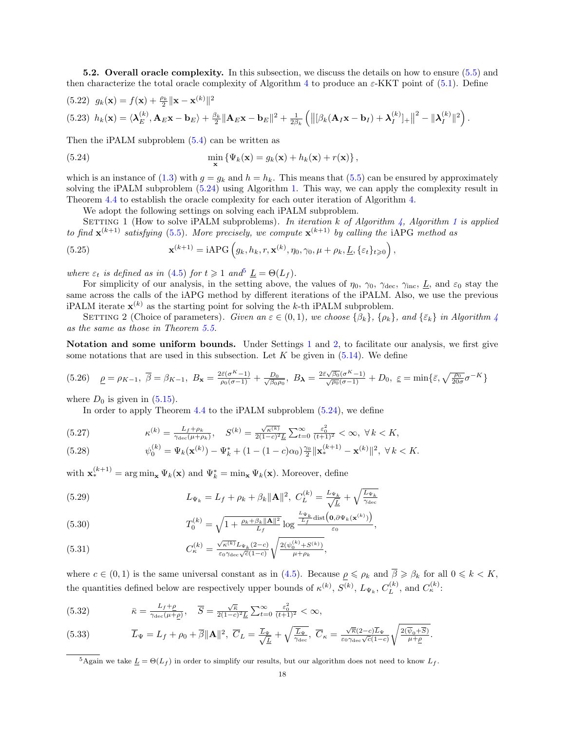5.2. Overall oracle complexity. In this subsection, we discuss the details on how to ensure [\(5.5\)](#page-14-2) and then characterize the total oracle complexity of Algorithm [4](#page-14-1) to produce an  $\varepsilon$ -KKT point of [\(5.1\)](#page-13-0). Define

(5.22) 
$$
g_k(\mathbf{x}) = f(\mathbf{x}) + \frac{\rho_k}{2} \|\mathbf{x} - \mathbf{x}^{(k)}\|^2
$$
  
(5.23)  $h_k(\mathbf{x}) = \langle \boldsymbol{\lambda}_E^{(k)}, \mathbf{A}_E \mathbf{x} - \mathbf{b}_E \rangle + \frac{\beta_k}{2} \|\mathbf{A}_E \mathbf{x} - \mathbf{b}_E\|^2 + \frac{1}{2\beta_k} \left( \left\| [\beta_k(\mathbf{A}_I \mathbf{x} - \mathbf{b}_I) + \boldsymbol{\lambda}_I^{(k)}]_+ \right\|^2 - \|\boldsymbol{\lambda}_I^{(k)}\|^2 \right).$ 

Then the iPALM subproblem [\(5.4\)](#page-14-4) can be written as

(5.24) 
$$
\min_{\mathbf{x}} \left\{ \Psi_k(\mathbf{x}) = g_k(\mathbf{x}) + h_k(\mathbf{x}) + r(\mathbf{x}) \right\},
$$

which is an instance of [\(1.3\)](#page-0-2) with  $q = q_k$  and  $h = h_k$ . This means that [\(5.5\)](#page-14-2) can be ensured by approximately solving the iPALM subproblem [\(5.24\)](#page-17-0) using Algorithm [1.](#page-4-0) This way, we can apply the complexity result in Theorem [4.4](#page-11-3) to establish the oracle complexity for each outer iteration of Algorithm [4.](#page-14-1)

<span id="page-17-0"></span>We adopt the following settings on solving each iPALM subproblem.

<span id="page-17-2"></span>SETTING 1 (How to solve iPALM subproblems). In iteration k of Algorithm [4,](#page-14-1) Algorithm [1](#page-4-0) is applied to find  $\mathbf{x}^{(k+1)}$  satisfying [\(5.5\)](#page-14-2). More precisely, we compute  $\mathbf{x}^{(k+1)}$  by calling the iAPG method as

(5.25) 
$$
\mathbf{x}^{(k+1)} = \text{iAPG}\left(g_k, h_k, r, \mathbf{x}^{(k)}, \eta_0, \gamma_0, \mu + \rho_k, \underline{L}, \{\varepsilon_t\}_{t \geqslant 0}\right),
$$

where  $\varepsilon_t$  is defined as in [\(4.5\)](#page-9-3) for  $t \geq 1$  and<sup>[5](#page-17-1)</sup>  $\underline{L} = \Theta(L_f)$ .

For simplicity of our analysis, in the setting above, the values of  $\eta_0$ ,  $\gamma_0$ ,  $\gamma_{\text{dec}}$ ,  $\gamma_{\text{inc}}$ ,  $\underline{L}$ , and  $\varepsilon_0$  stay the same across the calls of the iAPG method by different iterations of the iPALM. Also, we use the previous iPALM iterate  $\mathbf{x}^{(k)}$  as the starting point for solving the k-th iPALM subproblem.

<span id="page-17-3"></span>SETTING 2 (Choice of parameters). Given an  $\varepsilon \in (0,1)$ , we choose  $\{\beta_k\}$ ,  $\{\rho_k\}$ , and  $\{\bar{\varepsilon}_k\}$  in Algorithm [4](#page-14-1) as the same as those in Theorem [5.5.](#page-16-8)

Notation and some uniform bounds. Under Settings [1](#page-17-2) and [2,](#page-17-3) to facilitate our analysis, we first give some notations that are used in this subsection. Let  $K$  be given in  $(5.14)$ . We define

<span id="page-17-4"></span>
$$
(5.26)\quad \underline{\rho} = \rho_{K-1}, \ \overline{\beta} = \beta_{K-1}, \ B_{\mathbf{x}} = \frac{2\bar{\varepsilon}(\sigma^{K}-1)}{\rho_{0}(\sigma-1)} + \frac{D_{0}}{\sqrt{\beta_{0}\rho_{0}}}, \ B_{\lambda} = \frac{2\bar{\varepsilon}\sqrt{\beta_{0}}(\sigma^{K}-1)}{\sqrt{\rho_{0}}(\sigma-1)} + D_{0}, \ \underline{\varepsilon} = \min\{\bar{\varepsilon}, \sqrt{\frac{\rho_{0}}{20\sigma}}\sigma^{-K}\}
$$

where  $D_0$  is given in  $(5.15)$ .

In order to apply Theorem [4.4](#page-11-3) to the iPALM subproblem [\(5.24\)](#page-17-0), we define

<span id="page-17-6"></span>(5.27) 
$$
\kappa^{(k)} = \frac{L_f + \rho_k}{\gamma_{\text{dec}}(\mu + \rho_k)}, \quad S^{(k)} = \frac{\sqrt{\kappa^{(k)}}}{2(1-c)^2 L} \sum_{t=0}^{\infty} \frac{\varepsilon_0^2}{(t+1)^2} < \infty, \ \forall \, k < K,
$$

<span id="page-17-5"></span>(5.28) 
$$
\psi_0^{(k)} = \Psi_k(\mathbf{x}^{(k)}) - \Psi_k^* + (1 - (1 - c)\alpha_0) \frac{\gamma_0}{2} ||\mathbf{x}_*^{(k+1)} - \mathbf{x}^{(k)}||^2, \ \forall \, k < K.
$$

with  $\mathbf{x}_{*}^{(k+1)} = \arg \min_{\mathbf{x}} \Psi_k(\mathbf{x})$  and  $\Psi_k^* = \min_{\mathbf{x}} \Psi_k(\mathbf{x})$ . Moreover, define

(5.29) 
$$
L_{\Psi_k} = L_f + \rho_k + \beta_k \|\mathbf{A}\|^2, \ C_L^{(k)} = \frac{L_{\Psi_k}}{\sqrt{L}} + \sqrt{\frac{L_{\Psi_k}}{\gamma_{\text{dec}}}}
$$

(5.30) 
$$
T_0^{(k)} = \sqrt{1 + \frac{\rho_k + \beta_k ||\mathbf{A}||^2}{L_f} \log \frac{\frac{L_{\Psi_k}}{L_f} \text{dist}\left(\mathbf{0}, \partial \Psi_k(\mathbf{x}^{(k)})\right)}{\varepsilon_0}},
$$

(5.31) 
$$
C_{\kappa}^{(k)} = \frac{\sqrt{\kappa^{(k)}} L_{\Psi_k}(2-c)}{\varepsilon_0 \gamma_{\text{dec}} \sqrt{c} (1-c)} \sqrt{\frac{2(\psi_0^{(k)} + S^{(k)})}{\mu + \rho_k}},
$$

where  $c \in (0,1)$  is the same universal constant as in  $(4.5)$ . Because  $\rho \leq \rho_k$  and  $\overline{\beta} \geq \beta_k$  for all  $0 \leq k \leq K$ , the quantities defined below are respectively upper bounds of  $\kappa^{(k)}$ ,  $S^{(k)}$ ,  $L_{\Psi_k}$ ,  $C_L^{(k)}$  $L^{(k)}$ , and  $C_{\kappa}^{(k)}$ :

(5.32) 
$$
\bar{\kappa} = \frac{L_f + \rho}{\gamma_{\text{dec}}(\mu + \rho)}, \quad \overline{S} = \frac{\sqrt{\bar{\kappa}}}{2(1-c)^2 \underline{L}} \sum_{t=0}^{\infty} \frac{\varepsilon_0^2}{(t+1)^2} < \infty,
$$

(5.33) 
$$
\overline{L}_{\Psi} = L_f + \rho_0 + \overline{\beta} \|\mathbf{A}\|^2, \ \overline{C}_L = \frac{\overline{L}_{\Psi}}{\sqrt{\underline{L}}} + \sqrt{\frac{\overline{L}_{\Psi}}{\gamma_{\text{dec}}}}, \ \overline{C}_{\kappa} = \frac{\sqrt{\overline{\kappa}}(2-c)\overline{L}_{\Psi}}{\varepsilon_0 \gamma_{\text{dec}} \sqrt{c}(1-c)} \sqrt{\frac{2(\overline{\psi}_0 + \overline{S})}{\mu + \underline{\rho}}}.
$$

<span id="page-17-1"></span><sup>&</sup>lt;sup>5</sup>Again we take  $\underline{L} = \Theta(L_f)$  in order to simplify our results, but our algorithm does not need to know  $L_f$ .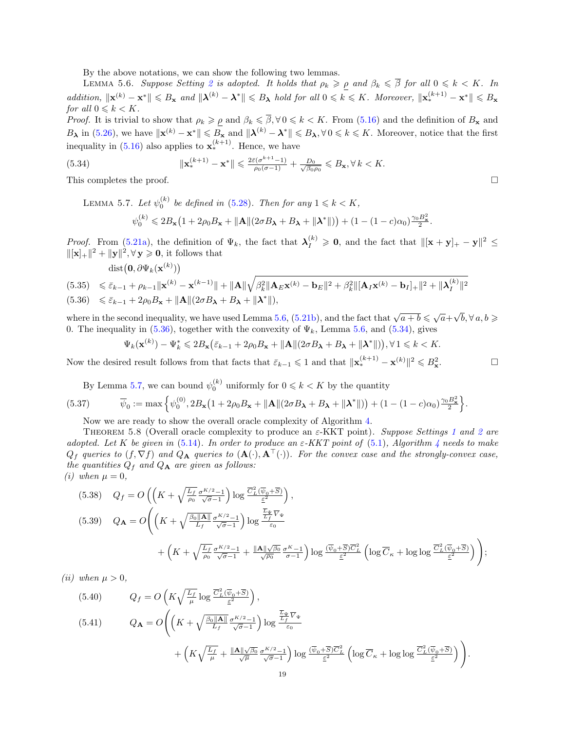By the above notations, we can show the following two lemmas.

LEMMA 5.6. Suppose Setting [2](#page-17-3) is adopted. It holds that  $\rho_k \geq \rho$  and  $\beta_k \leq \overline{\beta}$  for all  $0 \leq k \leq K$ . In  $addition, ||\mathbf{x}^{(k)} - \mathbf{x}^*|| \leq B_{\mathbf{x}}$  and  $||\boldsymbol{\lambda}^{(k)} - \boldsymbol{\lambda}^*|| \leq B_{\boldsymbol{\lambda}}$  hold for all  $0 \leq k \leq K$ . Moreover,  $||\mathbf{x}_*^{(k+1)} - \mathbf{x}^*|| \leq B_{\mathbf{x}}$ for all  $0 \leqslant k < K$ .

*Proof.* It is trivial to show that  $\rho_k \geqslant \rho$  and  $\beta_k \leqslant \overline{\beta}, \forall 0 \leqslant k < K$ . From [\(5.16\)](#page-16-1) and the definition of  $B_{\mathbf{x}}$  and  $B_{\lambda}$  in  $(5.26)$ , we have  $\|\mathbf{x}^{(k)} - \mathbf{x}^*\| \leqslant B_{\mathbf{x}}$  and  $\|\boldsymbol{\lambda}^{(k)} - \boldsymbol{\lambda}^*\| \leqslant B_{\lambda}, \forall 0 \leqslant k \leqslant K$ . Moreover, notice that the first inequality in  $(5.16)$  also applies to  $\mathbf{x}_{*}^{(k+1)}$ . Hence, we have

(5.34) 
$$
\|\mathbf{x}_{*}^{(k+1)} - \mathbf{x}^{*}\| \leq \frac{2\bar{\varepsilon}(\sigma^{k+1}-1)}{\rho_{0}(\sigma-1)} + \frac{D_{0}}{\sqrt{\beta_{0}\rho_{0}}} \leq B_{\mathbf{x}}, \forall k < K.
$$

This completes the proof.  $\square$ 

<span id="page-18-3"></span><span id="page-18-2"></span>LEMMA 5.7. Let  $\psi_0^{(k)}$  be defined in [\(5.28\)](#page-17-5). Then for any  $1 \leqslant k < K$ ,  $\psi_0^{(k)} \leq 2B_\mathbf{x} \left(1 + 2\rho_0 B_\mathbf{x} + ||\mathbf{A}||(2\sigma B_\mathbf{\lambda} + B_\mathbf{\lambda} + ||\mathbf{\lambda}^*||)\right) + (1 - (1 - c)\alpha_0)\frac{\gamma_0 B_\mathbf{x}^2}{2}.$ 

<span id="page-18-1"></span>Proof. From [\(5.21a\)](#page-16-9), the definition of  $\Psi_k$ , the fact that  $\lambda_I^{(k)} \geq 0$ , and the fact that  $\|\mathbf{x} + \mathbf{y}\|_+ - \mathbf{y}\|^2 \leq$  $\|[{\bf x}]_+\|^2 + \|{\bf y}\|^2, \forall {\bf y} \geqslant {\bf 0}, \text{ it follows that}$ 

$$
\text{dist}\big(\mathbf{0},\partial\Psi_k(\mathbf{x}^{(k)})\big) \\
\leq \bar{\varepsilon}_{k-1} + \rho_{k-1} \|\mathbf{x}^{(k)} - \mathbf{x}^{(k-1)}\| + \|\mathbf{A}\| \sqrt{\beta_k^2 \|\mathbf{A}_E \mathbf{x}^{(k)} - \mathbf{b}_E\|^2 + \beta_k^2 \|[ \mathbf{A}_I \mathbf{x}^{(k)} - \mathbf{b}_I ]_+ \|^2 + \|\boldsymbol{\lambda}_I^{(k)}\|^2}
$$

(5.36)  $\leq \bar{\varepsilon}_{k-1} + 2\rho_0 B_{\mathbf{x}} + ||\mathbf{A}||(2\sigma B_{\mathbf{\lambda}} + B_{\mathbf{\lambda}} + ||\mathbf{\lambda}^*||),$ 

where in the second inequality, we have used Lemma [5.6,](#page-18-0) [\(5.21b\)](#page-16-10), and the fact that  $\sqrt{a+b} \leqslant \sqrt{a}+$  $\sqrt{b}, \forall a, b \geqslant$ 0. The inequality in [\(5.36\)](#page-18-1), together with the convexity of  $\Psi_k$ , Lemma [5.6,](#page-18-0) and [\(5.34\)](#page-18-2), gives

$$
\Psi_k(\mathbf{x}^{(k)}) - \Psi_k^* \leq 2B_\mathbf{x} \left( \bar{\varepsilon}_{k-1} + 2\rho_0 B_\mathbf{x} + ||\mathbf{A}||(2\sigma B_\mathbf{\lambda} + B_\mathbf{\lambda} + ||\mathbf{\lambda}^*||) \right), \forall 1 \leq k < K.
$$

Now the desired result follows from that facts that  $\bar{\varepsilon}_{k-1} \leqslant 1$  and that  $\|\mathbf{x}_{*}^{(k+1)} - \mathbf{x}^{(k)}\|^2 \leqslant B_{\mathbf{x}_{*}}^2$ 

By Lemma [5.7,](#page-18-3) we can bound  $\psi_0^{(k)}$  uniformly for  $0 \le k \le K$  by the quantity

(5.37) 
$$
\overline{\psi}_0 := \max \left\{ \psi_0^{(0)}, 2B_{\mathbf{x}} \left( 1 + 2\rho_0 B_{\mathbf{x}} + ||\mathbf{A}||(2\sigma B_{\mathbf{\lambda}} + B_{\mathbf{\lambda}} + ||\mathbf{\lambda}^*||) \right) + (1 - (1 - c)\alpha_0) \frac{\gamma_0 B_{\mathbf{x}}^2}{2} \right\}.
$$

Now we are ready to show the overall oracle complexity of Algorithm [4.](#page-14-1)

<span id="page-18-6"></span>THEOREM 5.8 (Overall oracle complexity to produce an  $\varepsilon$ -KKT point). Suppose Settings [1](#page-17-2) and [2](#page-17-3) are adopted. Let K be given in [\(5.14\)](#page-16-2). In order to produce an  $\varepsilon$ -KKT point of [\(5.1\)](#page-13-0), Algorithm [4](#page-14-1) needs to make  $Q_f$  queries to  $(f, \nabla f)$  and  $Q_A$  queries to  $(\mathbf{A}(\cdot), \mathbf{A}^{\top}(\cdot))$ . For the convex case and the strongly-convex case, the quantities  $Q_f$  and  $Q_A$  are given as follows: (i) when  $\mu = 0$ ,

<span id="page-18-4"></span>(5.38) 
$$
Q_{f} = O\left(\left(K + \sqrt{\frac{L_{f}}{\rho_{0}}}\frac{\sigma^{K/2} - 1}{\sqrt{\sigma} - 1}\right) \log \frac{\overline{C}_{L}^{2}(\overline{\psi}_{0} + \overline{S})}{\underline{\varepsilon}^{2}}\right),
$$
  
\n(5.39) 
$$
Q_{\mathbf{A}} = O\left(\left(K + \sqrt{\frac{\beta_{0} \|\mathbf{A}\|}{L_{f}}}\frac{\sigma^{K/2} - 1}{\sqrt{\sigma} - 1}\right) \log \frac{\frac{\overline{L}_{\Psi}}{L_{f}} \overline{V}_{\Psi}}{\underline{\varepsilon}_{0}} + \left(K + \sqrt{\frac{L_{f}}{\rho_{0}}}\frac{\sigma^{K/2} - 1}{\sqrt{\sigma} - 1} + \frac{\|\mathbf{A}\| \sqrt{\beta_{0}}}{\sqrt{\rho_{0}}}\frac{\sigma^{K} - 1}{\sigma - 1}\right) \log \frac{(\overline{\psi}_{0} + \overline{S})\overline{C}_{L}^{2}}{\underline{\varepsilon}^{2}} \left(\log \overline{C}_{\kappa} + \log \log \frac{\overline{C}_{L}^{2}(\overline{\psi}_{0} + \overline{S})}{\underline{\varepsilon}^{2}}\right)\right);
$$

(*ii*) when  $\mu > 0$ ,

<span id="page-18-5"></span>(5.40) 
$$
Q_f = O\left(K\sqrt{\frac{L_f}{\mu}}\log\frac{\overline{C_L^2(\overline{\psi}_0 + \overline{S})}}{\underline{\varepsilon}^2}\right),
$$
  
\n
$$
Q_{\mathbf{A}} = O\left(\left(K + \sqrt{\frac{\beta_0 \|\mathbf{A}\|}{L_f} \frac{\sigma^{K/2} - 1}{\sqrt{\sigma} - 1}}\right) \log \frac{\frac{\overline{L}_{\Psi}}{L_f} \overline{V}_{\Psi}}{\frac{\varepsilon_0}{\sigma}} + \left(K\sqrt{\frac{L_f}{\mu}} + \frac{\|\mathbf{A}\| \sqrt{\beta_0}}{\sqrt{\mu}} \frac{\sigma^{K/2} - 1}{\sqrt{\sigma} - 1}\right) \log \frac{(\overline{\psi}_0 + \overline{S}) \overline{C_L^2}}{\underline{\varepsilon}^2} \left(\log \overline{C}_{\kappa} + \log \log \frac{\overline{C_L^2(\overline{\psi}_0 + \overline{S})}}{\underline{\varepsilon}^2}\right)\right).
$$

<span id="page-18-0"></span>

 $\Box$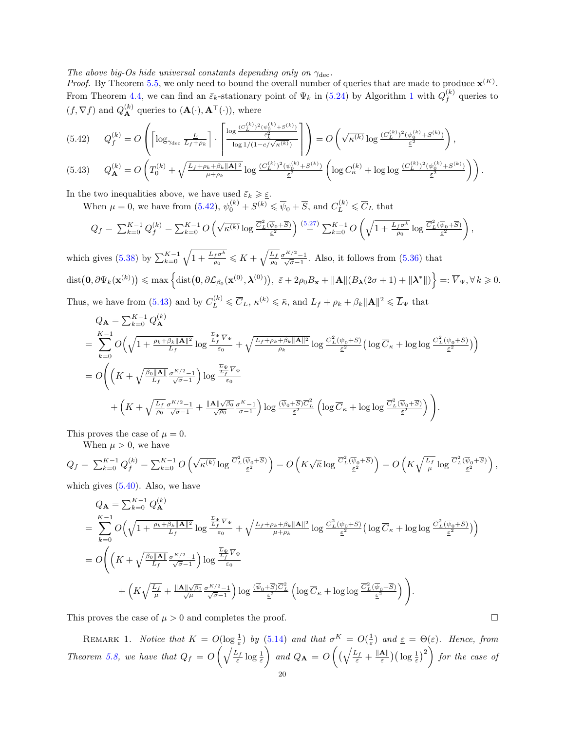The above big-Os hide universal constants depending only on  $\gamma_{\text{dec}}$ .

*Proof.* By Theorem [5.5,](#page-16-8) we only need to bound the overall number of queries that are made to produce  $\mathbf{x}^{(K)}$ . From Theorem [4.4,](#page-11-3) we can find an  $\bar{\varepsilon}_k$ -stationary point of  $\Psi_k$  in [\(5.24\)](#page-17-0) by Algorithm [1](#page-4-0) with  $Q_f^{(k)}$  $\int_{f}^{(\kappa)}$  queries to  $(f, \nabla f)$  and  $Q_{\mathbf{A}}^{(k)}$  queries to  $(\mathbf{A}(\cdot), \mathbf{A}^{\top}(\cdot)),$  where

<span id="page-19-1"></span>
$$
(5.42) \qquad Q_f^{(k)} = O\left(\left\lceil \log_{\gamma_{\text{dec}}}\frac{L}{L_f + \rho_k} \right\rceil \cdot \left\lceil \frac{\log \frac{(C_L^{(k)})^2 (\psi_0^{(k)} + S^{(k)})}{\varepsilon_k^2}}{\log 1/(1 - c/\sqrt{\kappa^{(k)}})} \right\rceil \right) = O\left(\sqrt{\kappa^{(k)}} \log \frac{(C_L^{(k)})^2 (\psi_0^{(k)} + S^{(k)})}{\varepsilon^2} \right),
$$
\n
$$
(5.42) \qquad Q_k^{(k)} = Q\left(\frac{\sigma^{(k)}}{\sigma^{(k)}} + \frac{\sqrt{L_f + \rho_k + \beta_k} \|\mathbf{A}\|^2}{\|\mathbf{A}\|^2}, \quad (C_j^{(k)})^2 (\psi_0^{(k)} + S^{(k)}) \left(1 - \frac{\sigma^{(k)}}{\sigma^{(k)}}\right), \quad (C_j^{(k)})^2 (\psi_0^{(k)} + S^{(k)}) \left(1 - \frac{\sigma^{(k)}}{\sigma^{(k)}}\right)\right)
$$

<span id="page-19-2"></span>
$$
(5.43) \qquad Q_{\mathbf{A}}^{(k)} = O\left(T_0^{(k)} + \sqrt{\frac{L_f + \rho_k + \beta_k \|\mathbf{A}\|^2}{\mu + \rho_k}} \log \frac{(C_L^{(k)})^2 (\psi_0^{(k)} + S^{(k)})}{\underline{\varepsilon}^2} \left(\log C_{\kappa}^{(k)} + \log \log \frac{(C_L^{(k)})^2 (\psi_0^{(k)} + S^{(k)})}{\underline{\varepsilon}^2}\right)\right).
$$

In the two inequalities above, we have used  $\bar{\varepsilon}_k \geq \underline{\varepsilon}$ .

When  $\mu = 0$ , we have from  $(5.42)$ ,  $\psi_0^{(k)} + S^{(k)} \leq \overline{\psi}_0 + \overline{S}$ , and  $C_L^{(k)} \leq \overline{C}_L$  that

$$
Q_f = \sum_{k=0}^{K-1} Q_f^{(k)} = \sum_{k=0}^{K-1} O\left(\sqrt{\kappa^{(k)}} \log \frac{\overline{C_L^2(\overline{\psi}_0 + \overline{S})}}{\underline{\varepsilon}^2}\right) \stackrel{(5.27)}{=} \sum_{k=0}^{K-1} O\left(\sqrt{1 + \frac{L_f \sigma^k}{\rho_0}} \log \frac{\overline{C_L^2(\overline{\psi}_0 + \overline{S})}}{\underline{\varepsilon}^2}\right)
$$

,

which gives [\(5.38\)](#page-18-4) by  $\sum_{k=0}^{K-1} \sqrt{1 + \frac{L_f \sigma^k}{\rho_0}} \leqslant K + \sqrt{\frac{L_f}{\rho_0}} \frac{\sigma^{K/2} - 1}{\sqrt{\sigma} - 1}$ . Also, it follows from [\(5.36\)](#page-18-1) that  $\text{dist}\big(\mathbf{0}, \partial \Psi_k(\mathbf{x}^{(k)})\big) \leqslant \max\left\{\text{dist}\big(\mathbf{0}, \partial \mathcal{L}_{\beta_0}(\mathbf{x}^{(0)}, \boldsymbol{\lambda}^{(0)})\big),~\bar{\varepsilon}+2\rho_0 B_{\mathbf{x}}+\|\mathbf{A}\|(B_{\boldsymbol{\lambda}}(2\sigma+1)+\|\boldsymbol{\lambda}^*\|)\right\}=: \overline{V}_{\Psi}, \forall \, k\geqslant 0.$ Thus, we have from [\(5.43\)](#page-19-2) and by  $C_L^{(k)} \leq \overline{C}_L$ ,  $\kappa^{(k)} \leq \overline{\kappa}$ , and  $L_f + \rho_k + \beta_k ||\mathbf{A}||^2 \leq \overline{L}_{\Psi}$  that

$$
Q_{\mathbf{A}} = \sum_{k=0}^{K-1} Q_{\mathbf{A}}^{(k)}
$$
  
\n
$$
= \sum_{k=0}^{K-1} O\left(\sqrt{1 + \frac{\rho_k + \beta_k \|\mathbf{A}\|^2}{L_f}} \log \frac{\frac{\overline{L}_{\Psi}}{L_f} \overline{V}_{\Psi}}{\varepsilon_0} + \sqrt{\frac{L_f + \rho_k + \beta_k \|\mathbf{A}\|^2}{\rho_k}} \log \frac{\overline{C_L^2(\overline{\psi}_0 + \overline{S})}}{\varepsilon^2} \left(\log \overline{C_R} + \log \log \frac{\overline{C_L^2(\overline{\psi}_0 + \overline{S})}}{\varepsilon^2}\right)\right)
$$
  
\n
$$
= O\left(\left(K + \sqrt{\frac{\beta_0 \|\mathbf{A}\|}{L_f} \frac{\sigma^{K/2} - 1}{\sqrt{\sigma} - 1}}\right) \log \frac{\frac{\overline{L}_{\Psi}}{L_f} \overline{V}_{\Psi}}{\varepsilon_0} + \left(K + \sqrt{\frac{L_f}{\rho_0} \frac{\sigma^{K/2} - 1}{\sqrt{\sigma} - 1}} + \frac{\|\mathbf{A}\| \sqrt{\beta_0} \frac{\sigma^K - 1}{\sigma - 1}}{\sqrt{\rho_0}}\right) \log \frac{(\overline{\psi}_0 + \overline{S}) \overline{C_L^2}}{\varepsilon^2} \left(\log \overline{C_R} + \log \log \frac{\overline{C_L^2(\overline{\psi}_0 + \overline{S})}}{\varepsilon^2}\right)\right).
$$

This proves the case of  $\mu = 0$ .

When  $\mu > 0$ , we have

$$
Q_f = \sum_{k=0}^{K-1} Q_f^{(k)} = \sum_{k=0}^{K-1} O\left(\sqrt{\kappa^{(k)}} \log \frac{\overline{C_L^2(\overline{\psi}_0 + \overline{S})}}{\underline{\varepsilon}^2}\right) = O\left(K\sqrt{\overline{k}} \log \frac{\overline{C_L^2(\overline{\psi}_0 + \overline{S})}}{\underline{\varepsilon}^2}\right) = O\left(K\sqrt{\frac{L_f}{\mu}} \log \frac{\overline{C_L^2(\overline{\psi}_0 + \overline{S})}}{\underline{\varepsilon}^2}\right),
$$

which gives  $(5.40)$ . Also, we have

(k)

$$
Q_{\mathbf{A}} = \sum_{k=0}^{K-1} Q_{\mathbf{A}}^{(k)}
$$
  
\n
$$
= \sum_{k=0}^{K-1} O\left(\sqrt{1 + \frac{\rho_k + \beta_k \|\mathbf{A}\|^2}{L_f}} \log \frac{\frac{\overline{L}_{\Psi}}{L_f} \overline{V}_{\Psi}}{\varepsilon_0} + \sqrt{\frac{L_f + \rho_k + \beta_k \|\mathbf{A}\|^2}{\mu + \rho_k}} \log \frac{\overline{C_L^2(\overline{\psi}_0 + \overline{S})}}{\varepsilon^2} \left(\log \overline{C_R} + \log \log \frac{\overline{C_L^2(\overline{\psi}_0 + \overline{S})}}{\varepsilon^2}\right)\right)
$$
  
\n
$$
= O\left(\left(K + \sqrt{\frac{\beta_0 \|\mathbf{A}\|}{L_f}} \frac{\sigma^{K/2} - 1}{\sqrt{\sigma} - 1}\right) \log \frac{\frac{\overline{L}_{\Psi}}{L_f} \overline{V}_{\Psi}}{\varepsilon_0} + \left(K\sqrt{\frac{L_f}{\mu}} + \frac{\|\mathbf{A}\| \sqrt{\beta_0}}{\sqrt{\mu}} \frac{\sigma^{K/2} - 1}{\sqrt{\sigma} - 1}\right) \log \frac{(\overline{\psi}_0 + \overline{S})\overline{C_L^2}}{\varepsilon^2} \left(\log \overline{C_R} + \log \log \frac{\overline{C_L^2(\overline{\psi}_0 + \overline{S})}}{\varepsilon^2}\right)\right).
$$

This proves the case of  $\mu > 0$  and completes the proof.

<span id="page-19-0"></span>REMARK 1. Notice that  $K = O(\log \frac{1}{\varepsilon})$  by [\(5.14\)](#page-16-2) and that  $\sigma^K = O(\frac{1}{\varepsilon})$  and  $\underline{\varepsilon} = \Theta(\varepsilon)$ . Hence, from Theorem [5.8,](#page-18-6) we have that  $Q_f = O\left(\sqrt{\frac{L_f}{\varepsilon}}\log\frac{1}{\varepsilon}\right)$ and  $Q_{\mathbf{A}} = O\left((\sqrt{\frac{L_f}{\varepsilon}} + \frac{\|\mathbf{A}\|}{\varepsilon})\right)$  $\left(\frac{\mathbf{A} \parallel}{\varepsilon}\right) \left(\log \frac{1}{\varepsilon}\right)^2$  for the case of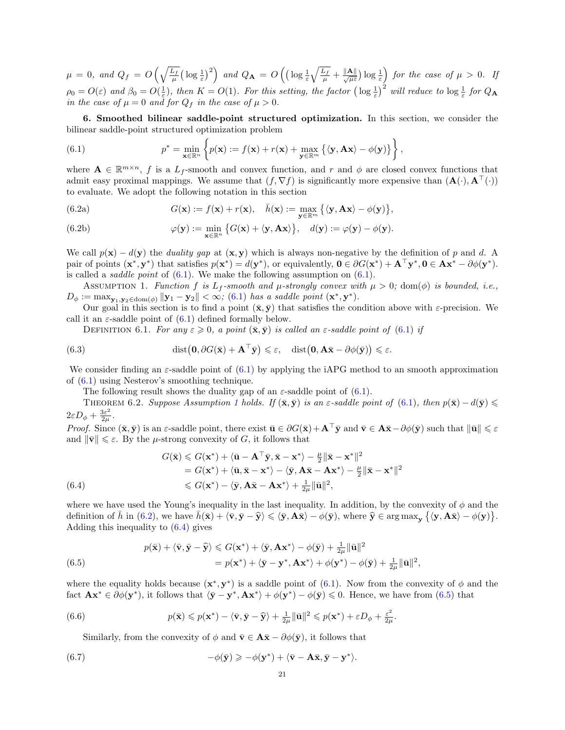$\mu = 0$ , and  $Q_f = O\left(\sqrt{\frac{L_f}{\mu}}\left(\log \frac{1}{\varepsilon}\right)^2\right)$  and  $Q_{\mathbf{A}} = O\left(\left(\log \frac{1}{\varepsilon}\sqrt{\frac{L_f}{\mu}} + \frac{\|\mathbf{A}\|}{\sqrt{\mu}\varepsilon}\right)\log \frac{1}{\varepsilon}\right)$  for the case of  $\mu > 0$ . If  $\rho_0 = O(\varepsilon)$  and  $\beta_0 = O(\frac{1}{\varepsilon})$ , then  $K = O(1)$ . For this setting, the factor  $\left(\log \frac{1}{\varepsilon}\right)^2$  will reduce to  $\log \frac{1}{\varepsilon}$  for  $Q_A$ in the case of  $\mu = 0$  and for  $Q_f$  in the case of  $\mu > 0$ .

6. Smoothed bilinear saddle-point structured optimization. In this section, we consider the bilinear saddle-point structured optimization problem

<span id="page-20-0"></span>(6.1) 
$$
p^* = \min_{\mathbf{x} \in \mathbb{R}^n} \left\{ p(\mathbf{x}) := f(\mathbf{x}) + r(\mathbf{x}) + \max_{\mathbf{y} \in \mathbb{R}^m} \left\{ \langle \mathbf{y}, \mathbf{A} \mathbf{x} \rangle - \phi(\mathbf{y}) \right\} \right\},
$$

where  $\mathbf{A} \in \mathbb{R}^{m \times n}$ , f is a  $L_f$ -smooth and convex function, and r and  $\phi$  are closed convex functions that admit easy proximal mappings. We assume that  $(f, \nabla f)$  is significantly more expensive than  $(\mathbf{A}(\cdot), \mathbf{A}^{\top}(\cdot))$ to evaluate. We adopt the following notation in this section

<span id="page-20-2"></span>(6.2a) 
$$
G(\mathbf{x}) := f(\mathbf{x}) + r(\mathbf{x}), \quad \bar{h}(\mathbf{x}) := \max_{\mathbf{y} \in \mathbb{R}^m} \{ \langle \mathbf{y}, \mathbf{A} \mathbf{x} \rangle - \phi(\mathbf{y}) \},
$$

(6.2b) 
$$
\varphi(\mathbf{y}) := \min_{\mathbf{x} \in \mathbb{R}^n} \left\{ G(\mathbf{x}) + \langle \mathbf{y}, \mathbf{A} \mathbf{x} \rangle \right\}, \quad d(\mathbf{y}) := \varphi(\mathbf{y}) - \phi(\mathbf{y}).
$$

We call  $p(x) - d(y)$  the *duality gap* at  $(x, y)$  which is always non-negative by the definition of p and d. A pair of points  $(\mathbf{x}^*, \mathbf{y}^*)$  that satisfies  $p(\mathbf{x}^*) = d(\mathbf{y}^*)$ , or equivalently,  $\mathbf{0} \in \partial G(\mathbf{x}^*) + \mathbf{A}^\top \mathbf{y}^*, \mathbf{0} \in \mathbf{A} \mathbf{x}^* - \partial \phi(\mathbf{y}^*)$ . is called a *saddle point* of  $(6.1)$ . We make the following assumption on  $(6.1)$ .

ASSUMPTION 1. Function f is  $L_f$ -smooth and  $\mu$ -strongly convex with  $\mu > 0$ ; dom( $\phi$ ) is bounded, i.e.,  $D_{\phi} := \max_{\mathbf{y}_1, \mathbf{y}_2 \in \text{dom}(\phi)} ||\mathbf{y}_1 - \mathbf{y}_2|| < \infty$ ; [\(6.1\)](#page-20-0) has a saddle point  $(\mathbf{x}^*, \mathbf{y}^*)$ .

Our goal in this section is to find a point  $(\bar{\mathbf{x}}, \bar{\mathbf{y}})$  that satisfies the condition above with  $\varepsilon$ -precision. We call it an  $\varepsilon$ -saddle point of  $(6.1)$  defined formally below.

<span id="page-20-1"></span>DEFINITION 6.1. For any  $\varepsilon \geqslant 0$ , a point  $(\bar{\mathbf{x}}, \bar{\mathbf{y}})$  is called an  $\varepsilon$ -saddle point of [\(6.1\)](#page-20-0) if

(6.3) 
$$
\operatorname{dist}(\mathbf{0}, \partial G(\bar{\mathbf{x}}) + \mathbf{A}^{\top} \bar{\mathbf{y}}) \leq \varepsilon, \quad \operatorname{dist}(\mathbf{0}, \mathbf{A}\bar{\mathbf{x}} - \partial \phi(\bar{\mathbf{y}})) \leq \varepsilon.
$$

We consider finding an  $\varepsilon$ -saddle point of [\(6.1\)](#page-20-0) by applying the iAPG method to an smooth approximation of [\(6.1\)](#page-20-0) using Nesterov's smoothing technique.

<span id="page-20-8"></span><span id="page-20-7"></span>The following result shows the duality gap of an  $\varepsilon$ -saddle point of [\(6.1\)](#page-20-0).

THEOREM 6.2. Suppose Assumption [1](#page-20-1) holds. If  $(\bar{\mathbf{x}}, \bar{\mathbf{y}})$  is an  $\varepsilon$ -saddle point of [\(6.1\)](#page-20-0), then  $p(\bar{\mathbf{x}}) - d(\bar{\mathbf{y}}) \leq$  $2\varepsilon D_\phi + \frac{3\varepsilon^2}{2\mu}$  $\frac{3\varepsilon^-}{2\mu}$  .

*Proof.* Since  $(\bar{\mathbf{x}}, \bar{\mathbf{y}})$  is an  $\varepsilon$ -saddle point, there exist  $\bar{\mathbf{u}} \in \partial G(\bar{\mathbf{x}}) + \mathbf{A}^\top \bar{\mathbf{y}}$  and  $\bar{\mathbf{v}} \in \mathbf{A}\bar{\mathbf{x}} - \partial \phi(\bar{\mathbf{y}})$  such that  $\|\bar{\mathbf{u}}\| \leq \varepsilon$ and  $\|\bar{\mathbf{v}}\| \leq \varepsilon$ . By the *µ*-strong convexity of *G*, it follows that

<span id="page-20-3"></span>(6.4)  
\n
$$
G(\bar{\mathbf{x}}) \leq G(\mathbf{x}^*) + \langle \bar{\mathbf{u}} - \mathbf{A}^\top \bar{\mathbf{y}}, \bar{\mathbf{x}} - \mathbf{x}^* \rangle - \frac{\mu}{2} ||\bar{\mathbf{x}} - \mathbf{x}^*||^2
$$
\n
$$
= G(\mathbf{x}^*) + \langle \bar{\mathbf{u}}, \bar{\mathbf{x}} - \mathbf{x}^* \rangle - \langle \bar{\mathbf{y}}, \mathbf{A}\bar{\mathbf{x}} - \mathbf{A}\mathbf{x}^* \rangle - \frac{\mu}{2} ||\bar{\mathbf{x}} - \mathbf{x}^*||^2
$$
\n
$$
\leq G(\mathbf{x}^*) - \langle \bar{\mathbf{y}}, \mathbf{A}\bar{\mathbf{x}} - \mathbf{A}\mathbf{x}^* \rangle + \frac{1}{2\mu} ||\bar{\mathbf{u}}||^2,
$$

where we have used the Young's inequality in the last inequality. In addition, by the convexity of  $\phi$  and the definition of  $\bar{h}$  in [\(6.2\)](#page-20-2), we have  $\bar{h}(\bar{\mathbf{x}}) + \langle \bar{\mathbf{v}}, \bar{\mathbf{y}} - \hat{\mathbf{y}} \rangle \leq \langle \bar{\mathbf{y}}, \mathbf{A}\bar{\mathbf{x}} \rangle - \phi(\bar{\mathbf{y}})$ , where  $\hat{\mathbf{y}} \in \arg \max_{\mathbf{y}} \{ \langle \mathbf{y}, \mathbf{A}\bar{\mathbf{x}} \rangle - \phi(\mathbf{y}) \}.$ Adding this inequality to  $(6.4)$  gives

<span id="page-20-4"></span>(6.5) 
$$
p(\bar{\mathbf{x}}) + \langle \bar{\mathbf{v}}, \bar{\mathbf{y}} - \hat{\mathbf{y}} \rangle \leq G(\mathbf{x}^*) + \langle \bar{\mathbf{y}}, \mathbf{A}\mathbf{x}^* \rangle - \phi(\bar{\mathbf{y}}) + \frac{1}{2\mu} \|\bar{\mathbf{u}}\|^2 = p(\mathbf{x}^*) + \langle \bar{\mathbf{y}} - \mathbf{y}^*, \mathbf{A}\mathbf{x}^* \rangle + \phi(\mathbf{y}^*) - \phi(\bar{\mathbf{y}}) + \frac{1}{2\mu} \|\bar{\mathbf{u}}\|^2,
$$

where the equality holds because  $(x^*, y^*)$  is a saddle point of [\(6.1\)](#page-20-0). Now from the convexity of  $\phi$  and the fact  $\mathbf{A}\mathbf{x}^* \in \partial\phi(\mathbf{y}^*)$ , it follows that  $\langle \bar{\mathbf{y}} - \mathbf{y}^*, \mathbf{A}\mathbf{x}^* \rangle + \phi(\mathbf{y}^*) - \phi(\bar{\mathbf{y}}) \leq 0$ . Hence, we have from [\(6.5\)](#page-20-4) that

<span id="page-20-6"></span>(6.6) 
$$
p(\bar{\mathbf{x}}) \leqslant p(\mathbf{x}^*) - \langle \bar{\mathbf{v}}, \bar{\mathbf{y}} - \hat{\mathbf{y}} \rangle + \frac{1}{2\mu} ||\bar{\mathbf{u}}||^2 \leqslant p(\mathbf{x}^*) + \varepsilon D_\phi + \frac{\varepsilon^2}{2\mu}.
$$

Similarly, from the convexity of  $\phi$  and  $\bar{\mathbf{v}} \in \mathbf{A}\bar{\mathbf{x}} - \partial \phi(\bar{\mathbf{v}})$ , it follows that

<span id="page-20-5"></span>(6.7) 
$$
-\phi(\bar{\mathbf{y}}) \geqslant -\phi(\mathbf{y}^*) + \langle \bar{\mathbf{v}} - \mathbf{A}\bar{\mathbf{x}}, \bar{\mathbf{y}} - \mathbf{y}^* \rangle.
$$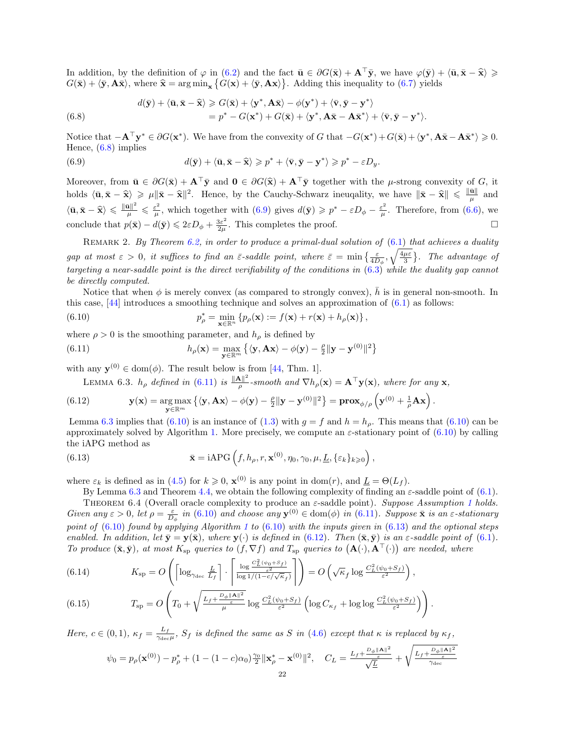In addition, by the definition of  $\varphi$  in [\(6.2\)](#page-20-2) and the fact  $\bar{\mathbf{u}} \in \partial G(\bar{\mathbf{x}}) + \mathbf{A}^\top \bar{\mathbf{y}}$ , we have  $\varphi(\bar{\mathbf{y}}) + \langle \bar{\mathbf{u}}, \bar{\mathbf{x}} - \hat{\mathbf{x}} \rangle \geq$  $G(\bar{\mathbf{x}}) + \langle \bar{\mathbf{y}}, \mathbf{A}\bar{\mathbf{x}} \rangle$ , where  $\hat{\mathbf{x}} = \arg \min_{\mathbf{x}} \{ G(\mathbf{x}) + \langle \bar{\mathbf{y}}, \mathbf{A}\mathbf{x} \rangle \}$ . Adding this inequality to [\(6.7\)](#page-20-5) yields

<span id="page-21-0"></span>(6.8) 
$$
d(\bar{\mathbf{y}}) + \langle \bar{\mathbf{u}}, \bar{\mathbf{x}} - \widehat{\mathbf{x}} \rangle \ge G(\bar{\mathbf{x}}) + \langle \mathbf{y}^*, \mathbf{A}\bar{\mathbf{x}} \rangle - \phi(\mathbf{y}^*) + \langle \bar{\mathbf{v}}, \bar{\mathbf{y}} - \mathbf{y}^* \rangle = p^* - G(\mathbf{x}^*) + G(\bar{\mathbf{x}}) + \langle \mathbf{y}^*, \mathbf{A}\bar{\mathbf{x}} - \mathbf{A}\bar{\mathbf{x}}^* \rangle + \langle \bar{\mathbf{v}}, \bar{\mathbf{y}} - \mathbf{y}^* \rangle.
$$

Notice that  $-\mathbf{A}^{\top}\mathbf{y}^* \in \partial G(\mathbf{x}^*)$ . We have from the convexity of G that  $-G(\mathbf{x}^*) + G(\bar{\mathbf{x}}) + (\mathbf{y}^*, \mathbf{A}\bar{\mathbf{x}} - \mathbf{A}\bar{\mathbf{x}}^*) \geq 0$ . Hence, [\(6.8\)](#page-21-0) implies

<span id="page-21-1"></span>(6.9) 
$$
d(\bar{\mathbf{y}}) + \langle \bar{\mathbf{u}}, \bar{\mathbf{x}} - \hat{\mathbf{x}} \rangle \geqslant p^* + \langle \bar{\mathbf{v}}, \bar{\mathbf{y}} - \mathbf{y}^* \rangle \geqslant p^* - \varepsilon D_y.
$$

Moreover, from  $\bar{\mathbf{u}} \in \partial G(\bar{\mathbf{x}}) + \mathbf{A}^{\top} \bar{\mathbf{y}}$  and  $\mathbf{0} \in \partial G(\hat{\mathbf{x}}) + \mathbf{A}^{\top} \bar{\mathbf{y}}$  together with the *µ*-strong convexity of G, it holds  $\langle \bar{\mathbf{u}}, \bar{\mathbf{x}} - \hat{\mathbf{x}} \rangle \geqslant \mu \| \bar{\mathbf{x}} - \hat{\mathbf{x}} \|^2$ . Hence, by the Cauchy-Schwarz ineugality, we have  $\|\bar{\mathbf{x}} - \hat{\mathbf{x}}\| \leqslant \frac{\|\bar{\mathbf{u}}\|}{\mu}$  $\frac{\mathbf{u}_{\parallel}}{\mu}$  and  $\left\langle\bar{\mathbf{u}},\bar{\mathbf{x}}-\widehat{\mathbf{x}}\right\rangle\leqslant\frac{\|\bar{\mathbf{u}}\|^2}{\mu}\leqslant\frac{\varepsilon^2}{\mu}$  $\frac{\varepsilon^2}{\mu}$ , which together with  $(6.9)$  gives  $d(\bar{\mathbf{y}}) \geqslant p^* - \varepsilon D_\phi - \frac{\varepsilon^2}{\mu}$  $\frac{\varepsilon^2}{\mu}$ . Therefore, from [\(6.6\)](#page-20-6), we conclude that  $p(\bar{\mathbf{x}}) - d(\bar{\mathbf{y}}) \leq 2\varepsilon D_{\phi} + \frac{3\varepsilon^2}{2\mu}$  $\frac{3\varepsilon^2}{2\mu}$ . This completes the proof.

REMARK 2. By Theorem  $6.2$ , in order to produce a primal-dual solution of  $(6.1)$  that achieves a duality gap at most  $\varepsilon > 0$ , it suffices to find an  $\bar{\varepsilon}$ -saddle point, where  $\bar{\varepsilon} = \min\left\{\frac{\varepsilon}{4D_{\phi}}, \sqrt{\frac{4\mu\varepsilon}{3}}\right\}$ . The advantage of targeting a near-saddle point is the direct verifiability of the conditions in [\(6.3\)](#page-20-8) while the duality gap cannot be directly computed.

Notice that when  $\phi$  is merely convex (as compared to strongly convex), h is in general non-smooth. In this case,  $[44]$  introduces a smoothing technique and solves an approximation of  $(6.1)$  as follows:

<span id="page-21-4"></span>(6.10) 
$$
p_{\rho}^* = \min_{\mathbf{x} \in \mathbb{R}^n} \left\{ p_{\rho}(\mathbf{x}) := f(\mathbf{x}) + r(\mathbf{x}) + h_{\rho}(\mathbf{x}) \right\},
$$

where  $\rho > 0$  is the smoothing parameter, and  $h_{\rho}$  is defined by

(6.11) 
$$
h_{\rho}(\mathbf{x}) = \max_{\mathbf{y} \in \mathbb{R}^m} \left\{ \langle \mathbf{y}, \mathbf{A}\mathbf{x} \rangle - \phi(\mathbf{y}) - \frac{\rho}{2} ||\mathbf{y} - \mathbf{y}^{(0)}||^2 \right\}
$$

with any  $y^{(0)} \in \text{dom}(\phi)$ . The result below is from [\[44,](#page-26-4) Thm. 1].

<span id="page-21-6"></span><span id="page-21-3"></span><span id="page-21-2"></span>LEMMA 6.3.  $h_{\rho}$  defined in [\(6.11\)](#page-21-2) is  $\frac{\Vert \mathbf{A} \Vert^2}{\rho}$  $\frac{\mathbf{x} \parallel^2}{\rho}$ -smooth and  $\nabla h_{\rho}(\mathbf{x}) = \mathbf{A}^\top \mathbf{y}(\mathbf{x})$ , where for any  $\mathbf{x}$ ,

(6.12) 
$$
\mathbf{y}(\mathbf{x}) = \argmax_{\mathbf{y} \in \mathbb{R}^m} \left\{ \langle \mathbf{y}, \mathbf{A} \mathbf{x} \rangle - \phi(\mathbf{y}) - \frac{\rho}{2} || \mathbf{y} - \mathbf{y}^{(0)} ||^2 \right\} = \mathbf{prox}_{\phi/\rho} \left( \mathbf{y}^{(0)} + \frac{1}{\rho} \mathbf{A} \mathbf{x} \right).
$$

Lemma [6.3](#page-21-3) implies that [\(6.10\)](#page-21-4) is an instance of [\(1.3\)](#page-0-2) with  $g = f$  and  $h = h<sub>o</sub>$ . This means that (6.10) can be approximately solved by Algorithm [1.](#page-4-0) More precisely, we compute an  $\varepsilon$ -stationary point of [\(6.10\)](#page-21-4) by calling the iAPG method as

(6.13) 
$$
\bar{\mathbf{x}} = iAPG\left(f, h_{\rho}, r, \mathbf{x}^{(0)}, \eta_0, \gamma_0, \mu, \underline{L}, \{\varepsilon_k\}_{k \geqslant 0}\right),
$$

where  $\varepsilon_k$  is defined as in [\(4.5\)](#page-9-3) for  $k \geqslant 0$ ,  $\mathbf{x}^{(0)}$  is any point in dom(*r*), and  $\underline{L} = \Theta(L_f)$ .

<span id="page-21-5"></span>By Lemma [6.3](#page-21-3) and Theorem [4.4,](#page-11-3) we obtain the following complexity of finding an  $\varepsilon$ -saddle point of [\(6.1\)](#page-20-0).

THEOREM 6.4 (Overall oracle complexity to produce an  $\varepsilon$ -saddle point). Suppose Assumption [1](#page-20-1) holds. Given any  $\varepsilon > 0$ , let  $\rho = \frac{\varepsilon}{D_{\phi}}$  in [\(6.10\)](#page-21-4) and choose any  $\mathbf{y}^{(0)} \in \text{dom}(\phi)$  in [\(6.11\)](#page-21-2). Suppose  $\bar{\mathbf{x}}$  is an  $\varepsilon$ -stationary point of  $(6.10)$  found by applying Algorithm [1](#page-4-0) to  $(6.10)$  with the inputs given in  $(6.13)$  and the optional steps enabled. In addition, let  $\bar{\mathbf{y}} = \mathbf{y}(\bar{\mathbf{x}})$ , where  $\mathbf{y}(\cdot)$  is defined in [\(6.12\)](#page-21-6). Then  $(\bar{\mathbf{x}}, \bar{\mathbf{y}})$  is an  $\varepsilon$ -saddle point of [\(6.1\)](#page-20-0). To produce  $(\bar{\mathbf{x}}, \bar{\mathbf{y}})$ , at most  $K_{\text{sp}}$  queries to  $(f, \nabla f)$  and  $T_{\text{sp}}$  queries to  $(\mathbf{A}(\cdot), \mathbf{A}^{\top}(\cdot))$  are needed, where

(6.14) 
$$
K_{\rm sp} = O\left(\left\lceil \log_{\gamma_{\rm dec}} \frac{L}{L_f} \right\rceil \cdot \left\lceil \frac{\log \frac{C_L^2(\psi_0 + S_f)}{\varepsilon^2}}{\log 1/(1 - c/\sqrt{\kappa}_f)} \right\rceil \right) = O\left(\sqrt{\kappa}_f \log \frac{C_L^2(\psi_0 + S_f)}{\varepsilon^2}\right),
$$

(6.15) 
$$
T_{\rm sp} = O\left(T_0 + \sqrt{\frac{L_f + \frac{D_\phi ||\mathbf{A}||^2}{\varepsilon}}{\mu}} \log \frac{C_L^2(\psi_0 + S_f)}{\varepsilon^2} \left(\log C_{\kappa_f} + \log \log \frac{C_L^2(\psi_0 + S_f)}{\varepsilon^2}\right)\right).
$$

Here,  $c \in (0,1)$ ,  $\kappa_f = \frac{L_f}{\gamma_{15}}$  $\frac{L_f}{\gamma_{\text{dec}}\mu}$ ,  $S_f$  is defined the same as S in [\(4.6\)](#page-9-3) except that  $\kappa$  is replaced by  $\kappa_f$ ,

$$
\psi_0 = p_\rho(\mathbf{x}^{(0)}) - p_\rho^* + (1 - (1 - c)\alpha_0) \frac{\gamma_0}{2} \|\mathbf{x}_\rho^* - \mathbf{x}^{(0)}\|^2, \quad C_L = \frac{L_f + \frac{D_\phi \|\mathbf{A}\|^2}{\varepsilon}}{\sqrt{\frac{L}{\Delta}}} + \sqrt{\frac{L_f + \frac{D_\phi \|\mathbf{A}\|^2}{\varepsilon}}{\gamma_{\text{dec}}}}
$$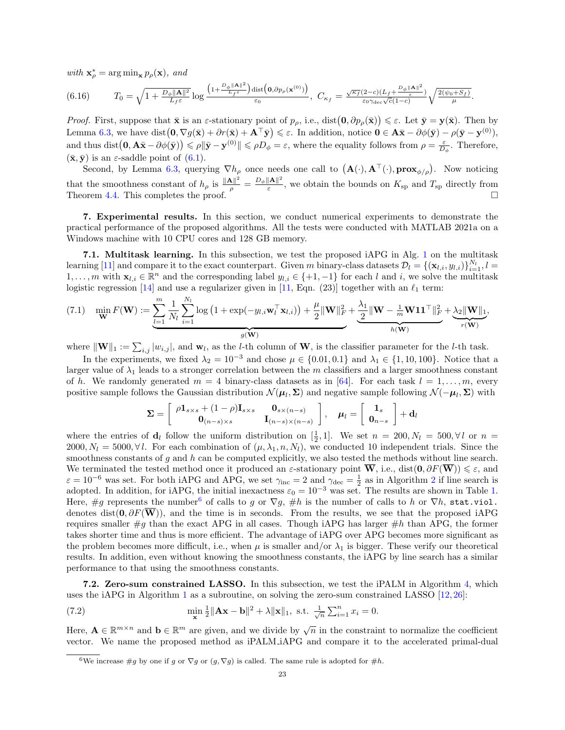with  $\mathbf{x}_{\rho}^* = \arg \min_{\mathbf{x}} p_{\rho}(\mathbf{x})$ , and

$$
(6.16) \t\t T_0 = \sqrt{1+\frac{D_\phi \|\mathbf{A}\|^2}{L_f \varepsilon}} \log \frac{\left(1+\frac{D_\phi \|\mathbf{A}\|^2}{L_f \varepsilon}\right) \text{dist}\left(\mathbf{0}, \partial p_\rho(\mathbf{x}^{(0)})\right)}{\varepsilon_0}, \ C_{\kappa_f} = \frac{\sqrt{\kappa_f}(2-c)(L_f + \frac{D_\phi \|\mathbf{A}\|^2}{\varepsilon})}{\varepsilon_0 \gamma_{\text{dec}} \sqrt{c}(1-c)} \sqrt{\frac{2(\psi_0 + S_f)}{\mu}}.
$$

Proof. First, suppose that  $\bar{\mathbf{x}}$  is an  $\varepsilon$ -stationary point of  $p_{\rho}$ , i.e., dist $(\mathbf{0}, \partial p_{\rho}(\bar{\mathbf{x}})) \leq \varepsilon$ . Let  $\bar{\mathbf{y}} = \mathbf{y}(\bar{\mathbf{x}})$ . Then by Lemma [6.3,](#page-21-3) we have dist  $(0, \nabla g(\bar{\mathbf{x}}) + \partial r(\bar{\mathbf{x}}) + \mathbf{A}^\top \bar{\mathbf{y}}) \leq \varepsilon$ . In addition, notice  $0 \in \mathbf{A}\bar{\mathbf{x}} - \partial \phi(\bar{\mathbf{y}}) - \rho(\bar{\mathbf{y}} - \mathbf{y}^{(0)})$ , and thus dist  $(0, A\bar{x} - \partial \phi(\bar{y})) \le \rho \|\bar{y} - y^{(0)}\| \le \rho D_{\phi} = \varepsilon$ , where the equality follows from  $\rho = \frac{\varepsilon}{D_{\phi}}$ . Therefore,  $(\bar{\mathbf{x}}, \bar{\mathbf{y}})$  is an  $\varepsilon$ -saddle point of  $(6.1)$ .

Second, by Lemma [6.3,](#page-21-3) querying  $\nabla h_{\rho}$  once needs one call to  $(\mathbf{A}(\cdot), \mathbf{A}^{\top}(\cdot), \mathbf{prox}_{\phi/\rho})$ . Now noticing that the smoothness constant of  $h_\rho$  is  $\frac{\|\mathbf{A}\|^2}{\rho} = \frac{D_\phi \|\mathbf{A}\|^2}{\varepsilon}$  $\frac{\|A\|}{\varepsilon}$ , we obtain the bounds on  $K_{\text{sp}}$  and  $T_{\text{sp}}$  directly from Theorem [4.4.](#page-11-3) This completes the proof.  $\overline{P}$ 

<span id="page-22-0"></span>7. Experimental results. In this section, we conduct numerical experiments to demonstrate the practical performance of the proposed algorithms. All the tests were conducted with MATLAB 2021a on a Windows machine with 10 CPU cores and 128 GB memory.

7.1. Multitask learning. In this subsection, we test the proposed iAPG in Alg. [1](#page-4-0) on the multitask learning [\[11\]](#page-25-12) and compare it to the exact counterpart. Given m binary-class datasets  $\mathcal{D}_l = \{(\mathbf{x}_{l,i}, y_{l,i})\}_{i=1}^{N_l}, l =$  $1, \ldots, m$  with  $\mathbf{x}_{l,i} \in \mathbb{R}^n$  and the corresponding label  $y_{l,i} \in \{+1, -1\}$  for each l and i, we solve the multitask logistic regression [\[14\]](#page-26-34) and use a regularizer given in [\[11,](#page-25-12) Eqn. (23)] together with an  $\ell_1$  term:

<span id="page-22-2"></span>
$$
(7.1) \quad \min_{\mathbf{W}} F(\mathbf{W}) := \underbrace{\sum_{l=1}^{m} \frac{1}{N_l} \sum_{i=1}^{N_l} \log \left( 1 + \exp(-y_{l,i} \mathbf{w}_l^\top \mathbf{x}_{l,i}) \right)}_{g(\mathbf{W})} + \frac{\mu}{2} \|\mathbf{W}\|_F^2 + \underbrace{\frac{\lambda_1}{2} \|\mathbf{W} - \frac{1}{m} \mathbf{W} \mathbf{1} \mathbf{1}^\top \|_F^2}_{h(\mathbf{W})} + \underbrace{\lambda_2 \|\mathbf{W}\|_1}_{r(\mathbf{W})},
$$

where  $\|\mathbf{W}\|_1 := \sum_{i,j} |w_{i,j}|$ , and  $\mathbf{w}_l$ , as the *l*-th column of **W**, is the classifier parameter for the *l*-th task.

In the experiments, we fixed  $\lambda_2 = 10^{-3}$  and chose  $\mu \in \{0.01, 0.1\}$  and  $\lambda_1 \in \{1, 10, 100\}$ . Notice that a larger value of  $\lambda_1$  leads to a stronger correlation between the m classifiers and a larger smoothness constant of h. We randomly generated  $m = 4$  binary-class datasets as in [\[64\]](#page-27-20). For each task  $l = 1, \ldots, m$ , every positive sample follows the Gaussian distribution  $\mathcal{N}(\mu_l, \Sigma)$  and negative sample following  $\mathcal{N}(-\mu_l, \Sigma)$  with

$$
\Sigma = \left[ \begin{array}{cc} \rho \mathbf{1}_{s \times s} + (1 - \rho) \mathbf{I}_{s \times s} & \mathbf{0}_{s \times (n - s)} \\ \mathbf{0}_{(n - s) \times s} & \mathbf{I}_{(n - s) \times (n - s)} \end{array} \right], \quad \mu_l = \left[ \begin{array}{c} \mathbf{1}_s \\ \mathbf{0}_{n - s} \end{array} \right] + \mathbf{d}_l
$$

where the entries of  $\mathbf{d}_l$  follow the uniform distribution on  $[\frac{1}{2}, 1]$ . We set  $n = 200, N_l = 500, \forall l$  or  $n =$ 2000,  $N_l = 5000, \forall l$ . For each combination of  $(\mu, \lambda_1, n, N_l)$ , we conducted 10 independent trials. Since the smoothness constants of  $g$  and  $h$  can be computed explicitly, we also tested the methods without line search. We terminated the tested method once it produced an  $\varepsilon$ -stationary point  $\overline{W}$ , i.e., dist $(0, \partial F(\overline{W})) \leq \varepsilon$ , and  $\varepsilon = 10^{-6}$  was set. For both iAPG and APG, we set  $\gamma_{\text{inc}} = 2$  $\gamma_{\text{inc}} = 2$  and  $\gamma_{\text{dec}} = \frac{1}{2}$  as in Algorithm 2 if line search is adopted. In addition, for iAPG, the initial inexactness  $\varepsilon_0 = 10^{-3}$  was set. The results are shown in Table [1.](#page-23-0) Here, #g represents the number<sup>[6](#page-22-1)</sup> of calls to g or  $\nabla g$ , #h is the number of calls to h or  $\nabla h$ , stat.viol. denotes dist( $\mathbf{0}, \partial F(\overline{\mathbf{W}})$ ), and the time is in seconds. From the results, we see that the proposed iAPG requires smaller  $\#g$  than the exact APG in all cases. Though iAPG has larger  $\#h$  than APG, the former takes shorter time and thus is more efficient. The advantage of iAPG over APG becomes more significant as the problem becomes more difficult, i.e., when  $\mu$  is smaller and/or  $\lambda_1$  is bigger. These verify our theoretical results. In addition, even without knowing the smoothness constants, the iAPG by line search has a similar performance to that using the smoothness constants.

<span id="page-22-4"></span>7.2. Zero-sum constrained LASSO. In this subsection, we test the iPALM in Algorithm [4,](#page-14-1) which uses the iAPG in Algorithm [1](#page-4-0) as a subroutine, on solving the zero-sum constrained LASSO [\[12,](#page-25-0) [26\]](#page-26-3):

<span id="page-22-3"></span>(7.2) 
$$
\min_{\mathbf{x}} \frac{1}{2} ||\mathbf{A}\mathbf{x} - \mathbf{b}||^{2} + \lambda ||\mathbf{x}||_{1}, \text{ s.t. } \frac{1}{\sqrt{n}} \sum_{i=1}^{n} x_{i} = 0.
$$

Here,  $\mathbf{A} \in \mathbb{R}^{m \times n}$  and  $\mathbf{b} \in \mathbb{R}^m$  are given, and we divide by  $\sqrt{n}$  in the constraint to normalize the coefficient vector. We name the proposed method as iPALM iAPG and compare it to the accelerated primal-dual

<span id="page-22-1"></span><sup>&</sup>lt;sup>6</sup>We increase #g by one if g or  $\nabla g$  or  $(g, \nabla g)$  is called. The same rule is adopted for #h.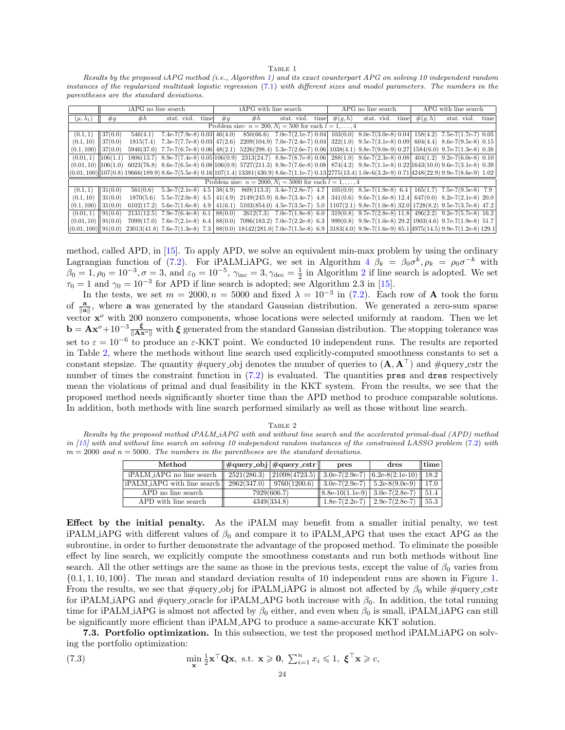TABLE 1

<span id="page-23-0"></span>Results by the proposed iAPG method (i.e., Algorithm [1\)](#page-4-0) and its exact counterpart APG on solving 10 independent random instances of the regularized multitask logistic regression [\(7.1\)](#page-22-2) with different sizes and model parameters. The numbers in the parentheses are the standard deviations.

|                                                          | iAPG no line search |             |                                                                                                                                                                   |      | iAPG with line search |           |                                                                | APG no line search |           |                                | APG with line search |           |                                                                                               |      |
|----------------------------------------------------------|---------------------|-------------|-------------------------------------------------------------------------------------------------------------------------------------------------------------------|------|-----------------------|-----------|----------------------------------------------------------------|--------------------|-----------|--------------------------------|----------------------|-----------|-----------------------------------------------------------------------------------------------|------|
| $(\mu, \lambda_1)$                                       | #g                  | #h          | stat. viol.                                                                                                                                                       | time | $\#q$                 | #h        | stat. viol.                                                    | time               | $\#(q,h)$ | stat. viol.                    | time                 | $\#(g,h)$ | stat. viol.                                                                                   | time |
| Problem size: $n = 200, N_l = 500$ for each $l = 1, , 4$ |                     |             |                                                                                                                                                                   |      |                       |           |                                                                |                    |           |                                |                      |           |                                                                                               |      |
| (0.1, 1)                                                 | 37(0.0)             | 546(4.1)    | $7.4e-7(7.9e-8)$ 0.03 $46(4.0)$                                                                                                                                   |      |                       | 850(66.6) | $7.0e-7(2.1e-7)0.04$                                           |                    | 103(0.0)  | $8.0e-7(3.0e-8)0.04$           |                      | 158(4.2)  | $7.5e-7(1.7e-7)$ 0.05                                                                         |      |
| (0.1, 10)                                                | 37(0.0)             | 1815(7.4)   | $7.3e-7(7.7e-8)$ 0.03 $47(2.6)$                                                                                                                                   |      |                       |           | $2209(104.9)$ 7.0e-7(2.4e-7) 0.04 322(1.0) 9.5e-7(3.1e-8) 0.09 |                    |           |                                |                      |           | $604(4.4)$ 8.6e-7(9.5e-8) 0.15                                                                |      |
| (0.1, 100)                                               | 37(0.0)             | 5946(37.0)  | $7.7e-7(6.7e-8)0.06 48(2.1)$                                                                                                                                      |      |                       |           |                                                                |                    |           |                                |                      |           | $5226(298.4)$ 5.3e-7(2.6e-7) 0.06 1038(4.1) 9.8e-7(9.0e-9) 0.27 1584(6.0) 9.7e-7(1.3e-8) 0.38 |      |
| (0.01, 1)                                                | 106(1.1)            | 1806(13.7)  | $8.9e-7(7.4e-8)0.05 106(0.9)$                                                                                                                                     |      |                       |           | $2313(24.7)$ 8.8e-7(8.7e-8) 0.06                               |                    |           | $288(1.0)$ 9.6e-7(2.3e-8) 0.08 |                      |           | $404(1.2)$ 9.2e-7(6.0e-8) 0.10                                                                |      |
| $(0.01, 10)$   106 $(1.0)$                               |                     |             | $6023(76.8)$ $8.6e-7(6.5e-8)$ $0.08 106(0.9)$ $5727(211.3)$ $8.9e-7(7.6e-8)$ $0.08 $ $874(4.2)$ $9.8e-7(1.1e-8)$ $0.22 1643(10.0)$ $9.6e-7(3.1e-8)$ $0.39$        |      |                       |           |                                                                |                    |           |                                |                      |           |                                                                                               |      |
|                                                          |                     |             | $ (0.01, 100)  107(0.8)$ 19666(189.9) 8.6e-7(5.5e-8) 0.16 107(1.4) 13381(430.9) 8.6e-7(1.1e-7) 0.13 2775(13.4) 1.0e-6(3.2e-9) 0.71 4248(22.9) 9.9e-7(8.6e-9) 1.02 |      |                       |           |                                                                |                    |           |                                |                      |           |                                                                                               |      |
|                                                          |                     |             |                                                                                                                                                                   |      |                       |           | Problem size: $n = 2000, N_l = 5000$ for each $l = 1, , 4$     |                    |           |                                |                      |           |                                                                                               |      |
| (0.1, 1)                                                 | 31(0.0)             | 561(0.6)    | $5.3e-7(2.1e-8)$ 4.5                                                                                                                                              |      | 38(4.9)               |           | $869(113.3)$ 3.4e-7(2.8e-7) 4.7                                |                    | 105(0.0)  | 8.5e-7 $(1.9e-8)$ 6.4          |                      | 165(1.7)  | $7.5e-7(9.5e-8)$ 7.9                                                                          |      |
| (0.1, 10)                                                | 131(0.0)            | 1870(5.6)   | $5.5e-7(2.0e-8)$ 4.5                                                                                                                                              |      | 41(4.9)               |           | $2149(245.9)$ 6.8e-7(3.4e-7) 4.8                               |                    | 341(0.6)  | $9.6e-7(1.6e-8)$ 12.4          |                      |           | $647(0.0)$ 8.2e-7(2.1e-8) 20.0                                                                |      |
| (0.1, 100)                                               | $\parallel 31(0.0)$ | 6102(17.2)  | $5.6e-7(1.6e-8)$ 4.9                                                                                                                                              |      | 41(6.1)               |           | $5103(854.0)$ 4.5e-7(3.5e-7) 5.0                               |                    | 1107(2.1) |                                |                      |           | $9.8e-7(1.0e-8)32.01728(8.2)9.5e-7(3.7e-8)47.2$                                               |      |
| (0.01, 1)                                                | $\parallel$ 91(0.6) | 2131(12.5)  | $7.9e-7(6.4e-8)$ 6.1                                                                                                                                              |      | 88(0.0)               | 2612(7.3) | $7.0e-7(1.8e-8)$ 6.0                                           |                    | 319(0.8)  | $9.7e-7(2.8e-8)$ 11.8          |                      |           | $496(2.2)$ 9.2e-7(5.7e-8) 16.2                                                                |      |
| (0.01, 10)                                               | $\parallel$ 91(0.0) | 7099(17.0)  | $7.6e-7(2.1e-8)$ 6.4                                                                                                                                              |      | 88(0.0)               |           | $7096(183.2)$ 7.0e-7 $(2.2e-8)$ 6.3                            |                    | 999(0.8)  |                                |                      |           | 9.9e-7(1.0e-8) 29.2 1903(4.6) 9.7e-7(1.9e-8) 51.7                                             |      |
| (0.01, 100)  91(0.0)                                     |                     | 23013(41.8) | 7.6e-7 $(1.3e-8)$ 7.3                                                                                                                                             |      |                       |           | $88(0.0)$ 18142(281.0) 7.0e-7(1.5e-8)                          | 6.9                |           |                                |                      |           | $3183(4.0)$ 9.9e-7(1.6e-9) $85.1$ 4975(14.5) 9.9e-7(1.2e-8) 129.1                             |      |

method, called APD, in [\[15\]](#page-26-2). To apply APD, we solve an equivalent min-max problem by using the ordinary Lagrangian function of [\(7.2\)](#page-22-3). For iPALM iAPG, we set in Algorithm [4](#page-14-1)  $\beta_k = \beta_0 \sigma^k$ ,  $\rho_k = \rho_0 \sigma^{-k}$  with  $\beta_0 = 1, \rho_0 = 10^{-3}, \sigma = 3$ , and  $\varepsilon_0 = 10^{-5}$ ,  $\gamma_{\text{inc}} = 3, \gamma_{\text{dec}} = \frac{1}{2}$  $\gamma_{\text{inc}} = 3, \gamma_{\text{dec}} = \frac{1}{2}$  $\gamma_{\text{inc}} = 3, \gamma_{\text{dec}} = \frac{1}{2}$  in Algorithm 2 if line search is adopted. We set  $\tau_0 = 1$  and  $\gamma_0 = 10^{-3}$  for APD if line search is adopted; see Algorithm 2.3 in [\[15\]](#page-26-2).

In the tests, we set  $m = 2000, n = 5000$  and fixed  $\lambda = 10^{-3}$  in [\(7.2\)](#page-22-3). Each row of **A** took the form of  $\frac{a}{\|a\|}$ , where **a** was generated by the standard Gaussian distribution. We generated a zero-sum sparse vector  $x^{\circ}$  with 200 nonzero components, whose locations were selected uniformly at random. Then we let  $\mathbf{b} = \mathbf{A}\mathbf{x}^{\circ} + 10^{-3} \frac{\xi}{\|\mathbf{A}\mathbf{x}^{\circ}\|}$  with  $\xi$  generated from the standard Gaussian distribution. The stopping tolerance was set to  $\varepsilon = 10^{-6}$  to produce an  $\varepsilon$ -KKT point. We conducted 10 independent runs. The results are reported in Table [2,](#page-23-1) where the methods without line search used explicitly-computed smoothness constants to set a constant stepsize. The quantity  $\#\text{query\_obj}$  denotes the number of queries to  $(\mathbf{A}, \mathbf{A}^{\top})$  and  $\#\text{query\_cstr}$  the number of times the constraint function in  $(7.2)$  is evaluated. The quantities pres and dres respectively mean the violations of primal and dual feasibility in the KKT system. From the results, we see that the proposed method needs significantly shorter time than the APD method to produce comparable solutions. In addition, both methods with line search performed similarly as well as those without line search.

TABLE 2

<span id="page-23-1"></span>Results by the proposed method iPALM iAPG with and without line search and the accelerated primal-dual (APD) method in  $[15]$  with and without line search on solving 10 independent random instances of the constrained LASSO problem  $(7.2)$  with  $m = 2000$  and  $n = 5000$ . The numbers in the parentheses are the standard deviations.

| Method                      | #query_obj #query_cstr |                              | pres                | dres                                                          | time |
|-----------------------------|------------------------|------------------------------|---------------------|---------------------------------------------------------------|------|
| iPALM_iAPG no line search   | 2521(286.3)            |                              |                     | $\ 21098(4723.5)\ $ 3.0e-7(2.9e-7) $\ 6.2e-8(2.1e-10)\ $ 18.2 |      |
| iPALM_iAPG with line search |                        | $2962(347.0)$   9760(1200.6) |                     | $3.0e-7(2.9e-7)$   $5.2e-8(9.0e-9)$   17.0                    |      |
| APD no line search          |                        | 7929(606.7)                  | $ 8.8e-10(1.1e-9) $ | 3.0e-7(2.8e-7)   51.4                                         |      |
| APD with line search        |                        | 4349(334.8)                  | $1.8e-7(2.2e-7)$    | 2.9e-7(2.8e-7)   55.3                                         |      |

Effect by the initial penalty. As the iPALM may benefit from a smaller initial penalty, we test iPALM iAPG with different values of  $\beta_0$  and compare it to iPALM APG that uses the exact APG as the subroutine, in order to further demonstrate the advantage of the proposed method. To eliminate the possible effect by line search, we explicitly compute the smoothness constants and run both methods without line search. All the other settings are the same as those in the previous tests, except the value of  $\beta_0$  varies from {0.1, 1, 10, 100}. The mean and standard deviation results of 10 independent runs are shown in Figure [1.](#page-24-0) From the results, we see that #query obj for iPALM iAPG is almost not affected by  $\beta_0$  while #query cstr for iPALM iAPG and  $\#$ query oracle for iPALM APG both increase with  $\beta_0$ . In addition, the total running time for iPALM iAPG is almost not affected by  $\beta_0$  either, and even when  $\beta_0$  is small, iPALM iAPG can still be significantly more efficient than iPALM APG to produce a same-accurate KKT solution.

7.3. Portfolio optimization. In this subsection, we test the proposed method iPALM iAPG on solving the portfolio optimization:

<span id="page-23-2"></span>(7.3) 
$$
\min_{\mathbf{x}} \frac{1}{2} \mathbf{x}^{\top} \mathbf{Q} \mathbf{x}, \text{ s.t. } \mathbf{x} \geq 0, \sum_{i=1}^{n} x_i \leq 1, \ \boldsymbol{\xi}^{\top} \mathbf{x} \geq c,
$$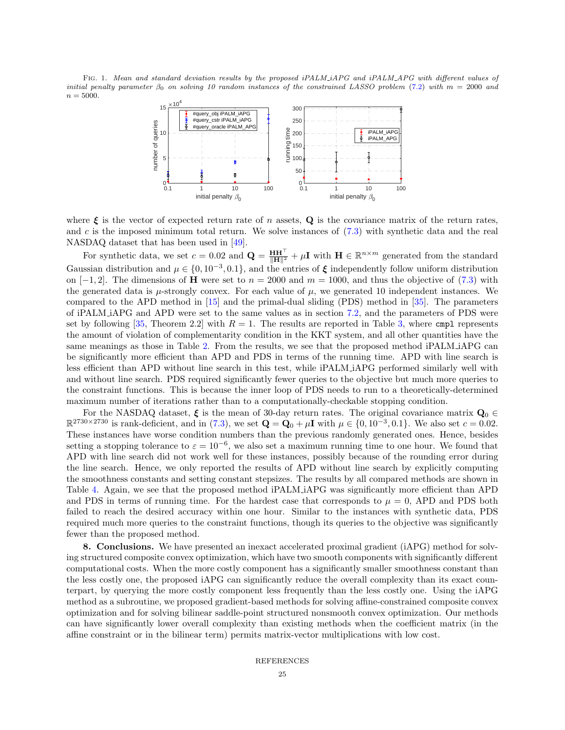FIG. 1. Mean and standard deviation results by the proposed iPALM\_iAPG and iPALM\_APG with different values of initial penalty parameter  $\beta_0$  on solving 10 random instances of the constrained LASSO problem [\(7.2\)](#page-22-3) with  $m = 2000$  and  $n = 5000.$ 

<span id="page-24-0"></span>

where  $\xi$  is the vector of expected return rate of n assets, Q is the covariance matrix of the return rates, and c is the imposed minimum total return. We solve instances of  $(7.3)$  with synthetic data and the real NASDAQ dataset that has been used in [\[49\]](#page-26-35).

For synthetic data, we set  $c = 0.02$  and  $\mathbf{Q} = \frac{\mathbf{H}\mathbf{H}^{\top}}{\|\mathbf{H}\|^2} + \mu \mathbf{I}$  with  $\mathbf{H} \in \mathbb{R}^{n \times m}$  generated from the standard Gaussian distribution and  $\mu \in \{0, 10^{-3}, 0.1\}$ , and the entries of  $\xi$  independently follow uniform distribution on [−1, 2]. The dimensions of **H** were set to  $n = 2000$  and  $m = 1000$ , and thus the objective of [\(7.3\)](#page-23-2) with the generated data is  $\mu$ -strongly convex. For each value of  $\mu$ , we generated 10 independent instances. We compared to the APD method in [\[15\]](#page-26-2) and the primal-dual sliding (PDS) method in [\[35\]](#page-26-9). The parameters of iPALM iAPG and APD were set to the same values as in section [7.2,](#page-22-4) and the parameters of PDS were set by following [\[35,](#page-26-9) Theorem 2.2] with  $R = 1$ . The results are reported in Table [3,](#page-25-13) where cmpl represents the amount of violation of complementarity condition in the KKT system, and all other quantities have the same meanings as those in Table [2.](#page-23-1) From the results, we see that the proposed method iPALM iAPG can be significantly more efficient than APD and PDS in terms of the running time. APD with line search is less efficient than APD without line search in this test, while iPALM iAPG performed similarly well with and without line search. PDS required significantly fewer queries to the objective but much more queries to the constraint functions. This is because the inner loop of PDS needs to run to a theoretically-determined maximum number of iterations rather than to a computationally-checkable stopping condition.

For the NASDAQ dataset,  $\xi$  is the mean of 30-day return rates. The original covariance matrix  $\mathbf{Q}_0 \in$  $\mathbb{R}^{2730\times2730}$  is rank-deficient, and in [\(7.3\)](#page-23-2), we set  $\mathbf{Q} = \mathbf{Q}_0 + \mu \mathbf{I}$  with  $\mu \in \{0, 10^{-3}, 0.1\}$ . We also set  $c = 0.02$ . These instances have worse condition numbers than the previous randomly generated ones. Hence, besides setting a stopping tolerance to  $\varepsilon = 10^{-6}$ , we also set a maximum running time to one hour. We found that APD with line search did not work well for these instances, possibly because of the rounding error during the line search. Hence, we only reported the results of APD without line search by explicitly computing the smoothness constants and setting constant stepsizes. The results by all compared methods are shown in Table [4.](#page-25-14) Again, we see that the proposed method iPALM iAPG was significantly more efficient than APD and PDS in terms of running time. For the hardest case that corresponds to  $\mu = 0$ , APD and PDS both failed to reach the desired accuracy within one hour. Similar to the instances with synthetic data, PDS required much more queries to the constraint functions, though its queries to the objective was significantly fewer than the proposed method.

8. Conclusions. We have presented an inexact accelerated proximal gradient (iAPG) method for solving structured composite convex optimization, which have two smooth components with significantly different computational costs. When the more costly component has a significantly smaller smoothness constant than the less costly one, the proposed iAPG can significantly reduce the overall complexity than its exact counterpart, by querying the more costly component less frequently than the less costly one. Using the iAPG method as a subroutine, we proposed gradient-based methods for solving affine-constrained composite convex optimization and for solving bilinear saddle-point structured nonsmooth convex optimization. Our methods can have significantly lower overall complexity than existing methods when the coefficient matrix (in the affine constraint or in the bilinear term) permits matrix-vector multiplications with low cost.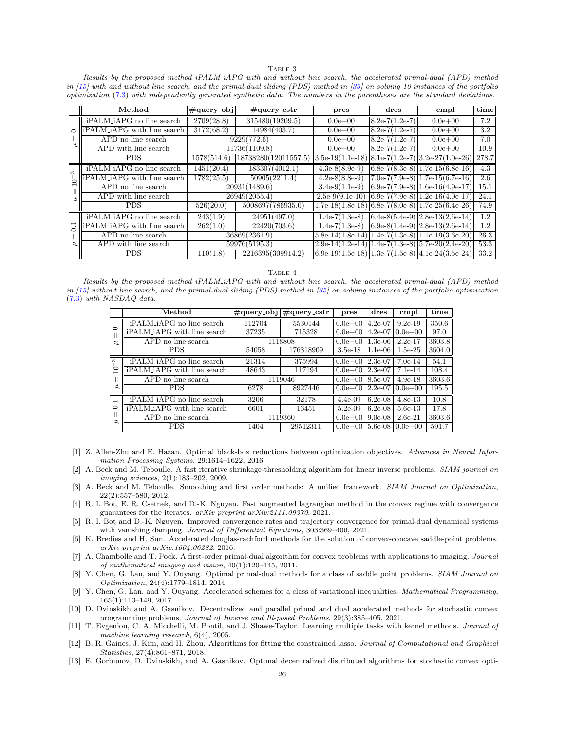## TABLE 3

<span id="page-25-13"></span>Results by the proposed method iPALM iAPG with and without line search, the accelerated primal-dual (APD) method in [\[15\]](#page-26-2) with and without line search, and the primal-dual sliding (PDS) method in [\[35\]](#page-26-9) on solving 10 instances of the portfolio optimization [\(7.3\)](#page-23-2) with independently generated synthetic data. The numbers in the parentheses are the standard deviations.

|                      | Method                      | $\#\text{query_obj}$ | $\#$ query_cstr      | pres                                                      | dres               | cmpl                                | $ \text{time} $   |
|----------------------|-----------------------------|----------------------|----------------------|-----------------------------------------------------------|--------------------|-------------------------------------|-------------------|
|                      | iPALM_iAPG no line search   | 2709(28.8)           | 315480(19209.5)      | $0.0e + 00$                                               | $8.2e-7(1.2e-7)$   | $0.0e + 00$                         | 7.2               |
|                      | iPALM_iAPG with line search | 3172(68.2)           | 14984(403.7)         | $0.0e + 00$                                               | $8.2e-7(1.2e-7)$   | $0.0e + 00$                         | 3.2               |
|                      | APD no line search          |                      | 9229(772.6)          | $0.0e + 00$                                               | $8.2e-7(1.2e-7)$   | $0.0e + 00$                         | 7.0               |
|                      | APD with line search        |                      | 11736(1109.8)        | $0.0e + 00$                                               | $ 8.2e-7(1.2e-7) $ | $0.0e + 00$                         | 10.9              |
|                      | <b>PDS</b>                  | 1578(514.6)          | 18738280(12011557.5) | $  3.5e-19(1.1e-18)$                                      |                    | $8.1e-7(1.2e-7)$ 3.2e-27(1.0e-26)   | $\parallel$ 278.7 |
| S<br>$\overline{10}$ | iPALM_iAPG_no_line_search   | 1451(20.4)           | 183307(4012.1)       | $4.3e-8(8.9e-9)$                                          |                    | $(6.8e-7(8.3e-8))1.7e-15(6.8e-16)$  | 4.3               |
|                      | iPALM_iAPG with line search | 1782(25.5)           | 50905(2211.4)        | $4.2e-8(8.8e-9)$                                          |                    | $7.0e-7(7.9e-8)$ 1.7e-15(6.7e-16)   | 2.6               |
|                      | APD no line search          | 20931(1489.6)        |                      | $3.4e-9(1.1e-9)$                                          |                    | $(6.9e-7(7.9e-8))1.6e-16(4.9e-17)$  | 15.1              |
|                      | APD with line search        |                      | 26949(2055.4)        | $2.5e-9(9.1e-10)$                                         |                    | $(6.9e-7(7.9e-8))1.2e-16(4.0e-17))$ | 24.1              |
|                      | <b>PDS</b>                  | 526(20.0)            | 5008697(786935.0)    | $1.7e-18(1.8e-18)$                                        |                    | $(6.8e-7(8.0e-8))1.7e-25(6.4e-26)$  | 74.9              |
|                      | iPALM_iAPG no line search   | 243(1.9)             | 24951(497.0)         | $1.4e-7(1.3e-8)$                                          |                    | $(6.4e-8(5.4e-9))2.8e-13(2.6e-14)$  | 1.2               |
| $\overline{C}$       | iPALM_iAPG with line search | 262(1.0)             | 22420(703.6)         | $1.4e-7(1.3e-8)$                                          |                    | $(6.9e-8(1.4e-9))2.8e-13(2.6e-14)$  | 1.2               |
|                      | APD no line search          | 36869(2361.9)        |                      | $[5.8e-14(1.8e-14)$ $]1.4e-7(1.3e-8)$ $]1.1e-19(3.6e-20)$ |                    |                                     | 26.3              |
| ュ                    | APD with line search        | 59976(5195.3)        |                      | $2.9e-14(1.2e-14)$   1.4e-7(1.3e-8)   5.7e-20(2.4e-20)    |                    |                                     | 53.3              |
|                      | <b>PDS</b>                  | 110(1.8)             | 2216395(309914.2)    | $(6.9e-19(1.5e-18))1.3e-7(1.5e-8))4.1e-24(3.5e-24)$       |                    |                                     | 33.2              |

TABLE 4

<span id="page-25-14"></span>Results by the proposed method iPALM iAPG with and without line search, the accelerated primal-dual (APD) method in [\[15\]](#page-26-2) without line search, and the primal-dual sliding (PDS) method in [\[35\]](#page-26-9) on solving instances of the portfolio optimization [\(7.3\)](#page-23-2) with NASDAQ data.

|                                           | Method                      | $\#\text{query\_obj}$ | $\#$ query_cstr | pres        | $d$ res   | cmpl        | time   |
|-------------------------------------------|-----------------------------|-----------------------|-----------------|-------------|-----------|-------------|--------|
| ○                                         | iPALM_iAPG no line search   | 112704                | 5530144         | $ 0.0e+0.0$ | $4.2e-07$ | $9.2e-19$   | 350.6  |
|                                           | iPALM_iAPG with line search | 37235                 | 715328          | $0.0e + 00$ | $4.2e-07$ | $0.0e + 00$ | 97.0   |
| $\overline{z}$                            | APD no line search          | 1118808               |                 | $0.0e + 00$ | $1.3e-06$ | $2.2e-17$   | 3603.8 |
|                                           | <b>PDS</b>                  | 54058                 | 176318909       | $3.5e-18$   | $1.1e-06$ | $1.5e-25$   | 3604.0 |
| $\infty$<br>$\supseteq$                   | iPALM_iAPG no line search   | 21314                 | 375994          | $ 0.0e+0.0$ | $2.3e-07$ | $7.0e-14$   | 54.1   |
|                                           | iPALM_iAPG with line search | 48643                 | 117194          | $0.0e + 00$ | $2.3e-07$ | $7.1e-14$   | 108.4  |
|                                           | APD no line search          | 1119046               |                 | $0.0e + 00$ | 8.5e-07   | $4.9e-18$   | 3603.6 |
| ュ                                         | <b>PDS</b>                  | 6278                  | 8927446         | $0.0e + 00$ | $2.2e-07$ | $0.0e + 00$ | 195.5  |
| $\overline{\phantom{0}}$<br>$\dot{\circ}$ | iPALM_iAPG_no_line_search   | 3206                  | 32178           | $4.4e-0.9$  | $6.2e-08$ | $4.8e-13$   | 10.8   |
|                                           | iPALM_iAPG with line search | 6601                  | 16451           | $5.2e-0.9$  | $6.2e-08$ | $5.6e-13$   | 17.8   |
| $\overline{z}$                            | APD no line search          |                       | 1119360         | $0.0e + 00$ | $9.0e-08$ | $2.6e-21$   | 3603.6 |
|                                           | <b>PDS</b>                  | 1404                  | 29512311        | $ 0.0e+0.0$ | $5.6e-08$ | $0.0e + 00$ | 591.7  |

- <span id="page-25-6"></span>[1] Z. Allen-Zhu and E. Hazan. Optimal black-box reductions between optimization objectives. Advances in Neural Information Processing Systems, 29:1614–1622, 2016.
- <span id="page-25-1"></span>[2] A. Beck and M. Teboulle. A fast iterative shrinkage-thresholding algorithm for linear inverse problems. SIAM journal on imaging sciences, 2(1):183–202, 2009.
- <span id="page-25-7"></span>[3] A. Beck and M. Teboulle. Smoothing and first order methods: A unified framework. SIAM Journal on Optimization, 22(2):557–580, 2012.
- <span id="page-25-2"></span>[4] R. I. Bot, E. R. Csetnek, and D.-K. Nguyen. Fast augmented lagrangian method in the convex regime with convergence guarantees for the iterates. arXiv preprint arXiv:2111.09370, 2021.
- <span id="page-25-3"></span>[5] R. I. Bot¸ and D.-K. Nguyen. Improved convergence rates and trajectory convergence for primal-dual dynamical systems with vanishing damping. Journal of Differential Equations, 303:369–406, 2021.
- <span id="page-25-8"></span>[6] K. Bredies and H. Sun. Accelerated douglas-rachford methods for the solution of convex-concave saddle-point problems. arXiv preprint arXiv:1604.06282, 2016.
- <span id="page-25-10"></span>[7] A. Chambolle and T. Pock. A first-order primal-dual algorithm for convex problems with applications to imaging. Journal of mathematical imaging and vision, 40(1):120–145, 2011.
- <span id="page-25-9"></span>Y. Chen, G. Lan, and Y. Ouyang. Optimal primal-dual methods for a class of saddle point problems. SIAM Journal on Optimization, 24(4):1779–1814, 2014.
- <span id="page-25-11"></span>[9] Y. Chen, G. Lan, and Y. Ouyang. Accelerated schemes for a class of variational inequalities. Mathematical Programming, 165(1):113–149, 2017.
- <span id="page-25-4"></span>[10] D. Dvinskikh and A. Gasnikov. Decentralized and parallel primal and dual accelerated methods for stochastic convex programming problems. Journal of Inverse and Ill-posed Problems, 29(3):385–405, 2021.
- <span id="page-25-12"></span>[11] T. Evgeniou, C. A. Micchelli, M. Pontil, and J. Shawe-Taylor. Learning multiple tasks with kernel methods. Journal of machine learning research, 6(4), 2005.
- <span id="page-25-0"></span>[12] B. R. Gaines, J. Kim, and H. Zhou. Algorithms for fitting the constrained lasso. Journal of Computational and Graphical Statistics, 27(4):861–871, 2018.
- <span id="page-25-5"></span>[13] E. Gorbunov, D. Dvinskikh, and A. Gasnikov. Optimal decentralized distributed algorithms for stochastic convex opti-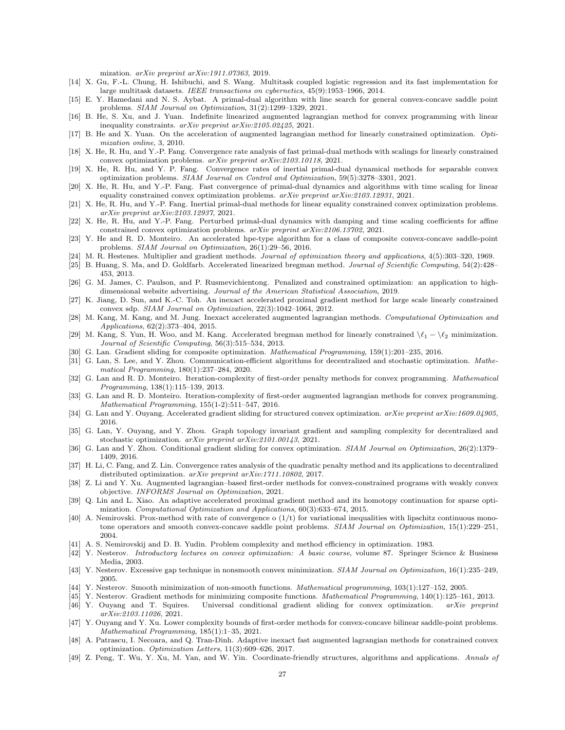mization. arXiv preprint arXiv:1911.07363, 2019.

- <span id="page-26-34"></span>[14] X. Gu, F.-L. Chung, H. Ishibuchi, and S. Wang. Multitask coupled logistic regression and its fast implementation for large multitask datasets. IEEE transactions on cybernetics, 45(9):1953–1966, 2014.
- <span id="page-26-2"></span>[15] E. Y. Hamedani and N. S. Aybat. A primal-dual algorithm with line search for general convex-concave saddle point problems. SIAM Journal on Optimization, 31(2):1299–1329, 2021.
- <span id="page-26-12"></span>[16] B. He, S. Xu, and J. Yuan. Indefinite linearized augmented lagrangian method for convex programming with linear inequality constraints. arXiv preprint arXiv:2105.02425, 2021.
- <span id="page-26-21"></span>[17] B. He and X. Yuan. On the acceleration of augmented lagrangian method for linearly constrained optimization. Optimization online, 3, 2010.
- <span id="page-26-13"></span>[18] X. He, R. Hu, and Y.-P. Fang. Convergence rate analysis of fast primal-dual methods with scalings for linearly constrained convex optimization problems. arXiv preprint arXiv:2103.10118, 2021.
- <span id="page-26-22"></span>[19] X. He, R. Hu, and Y. P. Fang. Convergence rates of inertial primal-dual dynamical methods for separable convex optimization problems. SIAM Journal on Control and Optimization, 59(5):3278–3301, 2021.
- <span id="page-26-14"></span>[20] X. He, R. Hu, and Y.-P. Fang. Fast convergence of primal-dual dynamics and algorithms with time scaling for linear equality constrained convex optimization problems. arXiv preprint arXiv:2103.12931, 2021.
- <span id="page-26-15"></span>[21] X. He, R. Hu, and Y.-P. Fang. Inertial primal-dual methods for linear equality constrained convex optimization problems. arXiv preprint arXiv:2103.12937, 2021.
- <span id="page-26-23"></span>[22] X. He, R. Hu, and Y.-P. Fang. Perturbed primal-dual dynamics with damping and time scaling coefficients for affine constrained convex optimization problems. arXiv preprint arXiv:2106.13702, 2021.
- <span id="page-26-26"></span>[23] Y. He and R. D. Monteiro. An accelerated hpe-type algorithm for a class of composite convex-concave saddle-point problems. SIAM Journal on Optimization, 26(1):29–56, 2016.
- <span id="page-26-11"></span>[24] M. R. Hestenes. Multiplier and gradient methods. Journal of optimization theory and applications, 4(5):303–320, 1969.
- <span id="page-26-16"></span>[25] B. Huang, S. Ma, and D. Goldfarb. Accelerated linearized bregman method. Journal of Scientific Computing, 54(2):428– 453, 2013.
- <span id="page-26-3"></span>[26] G. M. James, C. Paulson, and P. Rusmevichientong. Penalized and constrained optimization: an application to highdimensional website advertising. Journal of the American Statistical Association, 2019.
- <span id="page-26-10"></span>[27] K. Jiang, D. Sun, and K.-C. Toh. An inexact accelerated proximal gradient method for large scale linearly constrained convex sdp. SIAM Journal on Optimization, 22(3):1042–1064, 2012.
- <span id="page-26-17"></span>[28] M. Kang, M. Kang, and M. Jung. Inexact accelerated augmented lagrangian methods. Computational Optimization and Applications, 62(2):373–404, 2015.
- <span id="page-26-18"></span>[29] M. Kang, S. Yun, H. Woo, and M. Kang. Accelerated bregman method for linearly constrained  $\setminus \ell_1 - \setminus \ell_2$  minimization. Journal of Scientific Computing, 56(3):515–534, 2013.
- <span id="page-26-0"></span>[30] G. Lan. Gradient sliding for composite optimization. Mathematical Programming, 159(1):201-235, 2016.
- <span id="page-26-29"></span>[31] G. Lan, S. Lee, and Y. Zhou. Communication-efficient algorithms for decentralized and stochastic optimization. Mathematical Programming, 180(1):237–284, 2020.
- <span id="page-26-24"></span>[32] G. Lan and R. D. Monteiro. Iteration-complexity of first-order penalty methods for convex programming. Mathematical Programming, 138(1):115–139, 2013.
- <span id="page-26-19"></span>[33] G. Lan and R. D. Monteiro. Iteration-complexity of first-order augmented lagrangian methods for convex programming. Mathematical Programming, 155(1-2):511–547, 2016.
- <span id="page-26-1"></span>[34] G. Lan and Y. Ouyang. Accelerated gradient sliding for structured convex optimization.  $arXiv$  preprint  $arXiv:1609.04905$ , 2016.
- <span id="page-26-9"></span>[35] G. Lan, Y. Ouyang, and Y. Zhou. Graph topology invariant gradient and sampling complexity for decentralized and stochastic optimization. arXiv preprint arXiv:2101.00143, 2021.
- <span id="page-26-30"></span>[36] G. Lan and Y. Zhou. Conditional gradient sliding for convex optimization. SIAM Journal on Optimization, 26(2):1379– 1409, 2016.
- <span id="page-26-25"></span>[37] H. Li, C. Fang, and Z. Lin. Convergence rates analysis of the quadratic penalty method and its applications to decentralized distributed optimization. arXiv preprint arXiv:1711.10802, 2017.
- <span id="page-26-33"></span>[38] Z. Li and Y. Xu. Augmented lagrangian–based first-order methods for convex-constrained programs with weakly convex objective. INFORMS Journal on Optimization, 2021.
- <span id="page-26-32"></span>[39] Q. Lin and L. Xiao. An adaptive accelerated proximal gradient method and its homotopy continuation for sparse optimization. Computational Optimization and Applications, 60(3):633–674, 2015.
- <span id="page-26-28"></span>[40] A. Nemirovski. Prox-method with rate of convergence o  $(1/t)$  for variational inequalities with lipschitz continuous monotone operators and smooth convex-concave saddle point problems. SIAM Journal on Optimization, 15(1):229-251, 2004.
- <span id="page-26-7"></span>[41] A. S. Nemirovskij and D. B. Yudin. Problem complexity and method efficiency in optimization. 1983.
- <span id="page-26-5"></span>[42] Y. Nesterov. Introductory lectures on convex optimization: A basic course, volume 87. Springer Science & Business Media, 2003.
- <span id="page-26-27"></span>[43] Y. Nesterov. Excessive gap technique in nonsmooth convex minimization. SIAM Journal on Optimization, 16(1):235–249, 2005.
- <span id="page-26-4"></span>[44] Y. Nesterov. Smooth minimization of non-smooth functions. Mathematical programming, 103(1):127–152, 2005.
- <span id="page-26-6"></span>[45] Y. Nesterov. Gradient methods for minimizing composite functions. Mathematical Programming, 140(1):125–161, 2013.
- <span id="page-26-31"></span>[46] Y. Ouyang and T. Squires. Universal conditional gradient sliding for convex optimization. arXiv preprint arXiv:2103.11026, 2021.
- <span id="page-26-8"></span>[47] Y. Ouyang and Y. Xu. Lower complexity bounds of first-order methods for convex-concave bilinear saddle-point problems. Mathematical Programming, 185(1):1–35, 2021.
- <span id="page-26-20"></span>[48] A. Patrascu, I. Necoara, and Q. Tran-Dinh. Adaptive inexact fast augmented lagrangian methods for constrained convex optimization. Optimization Letters, 11(3):609–626, 2017.
- <span id="page-26-35"></span>[49] Z. Peng, T. Wu, Y. Xu, M. Yan, and W. Yin. Coordinate-friendly structures, algorithms and applications. Annals of